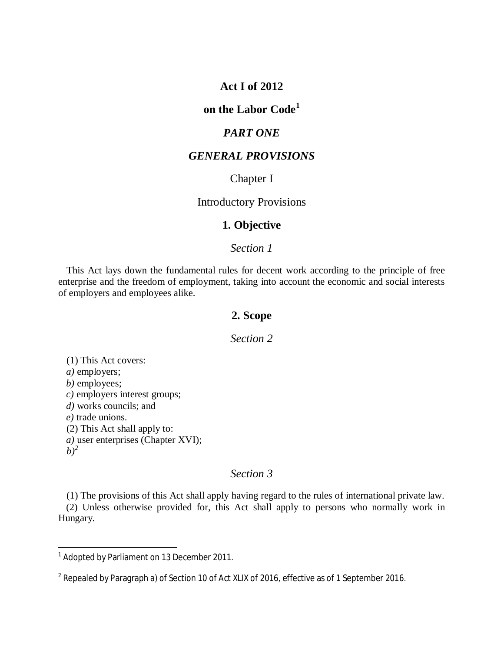# **Act I of 2012**

# **on the Labor Code<sup>1</sup>**

## *PART ONE*

# *GENERAL PROVISIONS*

### Chapter I

# Introductory Provisions

# **1. Objective**

# *Section 1*

This Act lays down the fundamental rules for decent work according to the principle of free enterprise and the freedom of employment, taking into account the economic and social interests of employers and employees alike.

# **2. Scope**

# *Section 2*

(1) This Act covers: *a)* employers; *b)* employees; *c)* employers interest groups; *d)* works councils; and *e)* trade unions. (2) This Act shall apply to: *a)* user enterprises (Chapter XVI);  $b)^2$  $b)^2$ 

# *Section 3*

(1) The provisions of this Act shall apply having regard to the rules of international private law.

(2) Unless otherwise provided for, this Act shall apply to persons who normally work in Hungary.

<sup>&</sup>lt;sup>1</sup> Adopted by Parliament on 13 December 2011.

<span id="page-0-0"></span> $^2$  Repealed by Paragraph a) of Section 10 of Act XLIX of 2016, effective as of 1 September 2016.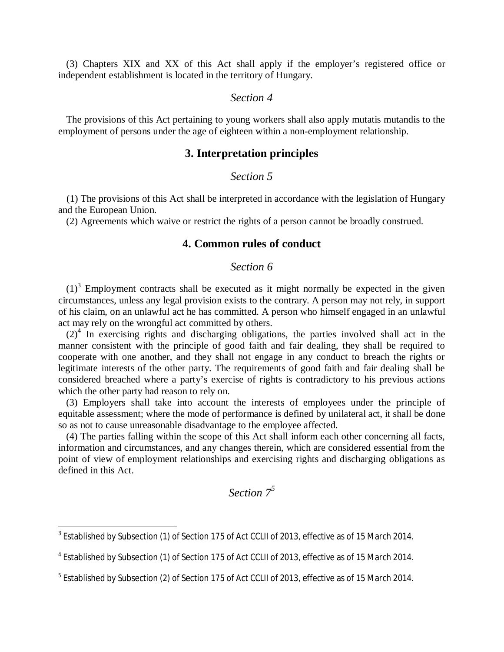(3) Chapters XIX and XX of this Act shall apply if the employer's registered office or independent establishment is located in the territory of Hungary.

# *Section 4*

The provisions of this Act pertaining to young workers shall also apply mutatis mutandis to the employment of persons under the age of eighteen within a non-employment relationship.

### **3. Interpretation principles**

### *Section 5*

(1) The provisions of this Act shall be interpreted in accordance with the legislation of Hungary and the European Union.

(2) Agreements which waive or restrict the rights of a person cannot be broadly construed.

# **4. Common rules of conduct**

#### *Section 6*

 $(1)^3$ Employment contracts shall be executed as it might normally be expected in the given circumstances, unless any legal provision exists to the contrary. A person may not rely, in support of his claim, on an unlawful act he has committed. A person who himself engaged in an unlawful act may rely on the wrongful act committed by others.

 $(2)^4$ In exercising rights and discharging obligations, the parties involved shall act in the manner consistent with the principle of good faith and fair dealing, they shall be required to cooperate with one another, and they shall not engage in any conduct to breach the rights or legitimate interests of the other party. The requirements of good faith and fair dealing shall be considered breached where a party's exercise of rights is contradictory to his previous actions which the other party had reason to rely on.

(3) Employers shall take into account the interests of employees under the principle of equitable assessment; where the mode of performance is defined by unilateral act, it shall be done so as not to cause unreasonable disadvantage to the employee affected.

(4) The parties falling within the scope of this Act shall inform each other concerning all facts, information and circumstances, and any changes therein, which are considered essential from the point of view of employment relationships and exercising rights and discharging obligations as defined in this Act.

# *Section [7](#page-1-2)<sup>5</sup>*

<span id="page-1-0"></span> $^3$  Established by Subsection (1) of Section 175 of Act CCLII of 2013, effective as of 15 March 2014.

<span id="page-1-1"></span><sup>&</sup>lt;sup>4</sup> Established by Subsection (1) of Section 175 of Act CCLII of 2013, effective as of 15 March 2014.

<span id="page-1-2"></span> $^5$  Established by Subsection (2) of Section 175 of Act CCLII of 2013, effective as of 15 March 2014.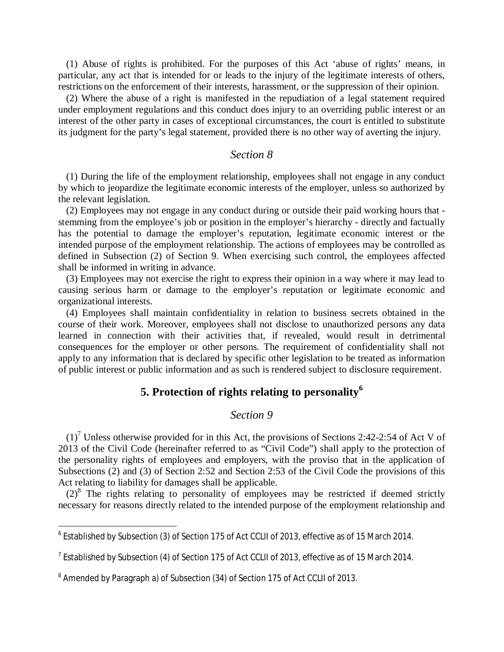(1) Abuse of rights is prohibited. For the purposes of this Act 'abuse of rights' means, in particular, any act that is intended for or leads to the injury of the legitimate interests of others, restrictions on the enforcement of their interests, harassment, or the suppression of their opinion.

(2) Where the abuse of a right is manifested in the repudiation of a legal statement required under employment regulations and this conduct does injury to an overriding public interest or an interest of the other party in cases of exceptional circumstances, the court is entitled to substitute its judgment for the party's legal statement, provided there is no other way of averting the injury.

### *Section 8*

(1) During the life of the employment relationship, employees shall not engage in any conduct by which to jeopardize the legitimate economic interests of the employer, unless so authorized by the relevant legislation.

(2) Employees may not engage in any conduct during or outside their paid working hours that stemming from the employee's job or position in the employer's hierarchy - directly and factually has the potential to damage the employer's reputation, legitimate economic interest or the intended purpose of the employment relationship. The actions of employees may be controlled as defined in Subsection (2) of Section 9. When exercising such control, the employees affected shall be informed in writing in advance.

(3) Employees may not exercise the right to express their opinion in a way where it may lead to causing serious harm or damage to the employer's reputation or legitimate economic and organizational interests.

(4) Employees shall maintain confidentiality in relation to business secrets obtained in the course of their work. Moreover, employees shall not disclose to unauthorized persons any data learned in connection with their activities that, if revealed, would result in detrimental consequences for the employer or other persons. The requirement of confidentiality shall not apply to any information that is declared by specific other legislation to be treated as information of public interest or public information and as such is rendered subject to disclosure requirement.

# **5. Protection of rights relating to personality<sup>6</sup>**

### *Section 9*

 $(1)<sup>7</sup>$  [U](#page-2-0)nless otherwise provided for in this Act, the provisions of Sections 2:42-2:54 of Act V of 2013 of the Civil Code (hereinafter referred to as "Civil Code") shall apply to the protection of the personality rights of employees and employers, with the proviso that in the application of Subsections (2) and (3) of Section 2:52 and Section 2:53 of the Civil Code the provisions of this Act relating to liability for damages shall be applicable.

 $(2)^8$ The rights relating to personality of employees may be restricted if deemed strictly necessary for reasons directly related to the intended purpose of the employment relationship and

 $^6$  Established by Subsection (3) of Section 175 of Act CCLII of 2013, effective as of 15 March 2014.

<span id="page-2-0"></span> $^7$  Established by Subsection (4) of Section 175 of Act CCLII of 2013, effective as of 15 March 2014.

<span id="page-2-1"></span> $^8$  Amended by Paragraph a) of Subsection (34) of Section 175 of Act CCLII of 2013.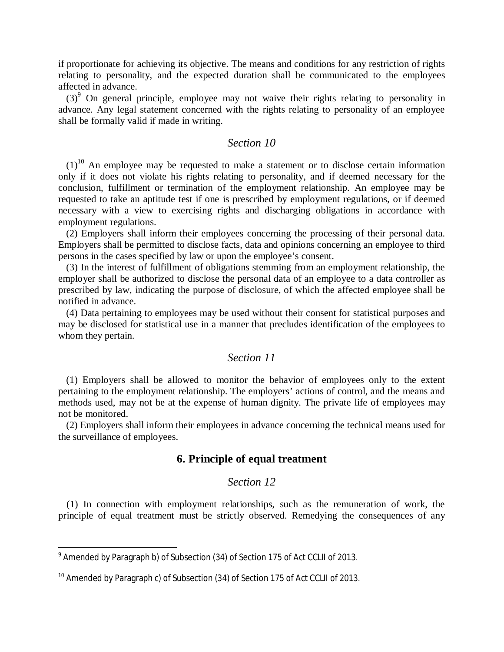if proportionate for achieving its objective. The means and conditions for any restriction of rights relating to personality, and the expected duration shall be communicated to the employees affected in advance.

 $(3)$ <sup>9</sup>On general principle, employee may not waive their rights relating to personality in advance. Any legal statement concerned with the rights relating to personality of an employee shall be formally valid if made in writing.

### *Section 10*

 $(1)^{10}$  $(1)^{10}$  $(1)^{10}$  An employee may be requested to make a statement or to disclose certain information only if it does not violate his rights relating to personality, and if deemed necessary for the conclusion, fulfillment or termination of the employment relationship. An employee may be requested to take an aptitude test if one is prescribed by employment regulations, or if deemed necessary with a view to exercising rights and discharging obligations in accordance with employment regulations.

(2) Employers shall inform their employees concerning the processing of their personal data. Employers shall be permitted to disclose facts, data and opinions concerning an employee to third persons in the cases specified by law or upon the employee's consent.

(3) In the interest of fulfillment of obligations stemming from an employment relationship, the employer shall be authorized to disclose the personal data of an employee to a data controller as prescribed by law, indicating the purpose of disclosure, of which the affected employee shall be notified in advance.

(4) Data pertaining to employees may be used without their consent for statistical purposes and may be disclosed for statistical use in a manner that precludes identification of the employees to whom they pertain.

### *Section 11*

(1) Employers shall be allowed to monitor the behavior of employees only to the extent pertaining to the employment relationship. The employers' actions of control, and the means and methods used, may not be at the expense of human dignity. The private life of employees may not be monitored.

(2) Employers shall inform their employees in advance concerning the technical means used for the surveillance of employees.

### **6. Principle of equal treatment**

### *Section 12*

(1) In connection with employment relationships, such as the remuneration of work, the principle of equal treatment must be strictly observed. Remedying the consequences of any

<span id="page-3-0"></span> $^9$  Amended by Paragraph b) of Subsection (34) of Section 175 of Act CCLII of 2013.

<span id="page-3-1"></span><sup>&</sup>lt;sup>10</sup> Amended by Paragraph c) of Subsection (34) of Section 175 of Act CCLII of 2013.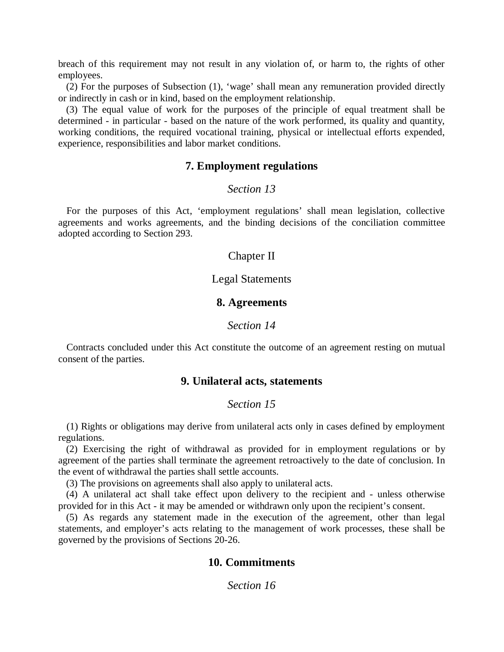breach of this requirement may not result in any violation of, or harm to, the rights of other employees.

(2) For the purposes of Subsection (1), 'wage' shall mean any remuneration provided directly or indirectly in cash or in kind, based on the employment relationship.

(3) The equal value of work for the purposes of the principle of equal treatment shall be determined - in particular - based on the nature of the work performed, its quality and quantity, working conditions, the required vocational training, physical or intellectual efforts expended, experience, responsibilities and labor market conditions.

#### **7. Employment regulations**

#### *Section 13*

For the purposes of this Act, 'employment regulations' shall mean legislation, collective agreements and works agreements, and the binding decisions of the conciliation committee adopted according to Section 293.

#### Chapter II

### Legal Statements

### **8. Agreements**

#### *Section 14*

Contracts concluded under this Act constitute the outcome of an agreement resting on mutual consent of the parties.

# **9. Unilateral acts, statements**

# *Section 15*

(1) Rights or obligations may derive from unilateral acts only in cases defined by employment regulations.

(2) Exercising the right of withdrawal as provided for in employment regulations or by agreement of the parties shall terminate the agreement retroactively to the date of conclusion. In the event of withdrawal the parties shall settle accounts.

(3) The provisions on agreements shall also apply to unilateral acts.

(4) A unilateral act shall take effect upon delivery to the recipient and - unless otherwise provided for in this Act - it may be amended or withdrawn only upon the recipient's consent.

(5) As regards any statement made in the execution of the agreement, other than legal statements, and employer's acts relating to the management of work processes, these shall be governed by the provisions of Sections 20-26.

## **10. Commitments**

*Section 16*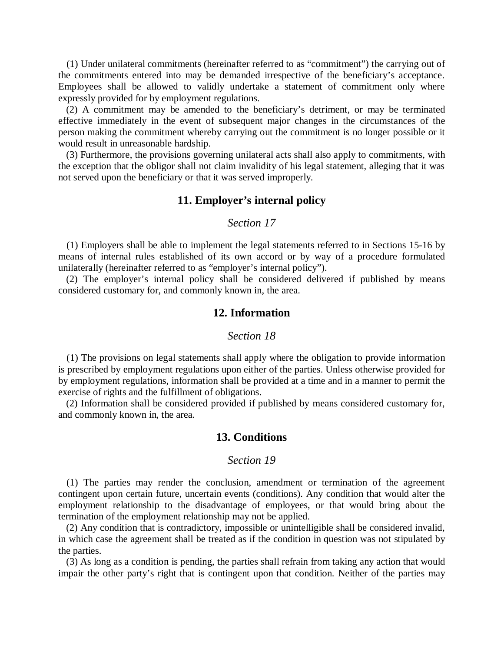(1) Under unilateral commitments (hereinafter referred to as "commitment") the carrying out of the commitments entered into may be demanded irrespective of the beneficiary's acceptance. Employees shall be allowed to validly undertake a statement of commitment only where expressly provided for by employment regulations.

(2) A commitment may be amended to the beneficiary's detriment, or may be terminated effective immediately in the event of subsequent major changes in the circumstances of the person making the commitment whereby carrying out the commitment is no longer possible or it would result in unreasonable hardship.

(3) Furthermore, the provisions governing unilateral acts shall also apply to commitments, with the exception that the obligor shall not claim invalidity of his legal statement, alleging that it was not served upon the beneficiary or that it was served improperly.

#### **11. Employer's internal policy**

### *Section 17*

(1) Employers shall be able to implement the legal statements referred to in Sections 15-16 by means of internal rules established of its own accord or by way of a procedure formulated unilaterally (hereinafter referred to as "employer's internal policy").

(2) The employer's internal policy shall be considered delivered if published by means considered customary for, and commonly known in, the area.

### **12. Information**

#### *Section 18*

(1) The provisions on legal statements shall apply where the obligation to provide information is prescribed by employment regulations upon either of the parties. Unless otherwise provided for by employment regulations, information shall be provided at a time and in a manner to permit the exercise of rights and the fulfillment of obligations.

(2) Information shall be considered provided if published by means considered customary for, and commonly known in, the area.

### **13. Conditions**

#### *Section 19*

(1) The parties may render the conclusion, amendment or termination of the agreement contingent upon certain future, uncertain events (conditions). Any condition that would alter the employment relationship to the disadvantage of employees, or that would bring about the termination of the employment relationship may not be applied.

(2) Any condition that is contradictory, impossible or unintelligible shall be considered invalid, in which case the agreement shall be treated as if the condition in question was not stipulated by the parties.

(3) As long as a condition is pending, the parties shall refrain from taking any action that would impair the other party's right that is contingent upon that condition. Neither of the parties may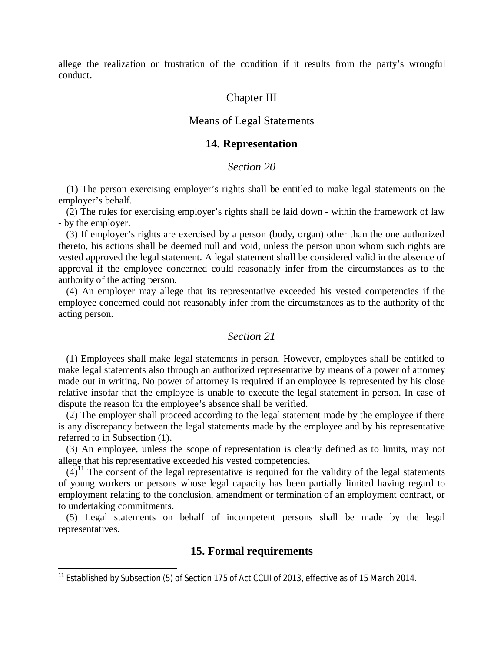allege the realization or frustration of the condition if it results from the party's wrongful conduct.

### Chapter III

### Means of Legal Statements

#### **14. Representation**

# *Section 20*

(1) The person exercising employer's rights shall be entitled to make legal statements on the employer's behalf.

(2) The rules for exercising employer's rights shall be laid down - within the framework of law - by the employer.

(3) If employer's rights are exercised by a person (body, organ) other than the one authorized thereto, his actions shall be deemed null and void, unless the person upon whom such rights are vested approved the legal statement. A legal statement shall be considered valid in the absence of approval if the employee concerned could reasonably infer from the circumstances as to the authority of the acting person.

(4) An employer may allege that its representative exceeded his vested competencies if the employee concerned could not reasonably infer from the circumstances as to the authority of the acting person.

#### *Section 21*

(1) Employees shall make legal statements in person. However, employees shall be entitled to make legal statements also through an authorized representative by means of a power of attorney made out in writing. No power of attorney is required if an employee is represented by his close relative insofar that the employee is unable to execute the legal statement in person. In case of dispute the reason for the employee's absence shall be verified.

(2) The employer shall proceed according to the legal statement made by the employee if there is any discrepancy between the legal statements made by the employee and by his representative referred to in Subsection (1).

(3) An employee, unless the scope of representation is clearly defined as to limits, may not allege that his representative exceeded his vested competencies.

 $(4)^{11}$  $(4)^{11}$  $(4)^{11}$  The consent of the legal representative is required for the validity of the legal statements of young workers or persons whose legal capacity has been partially limited having regard to employment relating to the conclusion, amendment or termination of an employment contract, or to undertaking commitments.

(5) Legal statements on behalf of incompetent persons shall be made by the legal representatives.

### **15. Formal requirements**

<span id="page-6-0"></span><sup>&</sup>lt;sup>11</sup> Established by Subsection (5) of Section 175 of Act CCLII of 2013, effective as of 15 March 2014.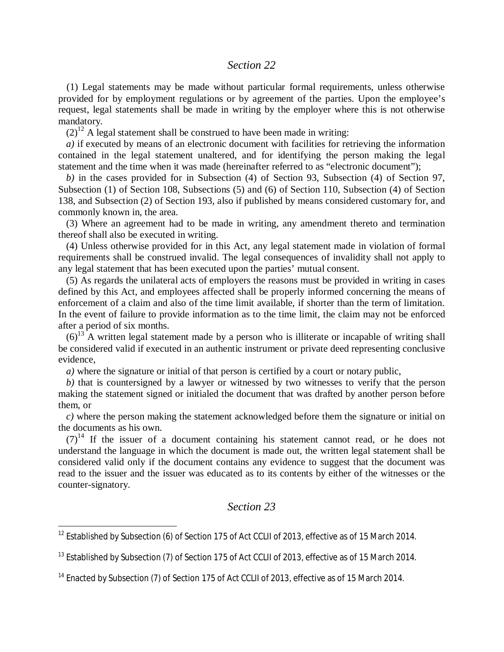### *Section 22*

(1) Legal statements may be made without particular formal requirements, unless otherwise provided for by employment regulations or by agreement of the parties. Upon the employee's request, legal statements shall be made in writing by the employer where this is not otherwise mandatory.

 $(2)^{12}$  $(2)^{12}$  $(2)^{12}$  A legal statement shall be construed to have been made in writing:

*a)* if executed by means of an electronic document with facilities for retrieving the information contained in the legal statement unaltered, and for identifying the person making the legal statement and the time when it was made (hereinafter referred to as "electronic document");

*b)* in the cases provided for in Subsection (4) of Section 93, Subsection (4) of Section 97, Subsection (1) of Section 108, Subsections (5) and (6) of Section 110, Subsection (4) of Section 138, and Subsection (2) of Section 193, also if published by means considered customary for, and commonly known in, the area.

(3) Where an agreement had to be made in writing, any amendment thereto and termination thereof shall also be executed in writing.

(4) Unless otherwise provided for in this Act, any legal statement made in violation of formal requirements shall be construed invalid. The legal consequences of invalidity shall not apply to any legal statement that has been executed upon the parties' mutual consent.

(5) As regards the unilateral acts of employers the reasons must be provided in writing in cases defined by this Act, and employees affected shall be properly informed concerning the means of enforcement of a claim and also of the time limit available, if shorter than the term of limitation. In the event of failure to provide information as to the time limit, the claim may not be enforced after a period of six months.

 $(6)^{13}$  $(6)^{13}$  $(6)^{13}$  A written legal statement made by a person who is illiterate or incapable of writing shall be considered valid if executed in an authentic instrument or private deed representing conclusive evidence,

*a)* where the signature or initial of that person is certified by a court or notary public,

*b)* that is countersigned by a lawyer or witnessed by two witnesses to verify that the person making the statement signed or initialed the document that was drafted by another person before them, or

*c)* where the person making the statement acknowledged before them the signature or initial on the documents as his own.

 $(7)^{14}$  $(7)^{14}$  $(7)^{14}$  If the issuer of a document containing his statement cannot read, or he does not understand the language in which the document is made out, the written legal statement shall be considered valid only if the document contains any evidence to suggest that the document was read to the issuer and the issuer was educated as to its contents by either of the witnesses or the counter-signatory.

# *Section 23*

<span id="page-7-0"></span><sup>&</sup>lt;sup>12</sup> Established by Subsection (6) of Section 175 of Act CCLII of 2013, effective as of 15 March 2014.

<span id="page-7-1"></span><sup>&</sup>lt;sup>13</sup> Established by Subsection (7) of Section 175 of Act CCLII of 2013, effective as of 15 March 2014.

<span id="page-7-2"></span><sup>&</sup>lt;sup>14</sup> Enacted by Subsection (7) of Section 175 of Act CCLII of 2013, effective as of 15 March 2014.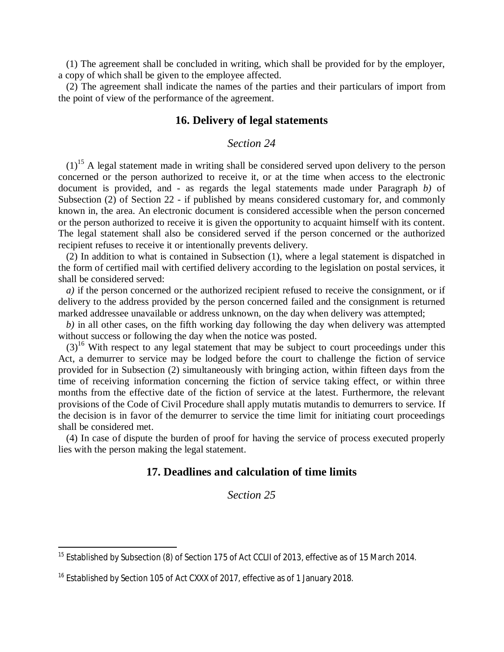(1) The agreement shall be concluded in writing, which shall be provided for by the employer, a copy of which shall be given to the employee affected.

(2) The agreement shall indicate the names of the parties and their particulars of import from the point of view of the performance of the agreement.

# **16. Delivery of legal statements**

### *Section 24*

 $(1)$ <sup>[15](#page-8-0)</sup> A legal statement made in writing shall be considered served upon delivery to the person concerned or the person authorized to receive it, or at the time when access to the electronic document is provided, and - as regards the legal statements made under Paragraph *b)* of Subsection (2) of Section 22 - if published by means considered customary for, and commonly known in, the area. An electronic document is considered accessible when the person concerned or the person authorized to receive it is given the opportunity to acquaint himself with its content. The legal statement shall also be considered served if the person concerned or the authorized recipient refuses to receive it or intentionally prevents delivery.

(2) In addition to what is contained in Subsection (1), where a legal statement is dispatched in the form of certified mail with certified delivery according to the legislation on postal services, it shall be considered served:

*a)* if the person concerned or the authorized recipient refused to receive the consignment, or if delivery to the address provided by the person concerned failed and the consignment is returned marked addressee unavailable or address unknown, on the day when delivery was attempted;

*b)* in all other cases, on the fifth working day following the day when delivery was attempted without success or following the day when the notice was posted.

 $(3)^{16}$  $(3)^{16}$  $(3)^{16}$  With respect to any legal statement that may be subject to court proceedings under this Act, a demurrer to service may be lodged before the court to challenge the fiction of service provided for in Subsection (2) simultaneously with bringing action, within fifteen days from the time of receiving information concerning the fiction of service taking effect, or within three months from the effective date of the fiction of service at the latest. Furthermore, the relevant provisions of the Code of Civil Procedure shall apply mutatis mutandis to demurrers to service. If the decision is in favor of the demurrer to service the time limit for initiating court proceedings shall be considered met.

(4) In case of dispute the burden of proof for having the service of process executed properly lies with the person making the legal statement.

# **17. Deadlines and calculation of time limits**

*Section 25*

<span id="page-8-0"></span><sup>&</sup>lt;sup>15</sup> Established by Subsection (8) of Section 175 of Act CCLII of 2013, effective as of 15 March 2014.

<span id="page-8-1"></span><sup>&</sup>lt;sup>16</sup> Established by Section 105 of Act CXXX of 2017, effective as of 1 January 2018.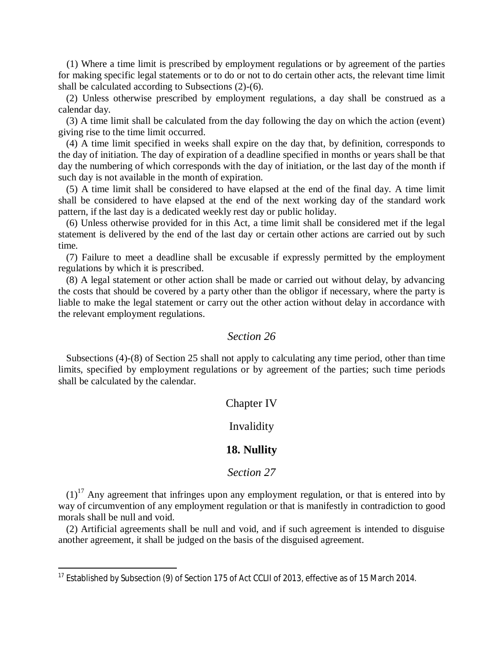(1) Where a time limit is prescribed by employment regulations or by agreement of the parties for making specific legal statements or to do or not to do certain other acts, the relevant time limit shall be calculated according to Subsections (2)-(6).

(2) Unless otherwise prescribed by employment regulations, a day shall be construed as a calendar day.

(3) A time limit shall be calculated from the day following the day on which the action (event) giving rise to the time limit occurred.

(4) A time limit specified in weeks shall expire on the day that, by definition, corresponds to the day of initiation. The day of expiration of a deadline specified in months or years shall be that day the numbering of which corresponds with the day of initiation, or the last day of the month if such day is not available in the month of expiration.

(5) A time limit shall be considered to have elapsed at the end of the final day. A time limit shall be considered to have elapsed at the end of the next working day of the standard work pattern, if the last day is a dedicated weekly rest day or public holiday.

(6) Unless otherwise provided for in this Act, a time limit shall be considered met if the legal statement is delivered by the end of the last day or certain other actions are carried out by such time.

(7) Failure to meet a deadline shall be excusable if expressly permitted by the employment regulations by which it is prescribed.

(8) A legal statement or other action shall be made or carried out without delay, by advancing the costs that should be covered by a party other than the obligor if necessary, where the party is liable to make the legal statement or carry out the other action without delay in accordance with the relevant employment regulations.

### *Section 26*

Subsections (4)-(8) of Section 25 shall not apply to calculating any time period, other than time limits, specified by employment regulations or by agreement of the parties; such time periods shall be calculated by the calendar.

#### Chapter IV

#### Invalidity

#### **18. Nullity**

#### *Section 27*

 $(1)^{17}$  $(1)^{17}$  $(1)^{17}$  Any agreement that infringes upon any employment regulation, or that is entered into by way of circumvention of any employment regulation or that is manifestly in contradiction to good morals shall be null and void.

(2) Artificial agreements shall be null and void, and if such agreement is intended to disguise another agreement, it shall be judged on the basis of the disguised agreement.

<span id="page-9-0"></span><sup>&</sup>lt;sup>17</sup> Established by Subsection (9) of Section 175 of Act CCLII of 2013, effective as of 15 March 2014.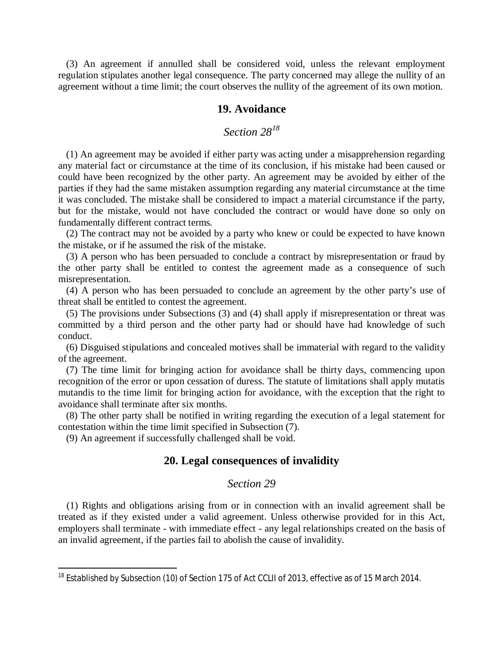(3) An agreement if annulled shall be considered void, unless the relevant employment regulation stipulates another legal consequence. The party concerned may allege the nullity of an agreement without a time limit; the court observes the nullity of the agreement of its own motion.

### **19. Avoidance**

# *Section 28<sup>18</sup>*

(1) An agreement may be avoided if either party was acting under a misapprehension regarding any material fact or circumstance at the time of its conclusion, if his mistake had been caused or could have been recognized by the other party. An agreement may be avoided by either of the parties if they had the same mistaken assumption regarding any material circumstance at the time it was concluded. The mistake shall be considered to impact a material circumstance if the party, but for the mistake, would not have concluded the contract or would have done so only on fundamentally different contract terms.

(2) The contract may not be avoided by a party who knew or could be expected to have known the mistake, or if he assumed the risk of the mistake.

(3) A person who has been persuaded to conclude a contract by misrepresentation or fraud by the other party shall be entitled to contest the agreement made as a consequence of such misrepresentation.

(4) A person who has been persuaded to conclude an agreement by the other party's use of threat shall be entitled to contest the agreement.

(5) The provisions under Subsections (3) and (4) shall apply if misrepresentation or threat was committed by a third person and the other party had or should have had knowledge of such conduct.

(6) Disguised stipulations and concealed motives shall be immaterial with regard to the validity of the agreement.

(7) The time limit for bringing action for avoidance shall be thirty days, commencing upon recognition of the error or upon cessation of duress. The statute of limitations shall apply mutatis mutandis to the time limit for bringing action for avoidance, with the exception that the right to avoidance shall terminate after six months.

(8) The other party shall be notified in writing regarding the execution of a legal statement for contestation within the time limit specified in Subsection (7).

(9) An agreement if successfully challenged shall be void.

### **20. Legal consequences of invalidity**

#### *Section 29*

(1) Rights and obligations arising from or in connection with an invalid agreement shall be treated as if they existed under a valid agreement. Unless otherwise provided for in this Act, employers shall terminate - with immediate effect - any legal relationships created on the basis of an invalid agreement, if the parties fail to abolish the cause of invalidity.

<sup>&</sup>lt;sup>18</sup> Established by Subsection (10) of Section 175 of Act CCLII of 2013, effective as of 15 March 2014.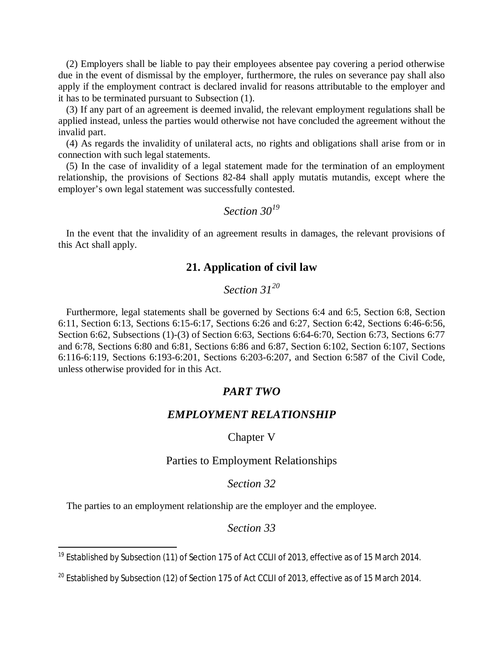(2) Employers shall be liable to pay their employees absentee pay covering a period otherwise due in the event of dismissal by the employer, furthermore, the rules on severance pay shall also apply if the employment contract is declared invalid for reasons attributable to the employer and it has to be terminated pursuant to Subsection (1).

(3) If any part of an agreement is deemed invalid, the relevant employment regulations shall be applied instead, unless the parties would otherwise not have concluded the agreement without the invalid part.

(4) As regards the invalidity of unilateral acts, no rights and obligations shall arise from or in connection with such legal statements.

(5) In the case of invalidity of a legal statement made for the termination of an employment relationship, the provisions of Sections 82-84 shall apply mutatis mutandis, except where the employer's own legal statement was successfully contested.

### *Section 30[19](#page-11-0)*

In the event that the invalidity of an agreement results in damages, the relevant provisions of this Act shall apply.

# **21. Application of civil law**

# *Section 31<sup>20</sup>*

Furthermore, legal statements shall be governed by Sections 6:4 and 6:5, Section 6:8, Section 6:11, Section 6:13, Sections 6:15-6:17, Sections 6:26 and 6:27, Section 6:42, Sections 6:46-6:56, Section 6:62, Subsections (1)-(3) of Section 6:63, Sections 6:64-6:70, Section 6:73, Sections 6:77 and 6:78, Sections 6:80 and 6:81, Sections 6:86 and 6:87, Section 6:102, Section 6:107, Sections 6:116-6:119, Sections 6:193-6:201, Sections 6:203-6:207, and Section 6:587 of the Civil Code, unless otherwise provided for in this Act.

# *PART TWO*

# *EMPLOYMENT RELATIONSHIP*

#### Chapter V

#### Parties to Employment Relationships

#### *Section 32*

The parties to an employment relationship are the employer and the employee.

### *Section 33*

<span id="page-11-0"></span><sup>&</sup>lt;sup>19</sup> Established by Subsection (11) of Section 175 of Act CCLII of 2013, effective as of 15 March 2014.

 $^{20}$  Established by Subsection (12) of Section 175 of Act CCLII of 2013, effective as of 15 March 2014.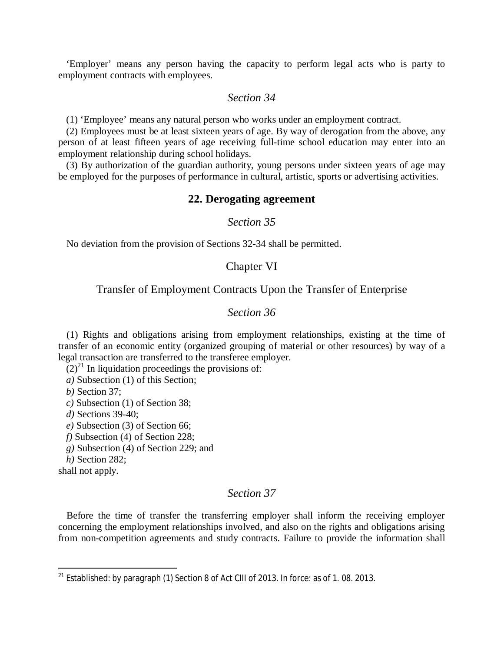'Employer' means any person having the capacity to perform legal acts who is party to employment contracts with employees.

# *Section 34*

(1) 'Employee' means any natural person who works under an employment contract.

(2) Employees must be at least sixteen years of age. By way of derogation from the above, any person of at least fifteen years of age receiving full-time school education may enter into an employment relationship during school holidays.

(3) By authorization of the guardian authority, young persons under sixteen years of age may be employed for the purposes of performance in cultural, artistic, sports or advertising activities.

#### **22. Derogating agreement**

#### *Section 35*

No deviation from the provision of Sections 32-34 shall be permitted.

### Chapter VI

#### Transfer of Employment Contracts Upon the Transfer of Enterprise

### *Section 36*

(1) Rights and obligations arising from employment relationships, existing at the time of transfer of an economic entity (organized grouping of material or other resources) by way of a legal transaction are transferred to the transferee employer.

 $(2)^{21}$  $(2)^{21}$  $(2)^{21}$  In liquidation proceedings the provisions of:

*a)* Subsection (1) of this Section;

*b)* Section 37;

*c)* Subsection (1) of Section 38;

*d)* Sections 39-40;

*e)* Subsection (3) of Section 66;

*f)* Subsection (4) of Section 228;

*g)* Subsection (4) of Section 229; and

*h)* Section 282;

shall not apply.

#### *Section 37*

Before the time of transfer the transferring employer shall inform the receiving employer concerning the employment relationships involved, and also on the rights and obligations arising from non-competition agreements and study contracts. Failure to provide the information shall

<span id="page-12-0"></span> $21$  Established: by paragraph (1) Section 8 of Act CIII of 2013. In force: as of 1.08. 2013.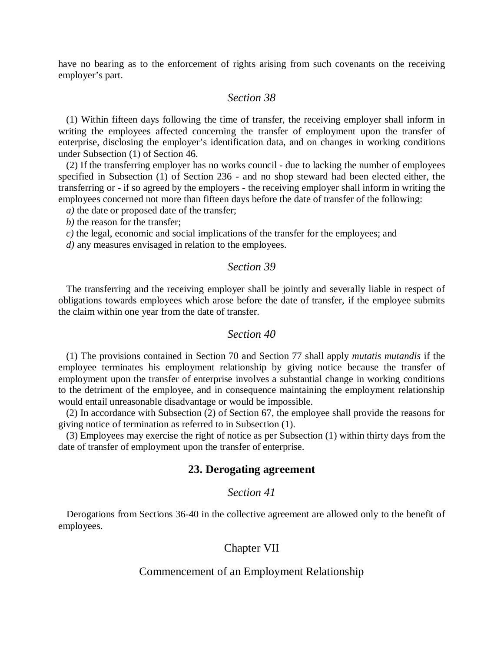have no bearing as to the enforcement of rights arising from such covenants on the receiving employer's part.

# *Section 38*

(1) Within fifteen days following the time of transfer, the receiving employer shall inform in writing the employees affected concerning the transfer of employment upon the transfer of enterprise, disclosing the employer's identification data, and on changes in working conditions under Subsection (1) of Section 46.

(2) If the transferring employer has no works council - due to lacking the number of employees specified in Subsection (1) of Section 236 - and no shop steward had been elected either, the transferring or - if so agreed by the employers - the receiving employer shall inform in writing the employees concerned not more than fifteen days before the date of transfer of the following:

*a)* the date or proposed date of the transfer;

*b)* the reason for the transfer;

*c)* the legal, economic and social implications of the transfer for the employees; and

*d)* any measures envisaged in relation to the employees.

### *Section 39*

The transferring and the receiving employer shall be jointly and severally liable in respect of obligations towards employees which arose before the date of transfer, if the employee submits the claim within one year from the date of transfer.

### *Section 40*

(1) The provisions contained in Section 70 and Section 77 shall apply *mutatis mutandis* if the employee terminates his employment relationship by giving notice because the transfer of employment upon the transfer of enterprise involves a substantial change in working conditions to the detriment of the employee, and in consequence maintaining the employment relationship would entail unreasonable disadvantage or would be impossible.

(2) In accordance with Subsection (2) of Section 67, the employee shall provide the reasons for giving notice of termination as referred to in Subsection (1).

(3) Employees may exercise the right of notice as per Subsection (1) within thirty days from the date of transfer of employment upon the transfer of enterprise.

#### **23. Derogating agreement**

## *Section 41*

Derogations from Sections 36-40 in the collective agreement are allowed only to the benefit of employees.

### Chapter VII

#### Commencement of an Employment Relationship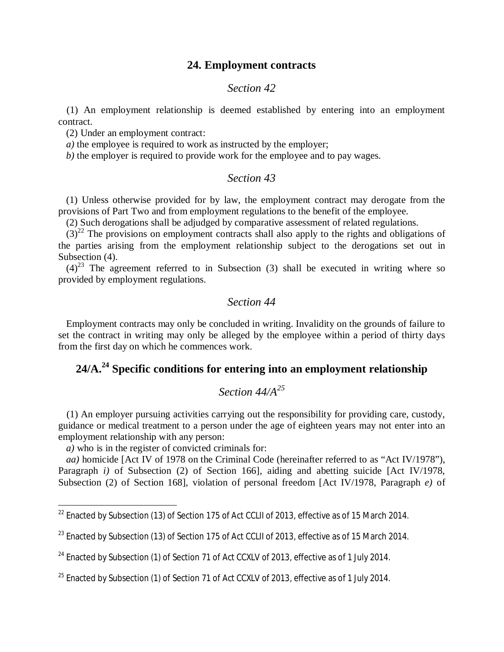# **24. Employment contracts**

#### *Section 42*

(1) An employment relationship is deemed established by entering into an employment contract.

(2) Under an employment contract:

*a)* the employee is required to work as instructed by the employer;

*b)* the employer is required to provide work for the employee and to pay wages.

# *Section 43*

(1) Unless otherwise provided for by law, the employment contract may derogate from the provisions of Part Two and from employment regulations to the benefit of the employee.

(2) Such derogations shall be adjudged by comparative assessment of related regulations.

 $(3)^{22}$  $(3)^{22}$  $(3)^{22}$  The provisions on employment contracts shall also apply to the rights and obligations of the parties arising from the employment relationship subject to the derogations set out in Subsection (4).

 $(4)^{23}$  $(4)^{23}$  $(4)^{23}$  The agreement referred to in Subsection (3) shall be executed in writing where so provided by employment regulations.

# *Section 44*

Employment contracts may only be concluded in writing. Invalidity on the grounds of failure to set the contract in writing may only be alleged by the employee within a period of thirty days from the first day on which he commences work.

# **24/A[.](#page-14-2)<sup>24</sup> Specific conditions for entering into an employment relationship**

# *Section 44/A<sup>25</sup>*

(1) An employer pursuing activities carrying out the responsibility for providing care, custody, guidance or medical treatment to a person under the age of eighteen years may not enter into an employment relationship with any person:

*a)* who is in the register of convicted criminals for:

*aa)* homicide [Act IV of 1978 on the Criminal Code (hereinafter referred to as "Act IV/1978"), Paragraph *i*) of Subsection (2) of Section 166], aiding and abetting suicide [Act IV/1978, Subsection (2) of Section 168], violation of personal freedom [Act IV/1978, Paragraph *e)* of

<span id="page-14-0"></span><sup>&</sup>lt;sup>22</sup> Enacted by Subsection (13) of Section 175 of Act CCLII of 2013, effective as of 15 March 2014.

<span id="page-14-1"></span> $^{23}$  Enacted by Subsection (13) of Section 175 of Act CCLII of 2013, effective as of 15 March 2014.

<span id="page-14-2"></span><sup>&</sup>lt;sup>24</sup> Enacted by Subsection (1) of Section 71 of Act CCXLV of 2013, effective as of 1 July 2014.

 $25$  Enacted by Subsection (1) of Section 71 of Act CCXLV of 2013, effective as of 1 July 2014.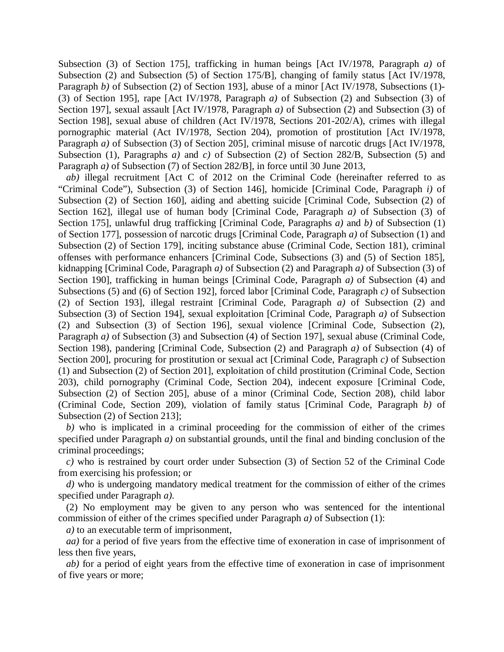Subsection (3) of Section 175], trafficking in human beings [Act IV/1978, Paragraph *a)* of Subsection (2) and Subsection (5) of Section 175/B], changing of family status [Act IV/1978, Paragraph *b*) of Subsection (2) of Section 193], abuse of a minor [Act IV/1978, Subsections (1)-(3) of Section 195], rape [Act IV/1978, Paragraph *a)* of Subsection (2) and Subsection (3) of Section 197], sexual assault [Act IV/1978, Paragraph *a)* of Subsection (2) and Subsection (3) of Section 198], sexual abuse of children (Act IV/1978, Sections 201-202/A), crimes with illegal pornographic material (Act IV/1978, Section 204), promotion of prostitution [Act IV/1978, Paragraph *a*) of Subsection (3) of Section 205], criminal misuse of narcotic drugs [Act IV/1978, Subsection (1), Paragraphs *a)* and *c)* of Subsection (2) of Section 282/B, Subsection (5) and Paragraph *a*) of Subsection (7) of Section 282/B], in force until 30 June 2013,

*ab)* illegal recruitment [Act C of 2012 on the Criminal Code (hereinafter referred to as "Criminal Code"), Subsection (3) of Section 146], homicide [Criminal Code, Paragraph *i)* of Subsection (2) of Section 160], aiding and abetting suicide [Criminal Code, Subsection (2) of Section 162], illegal use of human body [Criminal Code, Paragraph *a)* of Subsection (3) of Section 175], unlawful drug trafficking [Criminal Code, Paragraphs *a)* and *b)* of Subsection (1) of Section 177], possession of narcotic drugs [Criminal Code, Paragraph *a)* of Subsection (1) and Subsection (2) of Section 179], inciting substance abuse (Criminal Code, Section 181), criminal offenses with performance enhancers [Criminal Code, Subsections (3) and (5) of Section 185], kidnapping [Criminal Code, Paragraph *a)* of Subsection (2) and Paragraph *a)* of Subsection (3) of Section 190], trafficking in human beings [Criminal Code, Paragraph *a)* of Subsection (4) and Subsections (5) and (6) of Section 192], forced labor [Criminal Code, Paragraph *c)* of Subsection (2) of Section 193], illegal restraint [Criminal Code, Paragraph *a)* of Subsection (2) and Subsection (3) of Section 194], sexual exploitation [Criminal Code, Paragraph *a)* of Subsection (2) and Subsection (3) of Section 196], sexual violence [Criminal Code, Subsection (2), Paragraph *a*) of Subsection (3) and Subsection (4) of Section 197], sexual abuse (Criminal Code, Section 198), pandering [Criminal Code, Subsection (2) and Paragraph *a)* of Subsection (4) of Section 200], procuring for prostitution or sexual act [Criminal Code, Paragraph *c)* of Subsection (1) and Subsection (2) of Section 201], exploitation of child prostitution (Criminal Code, Section 203), child pornography (Criminal Code, Section 204), indecent exposure [Criminal Code, Subsection (2) of Section 205], abuse of a minor (Criminal Code, Section 208), child labor (Criminal Code, Section 209), violation of family status [Criminal Code, Paragraph *b)* of Subsection (2) of Section 213];

*b)* who is implicated in a criminal proceeding for the commission of either of the crimes specified under Paragraph *a)* on substantial grounds, until the final and binding conclusion of the criminal proceedings;

*c)* who is restrained by court order under Subsection (3) of Section 52 of the Criminal Code from exercising his profession; or

*d)* who is undergoing mandatory medical treatment for the commission of either of the crimes specified under Paragraph *a).*

(2) No employment may be given to any person who was sentenced for the intentional commission of either of the crimes specified under Paragraph *a)* of Subsection (1):

*a)* to an executable term of imprisonment,

*aa)* for a period of five years from the effective time of exoneration in case of imprisonment of less then five years,

*ab)* for a period of eight years from the effective time of exoneration in case of imprisonment of five years or more;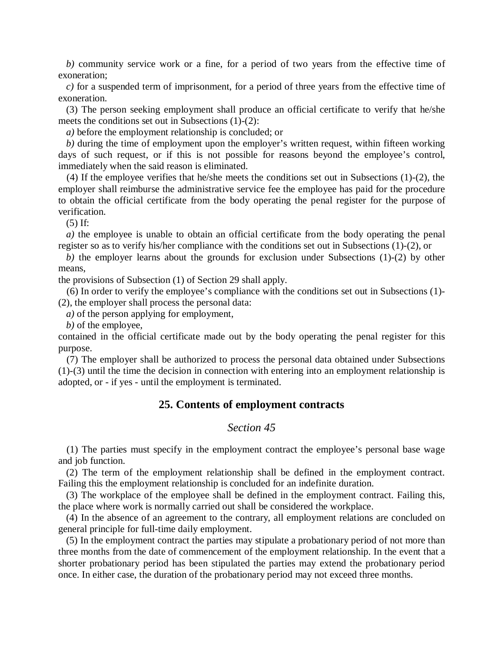*b)* community service work or a fine, for a period of two years from the effective time of exoneration;

*c)* for a suspended term of imprisonment, for a period of three years from the effective time of exoneration.

(3) The person seeking employment shall produce an official certificate to verify that he/she meets the conditions set out in Subsections (1)-(2):

*a)* before the employment relationship is concluded; or

*b)* during the time of employment upon the employer's written request, within fifteen working days of such request, or if this is not possible for reasons beyond the employee's control, immediately when the said reason is eliminated.

(4) If the employee verifies that he/she meets the conditions set out in Subsections (1)-(2), the employer shall reimburse the administrative service fee the employee has paid for the procedure to obtain the official certificate from the body operating the penal register for the purpose of verification.

(5) If:

*a)* the employee is unable to obtain an official certificate from the body operating the penal register so as to verify his/her compliance with the conditions set out in Subsections (1)-(2), or

*b)* the employer learns about the grounds for exclusion under Subsections (1)-(2) by other means,

the provisions of Subsection (1) of Section 29 shall apply.

(6) In order to verify the employee's compliance with the conditions set out in Subsections (1)- (2), the employer shall process the personal data:

*a)* of the person applying for employment,

*b)* of the employee,

contained in the official certificate made out by the body operating the penal register for this purpose.

(7) The employer shall be authorized to process the personal data obtained under Subsections (1)-(3) until the time the decision in connection with entering into an employment relationship is adopted, or - if yes - until the employment is terminated.

# **25. Contents of employment contracts**

#### *Section 45*

(1) The parties must specify in the employment contract the employee's personal base wage and job function.

(2) The term of the employment relationship shall be defined in the employment contract. Failing this the employment relationship is concluded for an indefinite duration.

(3) The workplace of the employee shall be defined in the employment contract. Failing this, the place where work is normally carried out shall be considered the workplace.

(4) In the absence of an agreement to the contrary, all employment relations are concluded on general principle for full-time daily employment.

(5) In the employment contract the parties may stipulate a probationary period of not more than three months from the date of commencement of the employment relationship. In the event that a shorter probationary period has been stipulated the parties may extend the probationary period once. In either case, the duration of the probationary period may not exceed three months.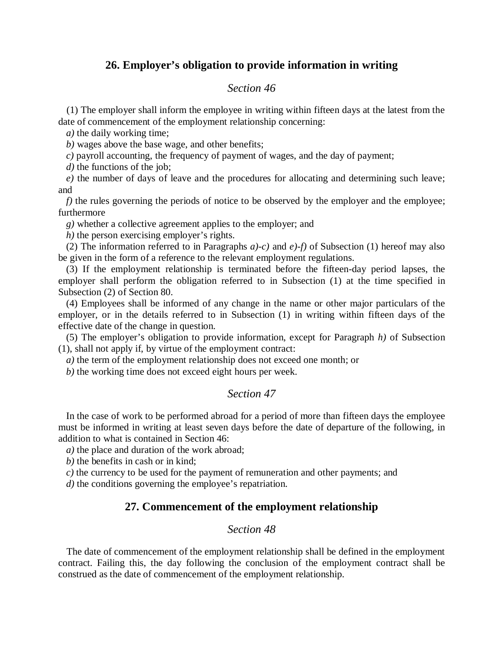# **26. Employer's obligation to provide information in writing**

### *Section 46*

(1) The employer shall inform the employee in writing within fifteen days at the latest from the date of commencement of the employment relationship concerning:

*a)* the daily working time;

*b)* wages above the base wage, and other benefits;

*c)* payroll accounting, the frequency of payment of wages, and the day of payment;

*d)* the functions of the job;

*e)* the number of days of leave and the procedures for allocating and determining such leave; and

*f*) the rules governing the periods of notice to be observed by the employer and the employee; furthermore

*g)* whether a collective agreement applies to the employer; and

*h)* the person exercising employer's rights.

(2) The information referred to in Paragraphs *a)-c)* and *e)-f)* of Subsection (1) hereof may also be given in the form of a reference to the relevant employment regulations.

(3) If the employment relationship is terminated before the fifteen-day period lapses, the employer shall perform the obligation referred to in Subsection (1) at the time specified in Subsection (2) of Section 80.

(4) Employees shall be informed of any change in the name or other major particulars of the employer, or in the details referred to in Subsection (1) in writing within fifteen days of the effective date of the change in question.

(5) The employer's obligation to provide information, except for Paragraph *h)* of Subsection (1), shall not apply if, by virtue of the employment contract:

*a)* the term of the employment relationship does not exceed one month; or

*b)* the working time does not exceed eight hours per week.

# *Section 47*

In the case of work to be performed abroad for a period of more than fifteen days the employee must be informed in writing at least seven days before the date of departure of the following, in addition to what is contained in Section 46:

*a)* the place and duration of the work abroad;

*b)* the benefits in cash or in kind;

*c)* the currency to be used for the payment of remuneration and other payments; and

*d)* the conditions governing the employee's repatriation.

# **27. Commencement of the employment relationship**

# *Section 48*

The date of commencement of the employment relationship shall be defined in the employment contract. Failing this, the day following the conclusion of the employment contract shall be construed as the date of commencement of the employment relationship.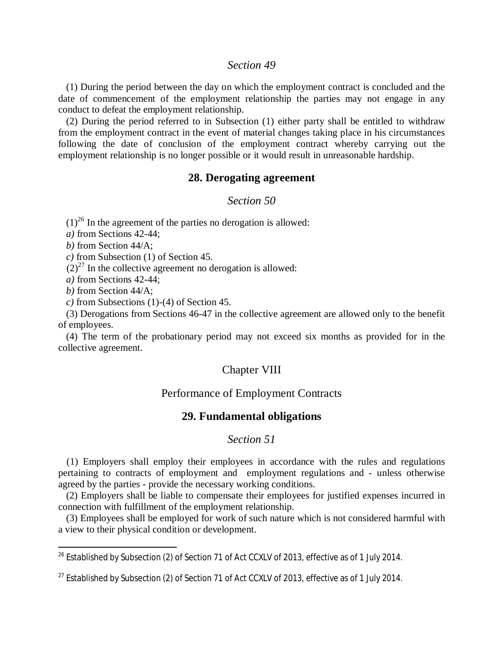#### *Section 49*

(1) During the period between the day on which the employment contract is concluded and the date of commencement of the employment relationship the parties may not engage in any conduct to defeat the employment relationship.

(2) During the period referred to in Subsection (1) either party shall be entitled to withdraw from the employment contract in the event of material changes taking place in his circumstances following the date of conclusion of the employment contract whereby carrying out the employment relationship is no longer possible or it would result in unreasonable hardship.

# **28. Derogating agreement**

*Section 50*

 $(1)^{26}$  $(1)^{26}$  $(1)^{26}$  In the agreement of the parties no derogation is allowed:

*a)* from Sections 42-44;

*b)* from Section 44/A;

*c)* from Subsection (1) of Section 45.

 $(2)^{27}$  $(2)^{27}$  $(2)^{27}$  In the collective agreement no derogation is allowed:

*a)* from Sections 42-44;

*b)* from Section 44/A;

*c)* from Subsections (1)-(4) of Section 45.

(3) Derogations from Sections 46-47 in the collective agreement are allowed only to the benefit of employees.

(4) The term of the probationary period may not exceed six months as provided for in the collective agreement.

#### Chapter VIII

### Performance of Employment Contracts

### **29. Fundamental obligations**

### *Section 51*

(1) Employers shall employ their employees in accordance with the rules and regulations pertaining to contracts of employment and employment regulations and - unless otherwise agreed by the parties - provide the necessary working conditions.

(2) Employers shall be liable to compensate their employees for justified expenses incurred in connection with fulfillment of the employment relationship.

(3) Employees shall be employed for work of such nature which is not considered harmful with a view to their physical condition or development.

<span id="page-18-0"></span><sup>&</sup>lt;sup>26</sup> Established by Subsection (2) of Section 71 of Act CCXLV of 2013, effective as of 1 July 2014.

<span id="page-18-1"></span> $^{27}$  Established by Subsection (2) of Section 71 of Act CCXLV of 2013, effective as of 1 July 2014.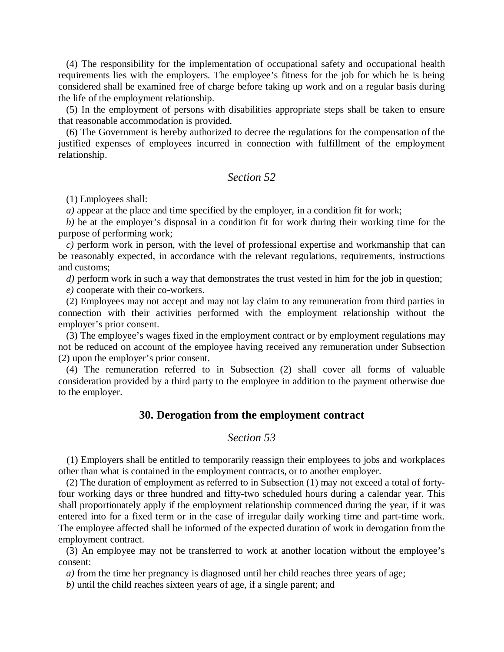(4) The responsibility for the implementation of occupational safety and occupational health requirements lies with the employers. The employee's fitness for the job for which he is being considered shall be examined free of charge before taking up work and on a regular basis during the life of the employment relationship.

(5) In the employment of persons with disabilities appropriate steps shall be taken to ensure that reasonable accommodation is provided.

(6) The Government is hereby authorized to decree the regulations for the compensation of the justified expenses of employees incurred in connection with fulfillment of the employment relationship.

# *Section 52*

(1) Employees shall:

*a)* appear at the place and time specified by the employer, in a condition fit for work;

*b)* be at the employer's disposal in a condition fit for work during their working time for the purpose of performing work;

*c)* perform work in person, with the level of professional expertise and workmanship that can be reasonably expected, in accordance with the relevant regulations, requirements, instructions and customs;

*d)* perform work in such a way that demonstrates the trust vested in him for the job in question;

*e)* cooperate with their co-workers.

(2) Employees may not accept and may not lay claim to any remuneration from third parties in connection with their activities performed with the employment relationship without the employer's prior consent.

(3) The employee's wages fixed in the employment contract or by employment regulations may not be reduced on account of the employee having received any remuneration under Subsection (2) upon the employer's prior consent.

(4) The remuneration referred to in Subsection (2) shall cover all forms of valuable consideration provided by a third party to the employee in addition to the payment otherwise due to the employer.

#### **30. Derogation from the employment contract**

### *Section 53*

(1) Employers shall be entitled to temporarily reassign their employees to jobs and workplaces other than what is contained in the employment contracts, or to another employer.

(2) The duration of employment as referred to in Subsection (1) may not exceed a total of fortyfour working days or three hundred and fifty-two scheduled hours during a calendar year. This shall proportionately apply if the employment relationship commenced during the year, if it was entered into for a fixed term or in the case of irregular daily working time and part-time work. The employee affected shall be informed of the expected duration of work in derogation from the employment contract.

(3) An employee may not be transferred to work at another location without the employee's consent:

*a)* from the time her pregnancy is diagnosed until her child reaches three years of age;

*b)* until the child reaches sixteen years of age, if a single parent; and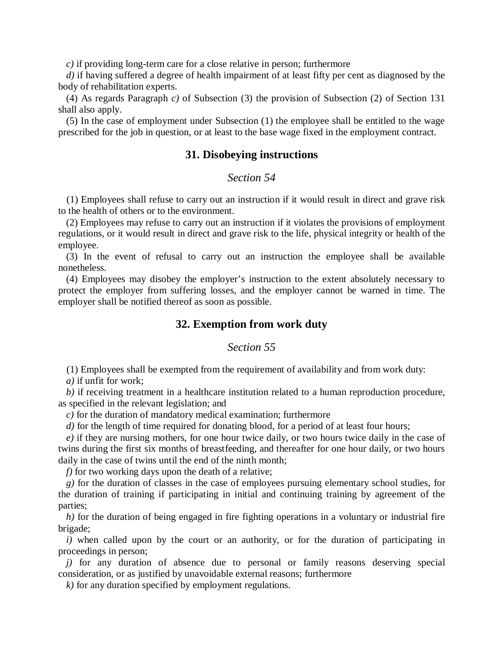*c)* if providing long-term care for a close relative in person; furthermore

*d)* if having suffered a degree of health impairment of at least fifty per cent as diagnosed by the body of rehabilitation experts.

(4) As regards Paragraph *c)* of Subsection (3) the provision of Subsection (2) of Section 131 shall also apply.

(5) In the case of employment under Subsection (1) the employee shall be entitled to the wage prescribed for the job in question, or at least to the base wage fixed in the employment contract.

#### **31. Disobeying instructions**

# *Section 54*

(1) Employees shall refuse to carry out an instruction if it would result in direct and grave risk to the health of others or to the environment.

(2) Employees may refuse to carry out an instruction if it violates the provisions of employment regulations, or it would result in direct and grave risk to the life, physical integrity or health of the employee.

(3) In the event of refusal to carry out an instruction the employee shall be available nonetheless.

(4) Employees may disobey the employer's instruction to the extent absolutely necessary to protect the employer from suffering losses, and the employer cannot be warned in time. The employer shall be notified thereof as soon as possible.

#### **32. Exemption from work duty**

### *Section 55*

(1) Employees shall be exempted from the requirement of availability and from work duty:

*a)* if unfit for work;

*b)* if receiving treatment in a healthcare institution related to a human reproduction procedure, as specified in the relevant legislation; and

*c)* for the duration of mandatory medical examination; furthermore

*d*) for the length of time required for donating blood, for a period of at least four hours;

*e)* if they are nursing mothers, for one hour twice daily, or two hours twice daily in the case of twins during the first six months of breastfeeding, and thereafter for one hour daily, or two hours daily in the case of twins until the end of the ninth month;

*f)* for two working days upon the death of a relative;

*g)* for the duration of classes in the case of employees pursuing elementary school studies, for the duration of training if participating in initial and continuing training by agreement of the parties;

*h)* for the duration of being engaged in fire fighting operations in a voluntary or industrial fire brigade;

*i*) when called upon by the court or an authority, or for the duration of participating in proceedings in person;

*j)* for any duration of absence due to personal or family reasons deserving special consideration, or as justified by unavoidable external reasons; furthermore

*k)* for any duration specified by employment regulations.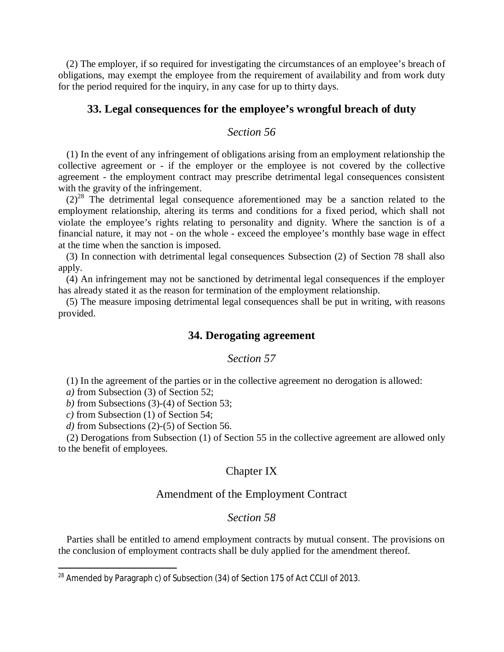(2) The employer, if so required for investigating the circumstances of an employee's breach of obligations, may exempt the employee from the requirement of availability and from work duty for the period required for the inquiry, in any case for up to thirty days.

### **33. Legal consequences for the employee's wrongful breach of duty**

# *Section 56*

(1) In the event of any infringement of obligations arising from an employment relationship the collective agreement or - if the employer or the employee is not covered by the collective agreement - the employment contract may prescribe detrimental legal consequences consistent with the gravity of the infringement.

 $(2)^{28}$  $(2)^{28}$  $(2)^{28}$  The detrimental legal consequence aforementioned may be a sanction related to the employment relationship, altering its terms and conditions for a fixed period, which shall not violate the employee's rights relating to personality and dignity. Where the sanction is of a financial nature, it may not - on the whole - exceed the employee's monthly base wage in effect at the time when the sanction is imposed.

(3) In connection with detrimental legal consequences Subsection (2) of Section 78 shall also apply.

(4) An infringement may not be sanctioned by detrimental legal consequences if the employer has already stated it as the reason for termination of the employment relationship.

(5) The measure imposing detrimental legal consequences shall be put in writing, with reasons provided.

### **34. Derogating agreement**

### *Section 57*

(1) In the agreement of the parties or in the collective agreement no derogation is allowed:

*a)* from Subsection (3) of Section 52;

*b)* from Subsections (3)-(4) of Section 53;

*c)* from Subsection (1) of Section 54;

*d)* from Subsections (2)-(5) of Section 56.

(2) Derogations from Subsection (1) of Section 55 in the collective agreement are allowed only to the benefit of employees.

### Chapter IX

### Amendment of the Employment Contract

# *Section 58*

Parties shall be entitled to amend employment contracts by mutual consent. The provisions on the conclusion of employment contracts shall be duly applied for the amendment thereof.

<span id="page-21-0"></span><sup>&</sup>lt;sup>28</sup> Amended by Paragraph c) of Subsection (34) of Section 175 of Act CCLII of 2013.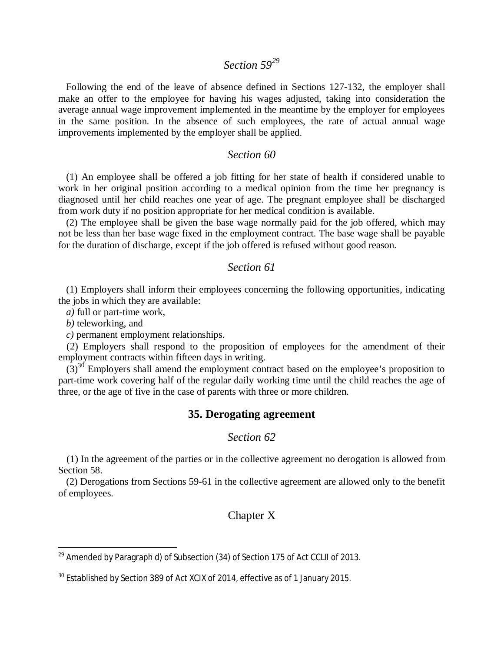# *Section 59[29](#page-22-0)*

Following the end of the leave of absence defined in Sections 127-132, the employer shall make an offer to the employee for having his wages adjusted, taking into consideration the average annual wage improvement implemented in the meantime by the employer for employees in the same position. In the absence of such employees, the rate of actual annual wage improvements implemented by the employer shall be applied.

### *Section 60*

(1) An employee shall be offered a job fitting for her state of health if considered unable to work in her original position according to a medical opinion from the time her pregnancy is diagnosed until her child reaches one year of age. The pregnant employee shall be discharged from work duty if no position appropriate for her medical condition is available.

(2) The employee shall be given the base wage normally paid for the job offered, which may not be less than her base wage fixed in the employment contract. The base wage shall be payable for the duration of discharge, except if the job offered is refused without good reason.

### *Section 61*

(1) Employers shall inform their employees concerning the following opportunities, indicating the jobs in which they are available:

*a)* full or part-time work,

*b)* teleworking, and

*c)* permanent employment relationships.

(2) Employers shall respond to the proposition of employees for the amendment of their employment contracts within fifteen days in writing.

 $(3)^{30}$  $(3)^{30}$  $(3)^{30}$  Employers shall amend the employment contract based on the employee's proposition to part-time work covering half of the regular daily working time until the child reaches the age of three, or the age of five in the case of parents with three or more children.

# **35. Derogating agreement**

### *Section 62*

(1) In the agreement of the parties or in the collective agreement no derogation is allowed from Section 58.

(2) Derogations from Sections 59-61 in the collective agreement are allowed only to the benefit of employees.

# Chapter X

<span id="page-22-0"></span><sup>&</sup>lt;sup>29</sup> Amended by Paragraph d) of Subsection (34) of Section 175 of Act CCLII of 2013.

<span id="page-22-1"></span><sup>&</sup>lt;sup>30</sup> Established by Section 389 of Act XCIX of 2014, effective as of 1 January 2015.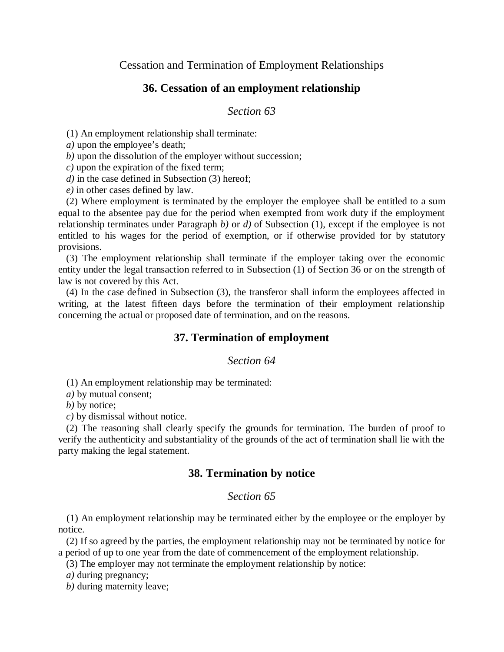Cessation and Termination of Employment Relationships

# **36. Cessation of an employment relationship**

### *Section 63*

(1) An employment relationship shall terminate:

*a)* upon the employee's death;

*b)* upon the dissolution of the employer without succession;

*c)* upon the expiration of the fixed term;

*d*) in the case defined in Subsection (3) hereof;

*e)* in other cases defined by law.

(2) Where employment is terminated by the employer the employee shall be entitled to a sum equal to the absentee pay due for the period when exempted from work duty if the employment relationship terminates under Paragraph *b)* or *d)* of Subsection (1), except if the employee is not entitled to his wages for the period of exemption, or if otherwise provided for by statutory provisions.

(3) The employment relationship shall terminate if the employer taking over the economic entity under the legal transaction referred to in Subsection (1) of Section 36 or on the strength of law is not covered by this Act.

(4) In the case defined in Subsection (3), the transferor shall inform the employees affected in writing, at the latest fifteen days before the termination of their employment relationship concerning the actual or proposed date of termination, and on the reasons.

# **37. Termination of employment**

#### *Section 64*

(1) An employment relationship may be terminated:

*a)* by mutual consent;

*b)* by notice;

*c)* by dismissal without notice.

(2) The reasoning shall clearly specify the grounds for termination. The burden of proof to verify the authenticity and substantiality of the grounds of the act of termination shall lie with the party making the legal statement.

# **38. Termination by notice**

### *Section 65*

(1) An employment relationship may be terminated either by the employee or the employer by notice.

(2) If so agreed by the parties, the employment relationship may not be terminated by notice for a period of up to one year from the date of commencement of the employment relationship.

(3) The employer may not terminate the employment relationship by notice:

*a)* during pregnancy;

*b)* during maternity leave;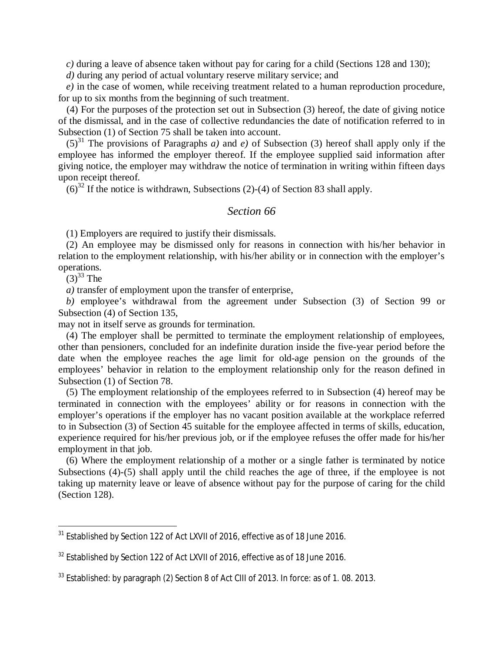*c)* during a leave of absence taken without pay for caring for a child (Sections 128 and 130);

*d)* during any period of actual voluntary reserve military service; and

*e)* in the case of women, while receiving treatment related to a human reproduction procedure, for up to six months from the beginning of such treatment.

(4) For the purposes of the protection set out in Subsection (3) hereof, the date of giving notice of the dismissal, and in the case of collective redundancies the date of notification referred to in Subsection (1) of Section 75 shall be taken into account.

 $(5)^{31}$  $(5)^{31}$  $(5)^{31}$  The provisions of Paragraphs *a)* and *e)* of Subsection (3) hereof shall apply only if the employee has informed the employer thereof. If the employee supplied said information after giving notice, the employer may withdraw the notice of termination in writing within fifteen days upon receipt thereof.

 $(6)^{32}$  $(6)^{32}$  $(6)^{32}$  If the notice is withdrawn, Subsections (2)-(4) of Section 83 shall apply.

# *Section 66*

(1) Employers are required to justify their dismissals.

(2) An employee may be dismissed only for reasons in connection with his/her behavior in relation to the employment relationship, with his/her ability or in connection with the employer's operations.

 $(3)^{33}$  $(3)^{33}$  $(3)^{33}$  The

*a)* transfer of employment upon the transfer of enterprise,

*b)* employee's withdrawal from the agreement under Subsection (3) of Section 99 or Subsection (4) of Section 135,

may not in itself serve as grounds for termination.

(4) The employer shall be permitted to terminate the employment relationship of employees, other than pensioners, concluded for an indefinite duration inside the five-year period before the date when the employee reaches the age limit for old-age pension on the grounds of the employees' behavior in relation to the employment relationship only for the reason defined in Subsection (1) of Section 78.

(5) The employment relationship of the employees referred to in Subsection (4) hereof may be terminated in connection with the employees' ability or for reasons in connection with the employer's operations if the employer has no vacant position available at the workplace referred to in Subsection (3) of Section 45 suitable for the employee affected in terms of skills, education, experience required for his/her previous job, or if the employee refuses the offer made for his/her employment in that job.

(6) Where the employment relationship of a mother or a single father is terminated by notice Subsections (4)-(5) shall apply until the child reaches the age of three, if the employee is not taking up maternity leave or leave of absence without pay for the purpose of caring for the child (Section 128).

<span id="page-24-0"></span> $31$  Established by Section 122 of Act LXVII of 2016, effective as of 18 June 2016.

<span id="page-24-1"></span> $32$  Established by Section 122 of Act LXVII of 2016, effective as of 18 June 2016.

<span id="page-24-2"></span> $33$  Established: by paragraph (2) Section 8 of Act CIII of 2013. In force: as of 1.08. 2013.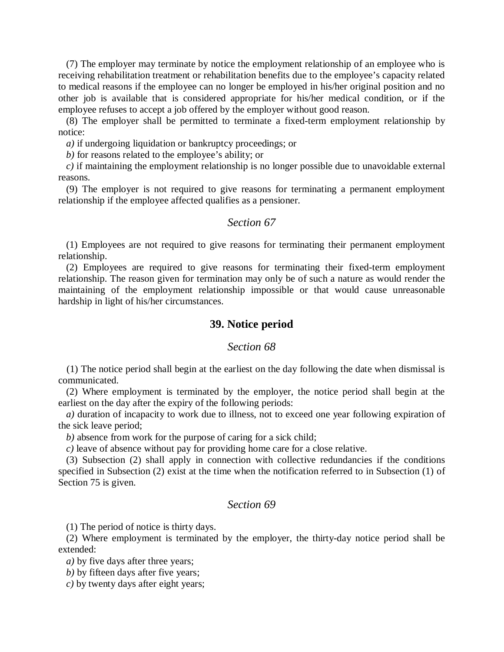(7) The employer may terminate by notice the employment relationship of an employee who is receiving rehabilitation treatment or rehabilitation benefits due to the employee's capacity related to medical reasons if the employee can no longer be employed in his/her original position and no other job is available that is considered appropriate for his/her medical condition, or if the employee refuses to accept a job offered by the employer without good reason.

(8) The employer shall be permitted to terminate a fixed-term employment relationship by notice:

*a)* if undergoing liquidation or bankruptcy proceedings; or

*b)* for reasons related to the employee's ability; or

*c)* if maintaining the employment relationship is no longer possible due to unavoidable external reasons.

(9) The employer is not required to give reasons for terminating a permanent employment relationship if the employee affected qualifies as a pensioner.

### *Section 67*

(1) Employees are not required to give reasons for terminating their permanent employment relationship.

(2) Employees are required to give reasons for terminating their fixed-term employment relationship. The reason given for termination may only be of such a nature as would render the maintaining of the employment relationship impossible or that would cause unreasonable hardship in light of his/her circumstances.

#### **39. Notice period**

### *Section 68*

(1) The notice period shall begin at the earliest on the day following the date when dismissal is communicated.

(2) Where employment is terminated by the employer, the notice period shall begin at the earliest on the day after the expiry of the following periods:

*a)* duration of incapacity to work due to illness, not to exceed one year following expiration of the sick leave period;

*b)* absence from work for the purpose of caring for a sick child;

*c)* leave of absence without pay for providing home care for a close relative.

(3) Subsection (2) shall apply in connection with collective redundancies if the conditions specified in Subsection (2) exist at the time when the notification referred to in Subsection (1) of Section 75 is given.

# *Section 69*

(1) The period of notice is thirty days.

(2) Where employment is terminated by the employer, the thirty-day notice period shall be extended:

*a*) by five days after three years;

*b)* by fifteen days after five years;

*c)* by twenty days after eight years;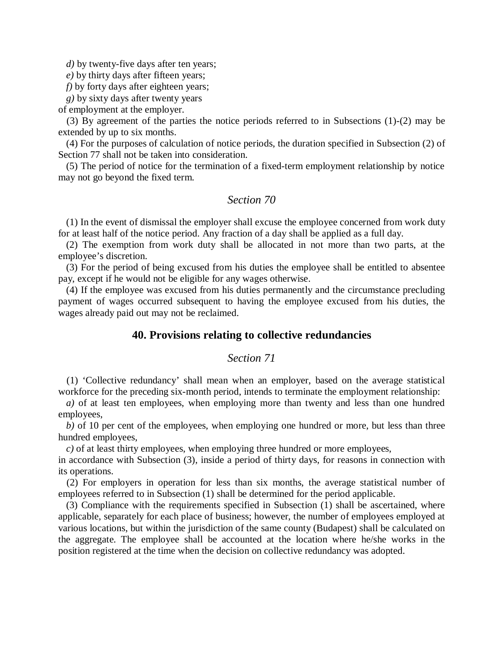*d*) by twenty-five days after ten years;

*e)* by thirty days after fifteen years;

*f*) by forty days after eighteen years;

*g)* by sixty days after twenty years

of employment at the employer.

(3) By agreement of the parties the notice periods referred to in Subsections (1)-(2) may be extended by up to six months.

(4) For the purposes of calculation of notice periods, the duration specified in Subsection (2) of Section 77 shall not be taken into consideration.

(5) The period of notice for the termination of a fixed-term employment relationship by notice may not go beyond the fixed term.

# *Section 70*

(1) In the event of dismissal the employer shall excuse the employee concerned from work duty for at least half of the notice period. Any fraction of a day shall be applied as a full day.

(2) The exemption from work duty shall be allocated in not more than two parts, at the employee's discretion.

(3) For the period of being excused from his duties the employee shall be entitled to absentee pay, except if he would not be eligible for any wages otherwise.

(4) If the employee was excused from his duties permanently and the circumstance precluding payment of wages occurred subsequent to having the employee excused from his duties, the wages already paid out may not be reclaimed.

#### **40. Provisions relating to collective redundancies**

### *Section 71*

(1) 'Collective redundancy' shall mean when an employer, based on the average statistical workforce for the preceding six-month period, intends to terminate the employment relationship:

*a)* of at least ten employees, when employing more than twenty and less than one hundred employees,

*b)* of 10 per cent of the employees, when employing one hundred or more, but less than three hundred employees,

*c)* of at least thirty employees, when employing three hundred or more employees,

in accordance with Subsection (3), inside a period of thirty days, for reasons in connection with its operations.

(2) For employers in operation for less than six months, the average statistical number of employees referred to in Subsection (1) shall be determined for the period applicable.

(3) Compliance with the requirements specified in Subsection (1) shall be ascertained, where applicable, separately for each place of business; however, the number of employees employed at various locations, but within the jurisdiction of the same county (Budapest) shall be calculated on the aggregate. The employee shall be accounted at the location where he/she works in the position registered at the time when the decision on collective redundancy was adopted.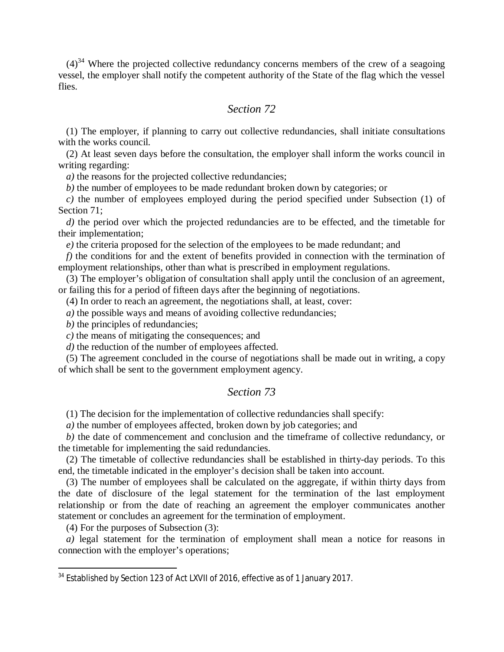$(4)^{34}$  $(4)^{34}$  $(4)^{34}$  Where the projected collective redundancy concerns members of the crew of a seagoing vessel, the employer shall notify the competent authority of the State of the flag which the vessel flies.

# *Section 72*

(1) The employer, if planning to carry out collective redundancies, shall initiate consultations with the works council.

(2) At least seven days before the consultation, the employer shall inform the works council in writing regarding:

*a*) the reasons for the projected collective redundancies;

*b)* the number of employees to be made redundant broken down by categories; or

*c)* the number of employees employed during the period specified under Subsection (1) of Section 71:

*d*) the period over which the projected redundancies are to be effected, and the timetable for their implementation;

*e)* the criteria proposed for the selection of the employees to be made redundant; and

*f*) the conditions for and the extent of benefits provided in connection with the termination of employment relationships, other than what is prescribed in employment regulations.

(3) The employer's obligation of consultation shall apply until the conclusion of an agreement, or failing this for a period of fifteen days after the beginning of negotiations.

(4) In order to reach an agreement, the negotiations shall, at least, cover:

*a*) the possible ways and means of avoiding collective redundancies;

*b*) the principles of redundancies;

*c)* the means of mitigating the consequences; and

*d)* the reduction of the number of employees affected.

(5) The agreement concluded in the course of negotiations shall be made out in writing, a copy of which shall be sent to the government employment agency.

# *Section 73*

(1) The decision for the implementation of collective redundancies shall specify:

*a)* the number of employees affected, broken down by job categories; and

*b)* the date of commencement and conclusion and the timeframe of collective redundancy, or the timetable for implementing the said redundancies.

(2) The timetable of collective redundancies shall be established in thirty-day periods. To this end, the timetable indicated in the employer's decision shall be taken into account.

(3) The number of employees shall be calculated on the aggregate, if within thirty days from the date of disclosure of the legal statement for the termination of the last employment relationship or from the date of reaching an agreement the employer communicates another statement or concludes an agreement for the termination of employment.

(4) For the purposes of Subsection (3):

*a)* legal statement for the termination of employment shall mean a notice for reasons in connection with the employer's operations;

<span id="page-27-0"></span><sup>&</sup>lt;sup>34</sup> Established by Section 123 of Act LXVII of 2016, effective as of 1 January 2017.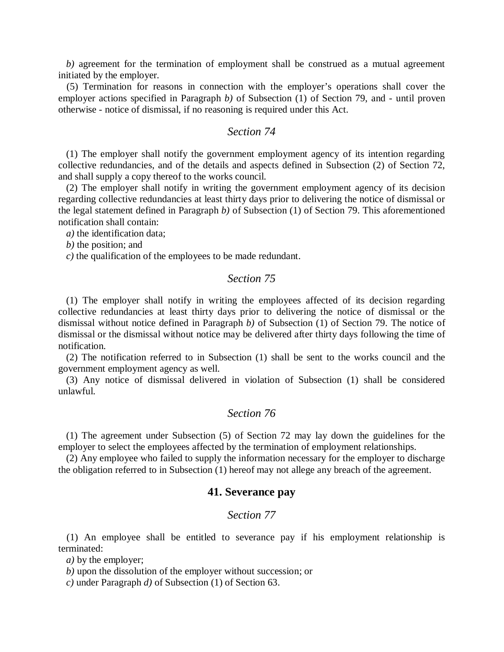*b)* agreement for the termination of employment shall be construed as a mutual agreement initiated by the employer.

(5) Termination for reasons in connection with the employer's operations shall cover the employer actions specified in Paragraph *b)* of Subsection (1) of Section 79, and - until proven otherwise - notice of dismissal, if no reasoning is required under this Act.

### *Section 74*

(1) The employer shall notify the government employment agency of its intention regarding collective redundancies, and of the details and aspects defined in Subsection (2) of Section 72, and shall supply a copy thereof to the works council.

(2) The employer shall notify in writing the government employment agency of its decision regarding collective redundancies at least thirty days prior to delivering the notice of dismissal or the legal statement defined in Paragraph *b)* of Subsection (1) of Section 79. This aforementioned notification shall contain:

*a)* the identification data;

*b)* the position; and

*c)* the qualification of the employees to be made redundant.

### *Section 75*

(1) The employer shall notify in writing the employees affected of its decision regarding collective redundancies at least thirty days prior to delivering the notice of dismissal or the dismissal without notice defined in Paragraph *b)* of Subsection (1) of Section 79. The notice of dismissal or the dismissal without notice may be delivered after thirty days following the time of notification.

(2) The notification referred to in Subsection (1) shall be sent to the works council and the government employment agency as well.

(3) Any notice of dismissal delivered in violation of Subsection (1) shall be considered unlawful.

# *Section 76*

(1) The agreement under Subsection (5) of Section 72 may lay down the guidelines for the employer to select the employees affected by the termination of employment relationships.

(2) Any employee who failed to supply the information necessary for the employer to discharge the obligation referred to in Subsection (1) hereof may not allege any breach of the agreement.

#### **41. Severance pay**

#### *Section 77*

(1) An employee shall be entitled to severance pay if his employment relationship is terminated:

*a)* by the employer;

*b)* upon the dissolution of the employer without succession; or

*c)* under Paragraph *d)* of Subsection (1) of Section 63.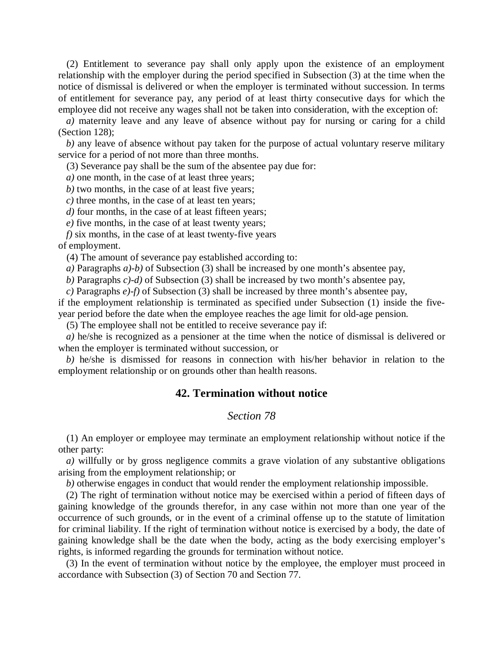(2) Entitlement to severance pay shall only apply upon the existence of an employment relationship with the employer during the period specified in Subsection (3) at the time when the notice of dismissal is delivered or when the employer is terminated without succession. In terms of entitlement for severance pay, any period of at least thirty consecutive days for which the employee did not receive any wages shall not be taken into consideration, with the exception of:

*a)* maternity leave and any leave of absence without pay for nursing or caring for a child (Section 128);

*b)* any leave of absence without pay taken for the purpose of actual voluntary reserve military service for a period of not more than three months.

(3) Severance pay shall be the sum of the absentee pay due for:

*a)* one month, in the case of at least three years;

*b)* two months, in the case of at least five years;

*c)* three months, in the case of at least ten years;

*d)* four months, in the case of at least fifteen years;

*e)* five months, in the case of at least twenty years;

*f)* six months, in the case of at least twenty-five years of employment.

(4) The amount of severance pay established according to:

*a)* Paragraphs *a)-b)* of Subsection (3) shall be increased by one month's absentee pay,

*b)* Paragraphs *c)-d)* of Subsection (3) shall be increased by two month's absentee pay,

*c)* Paragraphs *e)-f)* of Subsection (3) shall be increased by three month's absentee pay,

if the employment relationship is terminated as specified under Subsection (1) inside the fiveyear period before the date when the employee reaches the age limit for old-age pension.

(5) The employee shall not be entitled to receive severance pay if:

*a)* he/she is recognized as a pensioner at the time when the notice of dismissal is delivered or when the employer is terminated without succession, or

*b)* he/she is dismissed for reasons in connection with his/her behavior in relation to the employment relationship or on grounds other than health reasons.

#### **42. Termination without notice**

#### *Section 78*

(1) An employer or employee may terminate an employment relationship without notice if the other party:

*a)* willfully or by gross negligence commits a grave violation of any substantive obligations arising from the employment relationship; or

*b)* otherwise engages in conduct that would render the employment relationship impossible.

(2) The right of termination without notice may be exercised within a period of fifteen days of gaining knowledge of the grounds therefor, in any case within not more than one year of the occurrence of such grounds, or in the event of a criminal offense up to the statute of limitation for criminal liability. If the right of termination without notice is exercised by a body, the date of gaining knowledge shall be the date when the body, acting as the body exercising employer's rights, is informed regarding the grounds for termination without notice.

(3) In the event of termination without notice by the employee, the employer must proceed in accordance with Subsection (3) of Section 70 and Section 77.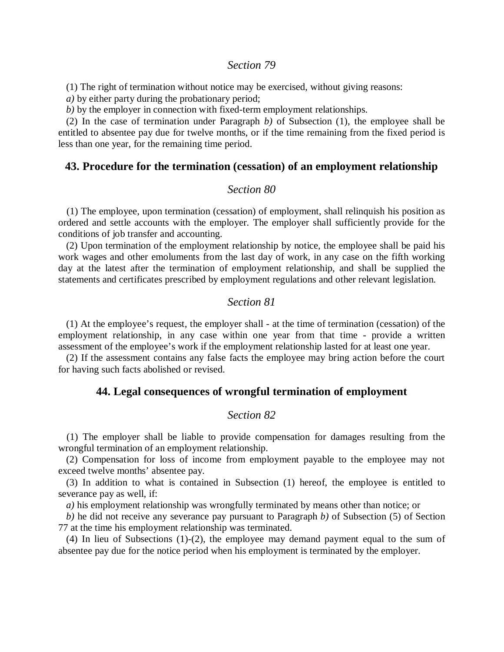#### *Section 79*

(1) The right of termination without notice may be exercised, without giving reasons:

*a)* by either party during the probationary period;

*b)* by the employer in connection with fixed-term employment relationships.

(2) In the case of termination under Paragraph *b)* of Subsection (1), the employee shall be entitled to absentee pay due for twelve months, or if the time remaining from the fixed period is less than one year, for the remaining time period.

#### **43. Procedure for the termination (cessation) of an employment relationship**

#### *Section 80*

(1) The employee, upon termination (cessation) of employment, shall relinquish his position as ordered and settle accounts with the employer. The employer shall sufficiently provide for the conditions of job transfer and accounting.

(2) Upon termination of the employment relationship by notice, the employee shall be paid his work wages and other emoluments from the last day of work, in any case on the fifth working day at the latest after the termination of employment relationship, and shall be supplied the statements and certificates prescribed by employment regulations and other relevant legislation.

#### *Section 81*

(1) At the employee's request, the employer shall - at the time of termination (cessation) of the employment relationship, in any case within one year from that time - provide a written assessment of the employee's work if the employment relationship lasted for at least one year.

(2) If the assessment contains any false facts the employee may bring action before the court for having such facts abolished or revised.

#### **44. Legal consequences of wrongful termination of employment**

### *Section 82*

(1) The employer shall be liable to provide compensation for damages resulting from the wrongful termination of an employment relationship.

(2) Compensation for loss of income from employment payable to the employee may not exceed twelve months' absentee pay.

(3) In addition to what is contained in Subsection (1) hereof, the employee is entitled to severance pay as well, if:

*a)* his employment relationship was wrongfully terminated by means other than notice; or

*b)* he did not receive any severance pay pursuant to Paragraph *b)* of Subsection (5) of Section 77 at the time his employment relationship was terminated.

(4) In lieu of Subsections (1)-(2), the employee may demand payment equal to the sum of absentee pay due for the notice period when his employment is terminated by the employer.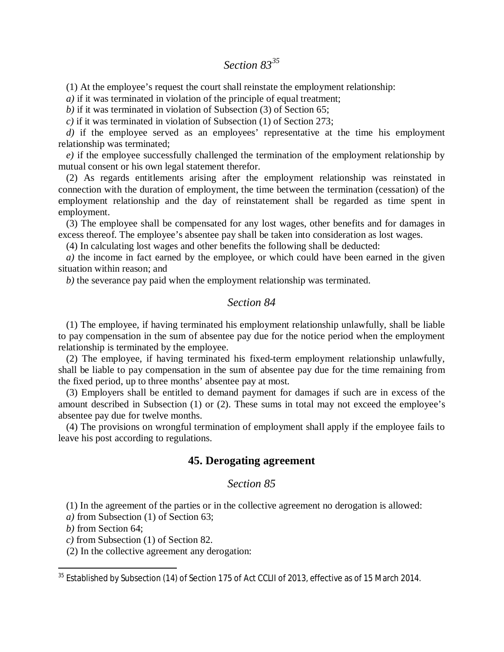# *Section 83[35](#page-31-0)*

(1) At the employee's request the court shall reinstate the employment relationship:

*a)* if it was terminated in violation of the principle of equal treatment;

*b)* if it was terminated in violation of Subsection (3) of Section 65;

*c)* if it was terminated in violation of Subsection (1) of Section 273;

*d*) if the employee served as an employees' representative at the time his employment relationship was terminated;

*e)* if the employee successfully challenged the termination of the employment relationship by mutual consent or his own legal statement therefor.

(2) As regards entitlements arising after the employment relationship was reinstated in connection with the duration of employment, the time between the termination (cessation) of the employment relationship and the day of reinstatement shall be regarded as time spent in employment.

(3) The employee shall be compensated for any lost wages, other benefits and for damages in excess thereof. The employee's absentee pay shall be taken into consideration as lost wages.

(4) In calculating lost wages and other benefits the following shall be deducted:

*a)* the income in fact earned by the employee, or which could have been earned in the given situation within reason; and

*b)* the severance pay paid when the employment relationship was terminated.

# *Section 84*

(1) The employee, if having terminated his employment relationship unlawfully, shall be liable to pay compensation in the sum of absentee pay due for the notice period when the employment relationship is terminated by the employee.

(2) The employee, if having terminated his fixed-term employment relationship unlawfully, shall be liable to pay compensation in the sum of absentee pay due for the time remaining from the fixed period, up to three months' absentee pay at most.

(3) Employers shall be entitled to demand payment for damages if such are in excess of the amount described in Subsection (1) or (2). These sums in total may not exceed the employee's absentee pay due for twelve months.

(4) The provisions on wrongful termination of employment shall apply if the employee fails to leave his post according to regulations.

### **45. Derogating agreement**

#### *Section 85*

(1) In the agreement of the parties or in the collective agreement no derogation is allowed:

*a)* from Subsection (1) of Section 63;

*b)* from Section 64;

*c)* from Subsection (1) of Section 82.

(2) In the collective agreement any derogation:

<span id="page-31-0"></span><sup>&</sup>lt;sup>35</sup> Established by Subsection (14) of Section 175 of Act CCLII of 2013, effective as of 15 March 2014.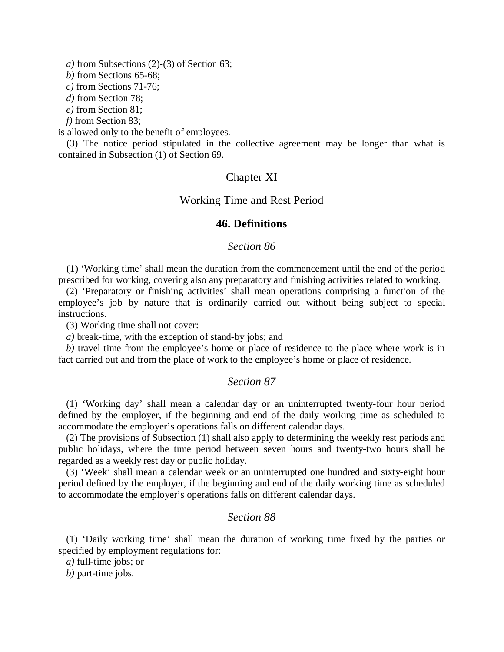*a)* from Subsections (2)-(3) of Section 63;

*b)* from Sections 65-68;

*c)* from Sections 71-76;

*d)* from Section 78;

*e)* from Section 81;

*f)* from Section 83;

is allowed only to the benefit of employees.

(3) The notice period stipulated in the collective agreement may be longer than what is contained in Subsection (1) of Section 69.

### Chapter XI

Working Time and Rest Period

### **46. Definitions**

### *Section 86*

(1) 'Working time' shall mean the duration from the commencement until the end of the period prescribed for working, covering also any preparatory and finishing activities related to working.

(2) 'Preparatory or finishing activities' shall mean operations comprising a function of the employee's job by nature that is ordinarily carried out without being subject to special instructions.

(3) Working time shall not cover:

*a)* break-time, with the exception of stand-by jobs; and

*b)* travel time from the employee's home or place of residence to the place where work is in fact carried out and from the place of work to the employee's home or place of residence.

#### *Section 87*

(1) 'Working day' shall mean a calendar day or an uninterrupted twenty-four hour period defined by the employer, if the beginning and end of the daily working time as scheduled to accommodate the employer's operations falls on different calendar days.

(2) The provisions of Subsection (1) shall also apply to determining the weekly rest periods and public holidays, where the time period between seven hours and twenty-two hours shall be regarded as a weekly rest day or public holiday.

(3) 'Week' shall mean a calendar week or an uninterrupted one hundred and sixty-eight hour period defined by the employer, if the beginning and end of the daily working time as scheduled to accommodate the employer's operations falls on different calendar days.

### *Section 88*

(1) 'Daily working time' shall mean the duration of working time fixed by the parties or specified by employment regulations for:

*a)* full-time jobs; or

*b)* part-time jobs.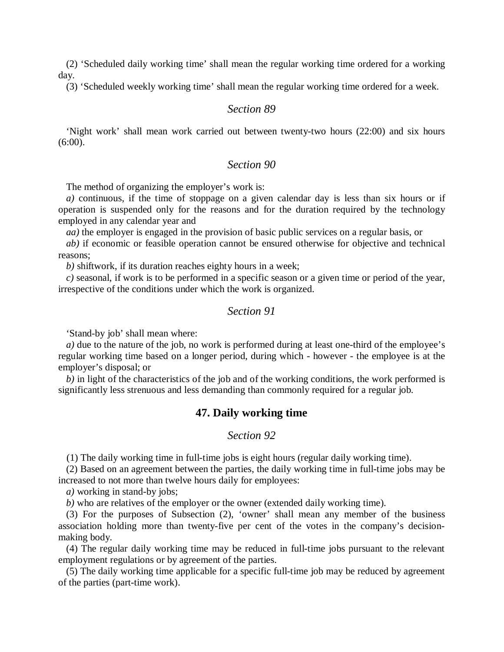(2) 'Scheduled daily working time' shall mean the regular working time ordered for a working day.

(3) 'Scheduled weekly working time' shall mean the regular working time ordered for a week.

### *Section 89*

'Night work' shall mean work carried out between twenty-two hours (22:00) and six hours  $(6:00)$ .

### *Section 90*

The method of organizing the employer's work is:

*a)* continuous, if the time of stoppage on a given calendar day is less than six hours or if operation is suspended only for the reasons and for the duration required by the technology employed in any calendar year and

*aa)* the employer is engaged in the provision of basic public services on a regular basis, or

*ab)* if economic or feasible operation cannot be ensured otherwise for objective and technical reasons;

*b)* shiftwork, if its duration reaches eighty hours in a week;

*c)* seasonal, if work is to be performed in a specific season or a given time or period of the year, irrespective of the conditions under which the work is organized.

### *Section 91*

'Stand-by job' shall mean where:

*a*) due to the nature of the job, no work is performed during at least one-third of the employee's regular working time based on a longer period, during which - however - the employee is at the employer's disposal; or

*b)* in light of the characteristics of the job and of the working conditions, the work performed is significantly less strenuous and less demanding than commonly required for a regular job.

#### **47. Daily working time**

### *Section 92*

(1) The daily working time in full-time jobs is eight hours (regular daily working time).

(2) Based on an agreement between the parties, the daily working time in full-time jobs may be increased to not more than twelve hours daily for employees:

*a)* working in stand-by jobs;

*b)* who are relatives of the employer or the owner (extended daily working time).

(3) For the purposes of Subsection (2), 'owner' shall mean any member of the business association holding more than twenty-five per cent of the votes in the company's decisionmaking body.

(4) The regular daily working time may be reduced in full-time jobs pursuant to the relevant employment regulations or by agreement of the parties.

(5) The daily working time applicable for a specific full-time job may be reduced by agreement of the parties (part-time work).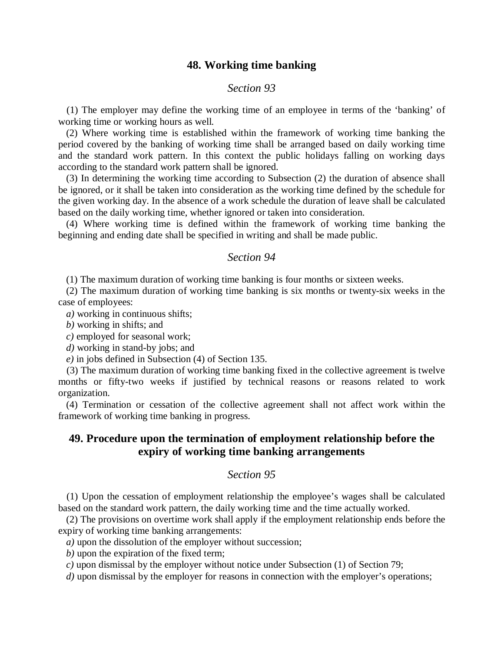### **48. Working time banking**

### *Section 93*

(1) The employer may define the working time of an employee in terms of the 'banking' of working time or working hours as well.

(2) Where working time is established within the framework of working time banking the period covered by the banking of working time shall be arranged based on daily working time and the standard work pattern. In this context the public holidays falling on working days according to the standard work pattern shall be ignored.

(3) In determining the working time according to Subsection (2) the duration of absence shall be ignored, or it shall be taken into consideration as the working time defined by the schedule for the given working day. In the absence of a work schedule the duration of leave shall be calculated based on the daily working time, whether ignored or taken into consideration.

(4) Where working time is defined within the framework of working time banking the beginning and ending date shall be specified in writing and shall be made public.

#### *Section 94*

(1) The maximum duration of working time banking is four months or sixteen weeks.

(2) The maximum duration of working time banking is six months or twenty-six weeks in the case of employees:

*a)* working in continuous shifts;

*b)* working in shifts; and

*c)* employed for seasonal work;

*d)* working in stand-by jobs; and

*e)* in jobs defined in Subsection (4) of Section 135.

(3) The maximum duration of working time banking fixed in the collective agreement is twelve months or fifty-two weeks if justified by technical reasons or reasons related to work organization.

(4) Termination or cessation of the collective agreement shall not affect work within the framework of working time banking in progress.

# **49. Procedure upon the termination of employment relationship before the expiry of working time banking arrangements**

### *Section 95*

(1) Upon the cessation of employment relationship the employee's wages shall be calculated based on the standard work pattern, the daily working time and the time actually worked.

(2) The provisions on overtime work shall apply if the employment relationship ends before the expiry of working time banking arrangements:

*a)* upon the dissolution of the employer without succession;

*b)* upon the expiration of the fixed term;

*c)* upon dismissal by the employer without notice under Subsection (1) of Section 79;

*d*) upon dismissal by the employer for reasons in connection with the employer's operations;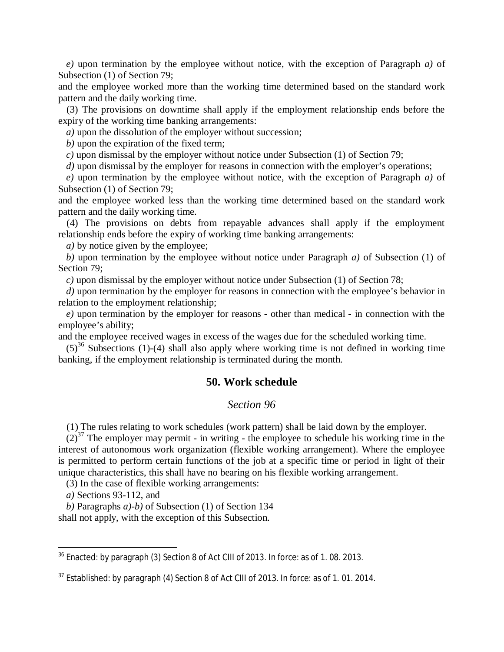*e)* upon termination by the employee without notice, with the exception of Paragraph *a)* of Subsection (1) of Section 79;

and the employee worked more than the working time determined based on the standard work pattern and the daily working time.

(3) The provisions on downtime shall apply if the employment relationship ends before the expiry of the working time banking arrangements:

*a)* upon the dissolution of the employer without succession;

*b)* upon the expiration of the fixed term;

*c)* upon dismissal by the employer without notice under Subsection (1) of Section 79;

*d*) upon dismissal by the employer for reasons in connection with the employer's operations;

*e)* upon termination by the employee without notice, with the exception of Paragraph *a)* of Subsection (1) of Section 79;

and the employee worked less than the working time determined based on the standard work pattern and the daily working time.

(4) The provisions on debts from repayable advances shall apply if the employment relationship ends before the expiry of working time banking arrangements:

*a)* by notice given by the employee;

*b)* upon termination by the employee without notice under Paragraph *a)* of Subsection (1) of Section 79;

*c)* upon dismissal by the employer without notice under Subsection (1) of Section 78;

*d*) upon termination by the employer for reasons in connection with the employee's behavior in relation to the employment relationship;

*e)* upon termination by the employer for reasons - other than medical - in connection with the employee's ability;

and the employee received wages in excess of the wages due for the scheduled working time.

 $(5)^{36}$  $(5)^{36}$  $(5)^{36}$  Subsections (1)-(4) shall also apply where working time is not defined in working time banking, if the employment relationship is terminated during the month.

### **50. Work schedule**

### *Section 96*

(1) The rules relating to work schedules (work pattern) shall be laid down by the employer.

 $(2)^{37}$  $(2)^{37}$  $(2)^{37}$  The employer may permit - in writing - the employee to schedule his working time in the interest of autonomous work organization (flexible working arrangement). Where the employee is permitted to perform certain functions of the job at a specific time or period in light of their unique characteristics, this shall have no bearing on his flexible working arrangement.

(3) In the case of flexible working arrangements:

*a)* Sections 93-112, and

*b)* Paragraphs *a)-b)* of Subsection (1) of Section 134

shall not apply, with the exception of this Subsection.

<span id="page-35-0"></span><sup>36</sup> Enacted: by paragraph (3) Section 8 of Act CIII of 2013. In force: as of 1. 08. 2013.

<span id="page-35-1"></span> $37$  Established: by paragraph (4) Section 8 of Act CIII of 2013. In force: as of 1.01.2014.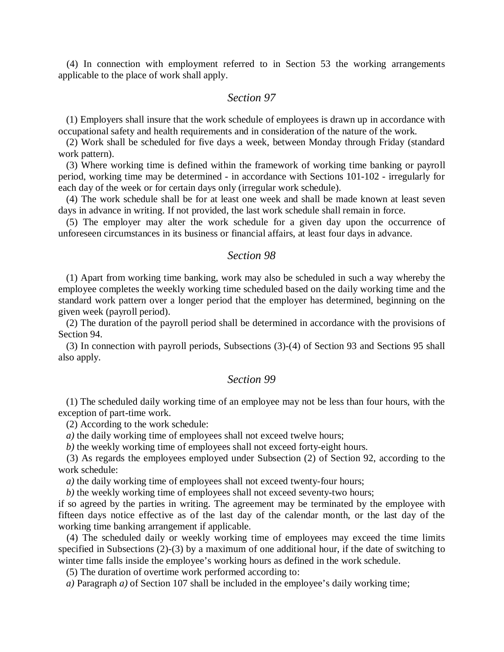(4) In connection with employment referred to in Section 53 the working arrangements applicable to the place of work shall apply.

## *Section 97*

(1) Employers shall insure that the work schedule of employees is drawn up in accordance with occupational safety and health requirements and in consideration of the nature of the work.

(2) Work shall be scheduled for five days a week, between Monday through Friday (standard work pattern).

(3) Where working time is defined within the framework of working time banking or payroll period, working time may be determined - in accordance with Sections 101-102 - irregularly for each day of the week or for certain days only (irregular work schedule).

(4) The work schedule shall be for at least one week and shall be made known at least seven days in advance in writing. If not provided, the last work schedule shall remain in force.

(5) The employer may alter the work schedule for a given day upon the occurrence of unforeseen circumstances in its business or financial affairs, at least four days in advance.

#### *Section 98*

(1) Apart from working time banking, work may also be scheduled in such a way whereby the employee completes the weekly working time scheduled based on the daily working time and the standard work pattern over a longer period that the employer has determined, beginning on the given week (payroll period).

(2) The duration of the payroll period shall be determined in accordance with the provisions of Section 94.

(3) In connection with payroll periods, Subsections (3)-(4) of Section 93 and Sections 95 shall also apply.

#### *Section 99*

(1) The scheduled daily working time of an employee may not be less than four hours, with the exception of part-time work.

(2) According to the work schedule:

*a*) the daily working time of employees shall not exceed twelve hours;

*b)* the weekly working time of employees shall not exceed forty-eight hours.

(3) As regards the employees employed under Subsection (2) of Section 92, according to the work schedule:

*a)* the daily working time of employees shall not exceed twenty-four hours;

*b*) the weekly working time of employees shall not exceed seventy-two hours;

if so agreed by the parties in writing. The agreement may be terminated by the employee with fifteen days notice effective as of the last day of the calendar month, or the last day of the working time banking arrangement if applicable.

(4) The scheduled daily or weekly working time of employees may exceed the time limits specified in Subsections (2)-(3) by a maximum of one additional hour, if the date of switching to winter time falls inside the employee's working hours as defined in the work schedule.

(5) The duration of overtime work performed according to:

*a)* Paragraph *a)* of Section 107 shall be included in the employee's daily working time;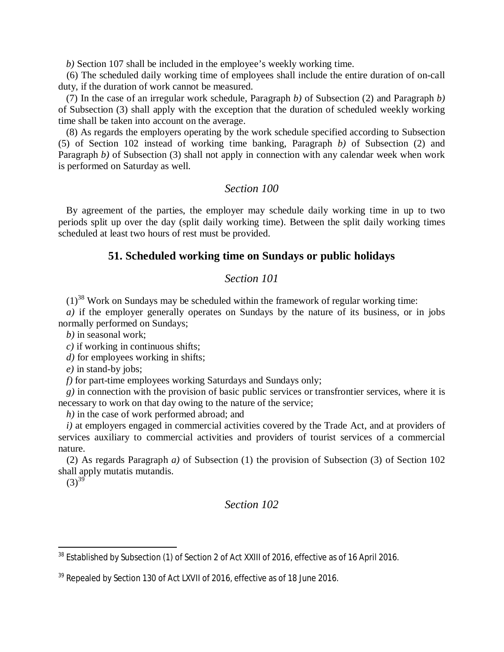*b)* Section 107 shall be included in the employee's weekly working time.

(6) The scheduled daily working time of employees shall include the entire duration of on-call duty, if the duration of work cannot be measured.

(7) In the case of an irregular work schedule, Paragraph *b)* of Subsection (2) and Paragraph *b)* of Subsection (3) shall apply with the exception that the duration of scheduled weekly working time shall be taken into account on the average.

(8) As regards the employers operating by the work schedule specified according to Subsection (5) of Section 102 instead of working time banking, Paragraph *b)* of Subsection (2) and Paragraph *b*) of Subsection (3) shall not apply in connection with any calendar week when work is performed on Saturday as well.

## *Section 100*

By agreement of the parties, the employer may schedule daily working time in up to two periods split up over the day (split daily working time). Between the split daily working times scheduled at least two hours of rest must be provided.

## **51. Scheduled working time on Sundays or public holidays**

## *Section 101*

 $(1)^{38}$  $(1)^{38}$  $(1)^{38}$  Work on Sundays may be scheduled within the framework of regular working time:

*a)* if the employer generally operates on Sundays by the nature of its business, or in jobs normally performed on Sundays;

*b)* in seasonal work;

*c)* if working in continuous shifts;

*d*) for employees working in shifts;

*e)* in stand-by jobs;

*f)* for part-time employees working Saturdays and Sundays only;

*g)* in connection with the provision of basic public services or transfrontier services, where it is necessary to work on that day owing to the nature of the service;

*h)* in the case of work performed abroad; and

*i)* at employers engaged in commercial activities covered by the Trade Act, and at providers of services auxiliary to commercial activities and providers of tourist services of a commercial nature.

(2) As regards Paragraph *a)* of Subsection (1) the provision of Subsection (3) of Section 102 shall apply mutatis mutandis.

 $(3)^{39}$  $(3)^{39}$  $(3)^{39}$ 

<span id="page-37-0"></span><sup>&</sup>lt;sup>38</sup> Established by Subsection (1) of Section 2 of Act XXIII of 2016, effective as of 16 April 2016.

<span id="page-37-1"></span> $39$  Repealed by Section 130 of Act LXVII of 2016, effective as of 18 June 2016.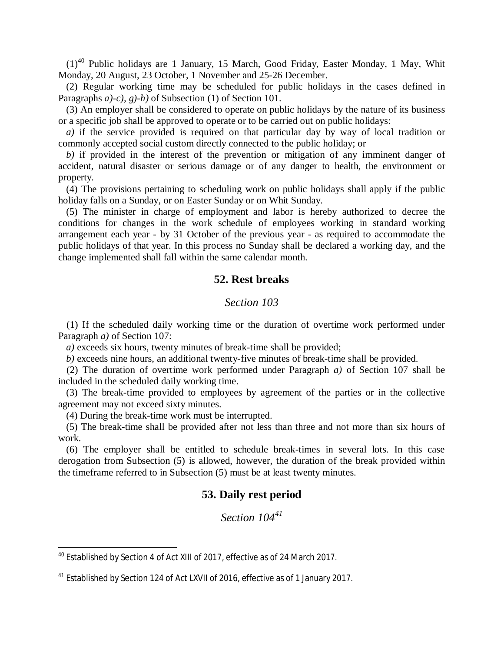$(1)^{40}$  $(1)^{40}$  $(1)^{40}$  Public holidays are 1 January, 15 March, Good Friday, Easter Monday, 1 May, Whit Monday, 20 August, 23 October, 1 November and 25-26 December.

(2) Regular working time may be scheduled for public holidays in the cases defined in Paragraphs *a)-c), g)-h)* of Subsection (1) of Section 101.

(3) An employer shall be considered to operate on public holidays by the nature of its business or a specific job shall be approved to operate or to be carried out on public holidays:

*a)* if the service provided is required on that particular day by way of local tradition or commonly accepted social custom directly connected to the public holiday; or

*b)* if provided in the interest of the prevention or mitigation of any imminent danger of accident, natural disaster or serious damage or of any danger to health, the environment or property.

(4) The provisions pertaining to scheduling work on public holidays shall apply if the public holiday falls on a Sunday, or on Easter Sunday or on Whit Sunday.

(5) The minister in charge of employment and labor is hereby authorized to decree the conditions for changes in the work schedule of employees working in standard working arrangement each year - by 31 October of the previous year - as required to accommodate the public holidays of that year. In this process no Sunday shall be declared a working day, and the change implemented shall fall within the same calendar month.

## **52. Rest breaks**

#### *Section 103*

(1) If the scheduled daily working time or the duration of overtime work performed under Paragraph *a)* of Section 107:

*a)* exceeds six hours, twenty minutes of break-time shall be provided;

*b)* exceeds nine hours, an additional twenty-five minutes of break-time shall be provided.

(2) The duration of overtime work performed under Paragraph *a)* of Section 107 shall be included in the scheduled daily working time.

(3) The break-time provided to employees by agreement of the parties or in the collective agreement may not exceed sixty minutes.

(4) During the break-time work must be interrupted.

(5) The break-time shall be provided after not less than three and not more than six hours of work.

(6) The employer shall be entitled to schedule break-times in several lots. In this case derogation from Subsection (5) is allowed, however, the duration of the break provided within the timeframe referred to in Subsection (5) must be at least twenty minutes.

## **53. Daily rest period**

<span id="page-38-0"></span><sup>40</sup> Established by Section 4 of Act XIII of 2017, effective as of 24 March 2017.

<sup>&</sup>lt;sup>41</sup> Established by Section 124 of Act LXVII of 2016, effective as of 1 January 2017.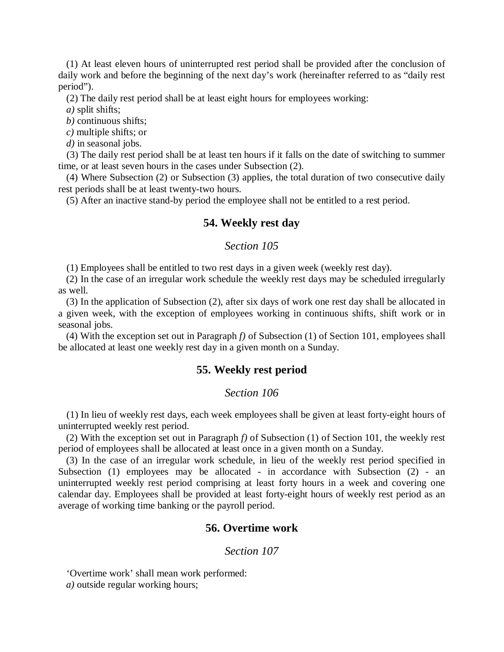(1) At least eleven hours of uninterrupted rest period shall be provided after the conclusion of daily work and before the beginning of the next day's work (hereinafter referred to as "daily rest period").

(2) The daily rest period shall be at least eight hours for employees working:

*a)* split shifts;

*b)* continuous shifts;

*c)* multiple shifts; or

*d)* in seasonal jobs.

(3) The daily rest period shall be at least ten hours if it falls on the date of switching to summer time, or at least seven hours in the cases under Subsection (2).

(4) Where Subsection (2) or Subsection (3) applies, the total duration of two consecutive daily rest periods shall be at least twenty-two hours.

(5) After an inactive stand-by period the employee shall not be entitled to a rest period.

## **54. Weekly rest day**

#### *Section 105*

(1) Employees shall be entitled to two rest days in a given week (weekly rest day).

(2) In the case of an irregular work schedule the weekly rest days may be scheduled irregularly as well.

(3) In the application of Subsection (2), after six days of work one rest day shall be allocated in a given week, with the exception of employees working in continuous shifts, shift work or in seasonal jobs.

(4) With the exception set out in Paragraph *f)* of Subsection (1) of Section 101, employees shall be allocated at least one weekly rest day in a given month on a Sunday.

#### **55. Weekly rest period**

#### *Section 106*

(1) In lieu of weekly rest days, each week employees shall be given at least forty-eight hours of uninterrupted weekly rest period.

(2) With the exception set out in Paragraph *f)* of Subsection (1) of Section 101, the weekly rest period of employees shall be allocated at least once in a given month on a Sunday.

(3) In the case of an irregular work schedule, in lieu of the weekly rest period specified in Subsection (1) employees may be allocated - in accordance with Subsection (2) - an uninterrupted weekly rest period comprising at least forty hours in a week and covering one calendar day. Employees shall be provided at least forty-eight hours of weekly rest period as an average of working time banking or the payroll period.

## **56. Overtime work**

#### *Section 107*

'Overtime work' shall mean work performed:

*a)* outside regular working hours;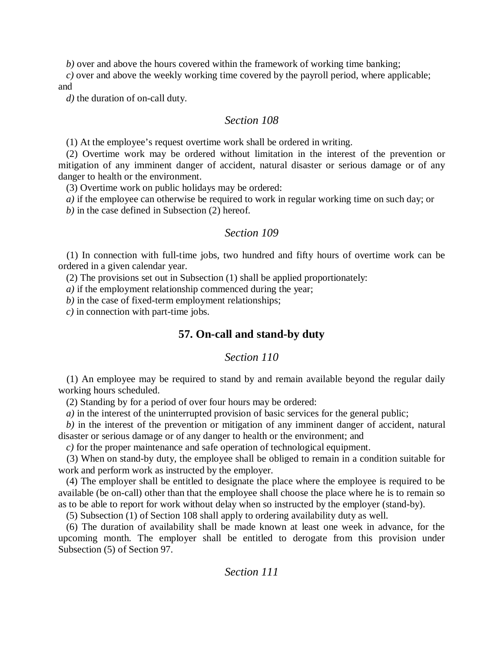*b*) over and above the hours covered within the framework of working time banking;

*c)* over and above the weekly working time covered by the payroll period, where applicable;

and

*d)* the duration of on-call duty.

## *Section 108*

(1) At the employee's request overtime work shall be ordered in writing.

(2) Overtime work may be ordered without limitation in the interest of the prevention or mitigation of any imminent danger of accident, natural disaster or serious damage or of any danger to health or the environment.

(3) Overtime work on public holidays may be ordered:

*a)* if the employee can otherwise be required to work in regular working time on such day; or

*b)* in the case defined in Subsection (2) hereof.

## *Section 109*

(1) In connection with full-time jobs, two hundred and fifty hours of overtime work can be ordered in a given calendar year.

(2) The provisions set out in Subsection (1) shall be applied proportionately:

*a)* if the employment relationship commenced during the year;

*b)* in the case of fixed-term employment relationships;

*c)* in connection with part-time jobs.

# **57. On-call and stand-by duty**

# *Section 110*

(1) An employee may be required to stand by and remain available beyond the regular daily working hours scheduled.

(2) Standing by for a period of over four hours may be ordered:

*a)* in the interest of the uninterrupted provision of basic services for the general public;

*b)* in the interest of the prevention or mitigation of any imminent danger of accident, natural disaster or serious damage or of any danger to health or the environment; and

*c)* for the proper maintenance and safe operation of technological equipment.

(3) When on stand-by duty, the employee shall be obliged to remain in a condition suitable for work and perform work as instructed by the employer.

(4) The employer shall be entitled to designate the place where the employee is required to be available (be on-call) other than that the employee shall choose the place where he is to remain so as to be able to report for work without delay when so instructed by the employer (stand-by).

(5) Subsection (1) of Section 108 shall apply to ordering availability duty as well.

(6) The duration of availability shall be made known at least one week in advance, for the upcoming month. The employer shall be entitled to derogate from this provision under Subsection (5) of Section 97.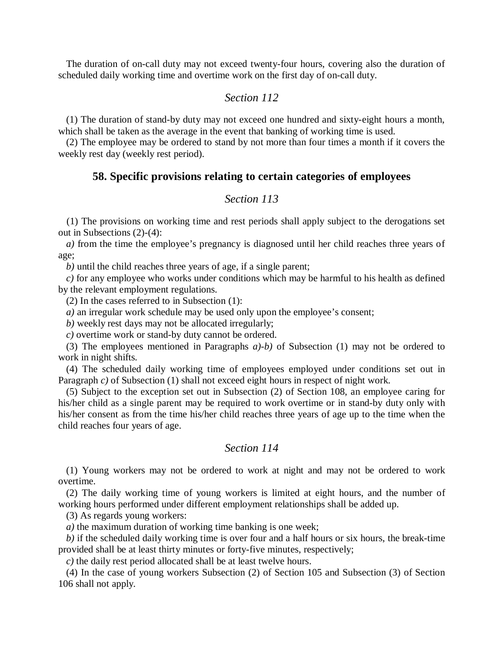The duration of on-call duty may not exceed twenty-four hours, covering also the duration of scheduled daily working time and overtime work on the first day of on-call duty.

## *Section 112*

(1) The duration of stand-by duty may not exceed one hundred and sixty-eight hours a month, which shall be taken as the average in the event that banking of working time is used.

(2) The employee may be ordered to stand by not more than four times a month if it covers the weekly rest day (weekly rest period).

## **58. Specific provisions relating to certain categories of employees**

## *Section 113*

(1) The provisions on working time and rest periods shall apply subject to the derogations set out in Subsections (2)-(4):

*a)* from the time the employee's pregnancy is diagnosed until her child reaches three years of age;

*b)* until the child reaches three years of age, if a single parent;

*c)* for any employee who works under conditions which may be harmful to his health as defined by the relevant employment regulations.

(2) In the cases referred to in Subsection (1):

*a)* an irregular work schedule may be used only upon the employee's consent;

*b)* weekly rest days may not be allocated irregularly;

*c)* overtime work or stand-by duty cannot be ordered.

(3) The employees mentioned in Paragraphs *a)-b)* of Subsection (1) may not be ordered to work in night shifts.

(4) The scheduled daily working time of employees employed under conditions set out in Paragraph *c*) of Subsection (1) shall not exceed eight hours in respect of night work.

(5) Subject to the exception set out in Subsection (2) of Section 108, an employee caring for his/her child as a single parent may be required to work overtime or in stand-by duty only with his/her consent as from the time his/her child reaches three years of age up to the time when the child reaches four years of age.

## *Section 114*

(1) Young workers may not be ordered to work at night and may not be ordered to work overtime.

(2) The daily working time of young workers is limited at eight hours, and the number of working hours performed under different employment relationships shall be added up.

(3) As regards young workers:

*a*) the maximum duration of working time banking is one week;

*b)* if the scheduled daily working time is over four and a half hours or six hours, the break-time provided shall be at least thirty minutes or forty-five minutes, respectively;

*c)* the daily rest period allocated shall be at least twelve hours.

(4) In the case of young workers Subsection (2) of Section 105 and Subsection (3) of Section 106 shall not apply.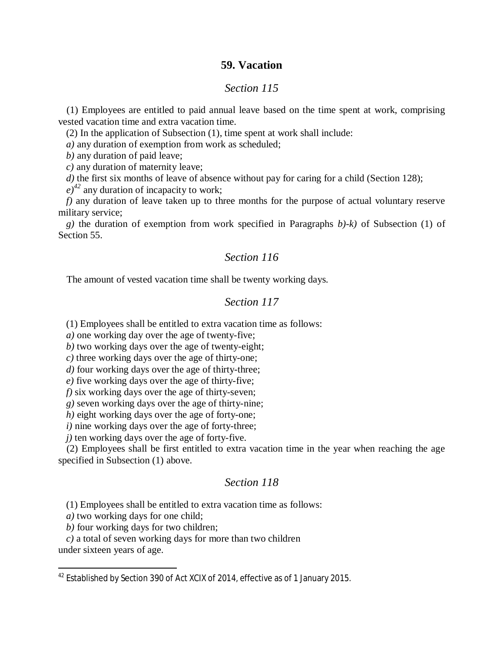## **59. Vacation**

## *Section 115*

(1) Employees are entitled to paid annual leave based on the time spent at work, comprising vested vacation time and extra vacation time.

(2) In the application of Subsection (1), time spent at work shall include:

*a)* any duration of exemption from work as scheduled;

*b)* any duration of paid leave;

*c)* any duration of maternity leave;

*d*) the first six months of leave of absence without pay for caring for a child (Section 128);

 $(e)^{42}$  $(e)^{42}$  $(e)^{42}$  any duration of incapacity to work;

*f)* any duration of leave taken up to three months for the purpose of actual voluntary reserve military service;

*g)* the duration of exemption from work specified in Paragraphs *b)-k)* of Subsection (1) of Section 55.

## *Section 116*

The amount of vested vacation time shall be twenty working days.

## *Section 117*

(1) Employees shall be entitled to extra vacation time as follows:

*a)* one working day over the age of twenty-five;

*b)* two working days over the age of twenty-eight;

*c)* three working days over the age of thirty-one;

*d)* four working days over the age of thirty-three;

*e)* five working days over the age of thirty-five;

*f)* six working days over the age of thirty-seven;

*g)* seven working days over the age of thirty-nine;

*h*) eight working days over the age of forty-one;

*i*) nine working days over the age of forty-three;

*j*) ten working days over the age of forty-five.

(2) Employees shall be first entitled to extra vacation time in the year when reaching the age specified in Subsection (1) above.

## *Section 118*

(1) Employees shall be entitled to extra vacation time as follows:

*a)* two working days for one child;

*b)* four working days for two children;

*c)* a total of seven working days for more than two children

under sixteen years of age.

<span id="page-42-0"></span><sup>&</sup>lt;sup>42</sup> Established by Section 390 of Act XCIX of 2014, effective as of 1 January 2015.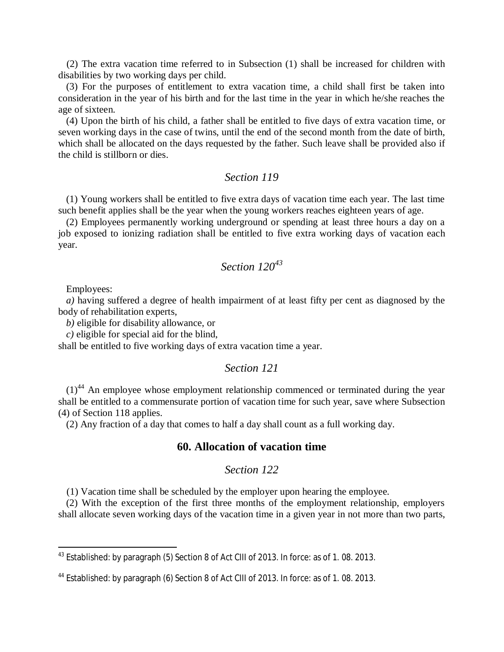(2) The extra vacation time referred to in Subsection (1) shall be increased for children with disabilities by two working days per child.

(3) For the purposes of entitlement to extra vacation time, a child shall first be taken into consideration in the year of his birth and for the last time in the year in which he/she reaches the age of sixteen.

(4) Upon the birth of his child, a father shall be entitled to five days of extra vacation time, or seven working days in the case of twins, until the end of the second month from the date of birth, which shall be allocated on the days requested by the father. Such leave shall be provided also if the child is stillborn or dies.

## *Section 119*

(1) Young workers shall be entitled to five extra days of vacation time each year. The last time such benefit applies shall be the year when the young workers reaches eighteen years of age.

(2) Employees permanently working underground or spending at least three hours a day on a job exposed to ionizing radiation shall be entitled to five extra working days of vacation each year.

# *Section 120[43](#page-43-0)*

Employees:

*a)* having suffered a degree of health impairment of at least fifty per cent as diagnosed by the body of rehabilitation experts,

*b)* eligible for disability allowance, or

*c)* eligible for special aid for the blind,

shall be entitled to five working days of extra vacation time a year.

#### *Section 121*

 $(1)^{44}$  $(1)^{44}$  $(1)^{44}$  An employee whose employment relationship commenced or terminated during the year shall be entitled to a commensurate portion of vacation time for such year, save where Subsection (4) of Section 118 applies.

(2) Any fraction of a day that comes to half a day shall count as a full working day.

## **60. Allocation of vacation time**

## *Section 122*

(1) Vacation time shall be scheduled by the employer upon hearing the employee.

(2) With the exception of the first three months of the employment relationship, employers shall allocate seven working days of the vacation time in a given year in not more than two parts,

<span id="page-43-0"></span><sup>&</sup>lt;sup>43</sup> Established: by paragraph (5) Section 8 of Act CIII of 2013. In force: as of 1.08. 2013.

<span id="page-43-1"></span><sup>&</sup>lt;sup>44</sup> Established: by paragraph (6) Section 8 of Act CIII of 2013. In force: as of 1.08. 2013.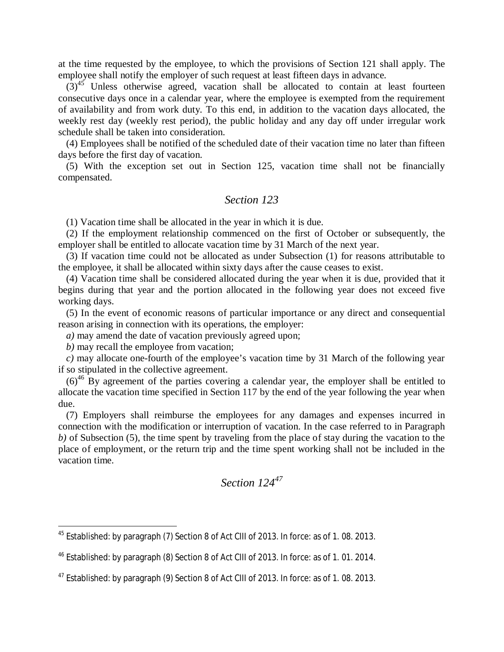at the time requested by the employee, to which the provisions of Section 121 shall apply. The employee shall notify the employer of such request at least fifteen days in advance.

 $(3)^{45}$  $(3)^{45}$  $(3)^{45}$  Unless otherwise agreed, vacation shall be allocated to contain at least fourteen consecutive days once in a calendar year, where the employee is exempted from the requirement of availability and from work duty. To this end, in addition to the vacation days allocated, the weekly rest day (weekly rest period), the public holiday and any day off under irregular work schedule shall be taken into consideration.

(4) Employees shall be notified of the scheduled date of their vacation time no later than fifteen days before the first day of vacation.

(5) With the exception set out in Section 125, vacation time shall not be financially compensated.

## *Section 123*

(1) Vacation time shall be allocated in the year in which it is due.

(2) If the employment relationship commenced on the first of October or subsequently, the employer shall be entitled to allocate vacation time by 31 March of the next year.

(3) If vacation time could not be allocated as under Subsection (1) for reasons attributable to the employee, it shall be allocated within sixty days after the cause ceases to exist.

(4) Vacation time shall be considered allocated during the year when it is due, provided that it begins during that year and the portion allocated in the following year does not exceed five working days.

(5) In the event of economic reasons of particular importance or any direct and consequential reason arising in connection with its operations, the employer:

*a)* may amend the date of vacation previously agreed upon;

*b)* may recall the employee from vacation;

*c)* may allocate one-fourth of the employee's vacation time by 31 March of the following year if so stipulated in the collective agreement.

 $(6)^{46}$  $(6)^{46}$  $(6)^{46}$  By agreement of the parties covering a calendar year, the employer shall be entitled to allocate the vacation time specified in Section 117 by the end of the year following the year when due.

(7) Employers shall reimburse the employees for any damages and expenses incurred in connection with the modification or interruption of vacation. In the case referred to in Paragraph *b*) of Subsection (5), the time spent by traveling from the place of stay during the vacation to the place of employment, or the return trip and the time spent working shall not be included in the vacation time.

*Section 124<sup>47</sup>*

<span id="page-44-0"></span><sup>45</sup> Established: by paragraph (7) Section 8 of Act CIII of 2013. In force: as of 1. 08. 2013.

<span id="page-44-1"></span><sup>46</sup> Established: by paragraph (8) Section 8 of Act CIII of 2013. In force: as of 1. 01. 2014.

 $47$  Established: by paragraph (9) Section 8 of Act CIII of 2013. In force: as of 1.08. 2013.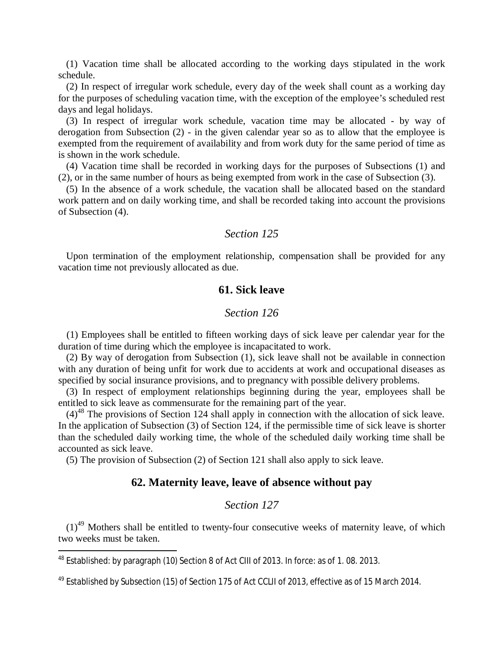(1) Vacation time shall be allocated according to the working days stipulated in the work schedule.

(2) In respect of irregular work schedule, every day of the week shall count as a working day for the purposes of scheduling vacation time, with the exception of the employee's scheduled rest days and legal holidays.

(3) In respect of irregular work schedule, vacation time may be allocated - by way of derogation from Subsection (2) - in the given calendar year so as to allow that the employee is exempted from the requirement of availability and from work duty for the same period of time as is shown in the work schedule.

(4) Vacation time shall be recorded in working days for the purposes of Subsections (1) and (2), or in the same number of hours as being exempted from work in the case of Subsection (3).

(5) In the absence of a work schedule, the vacation shall be allocated based on the standard work pattern and on daily working time, and shall be recorded taking into account the provisions of Subsection (4).

#### *Section 125*

Upon termination of the employment relationship, compensation shall be provided for any vacation time not previously allocated as due.

## **61. Sick leave**

## *Section 126*

(1) Employees shall be entitled to fifteen working days of sick leave per calendar year for the duration of time during which the employee is incapacitated to work.

(2) By way of derogation from Subsection (1), sick leave shall not be available in connection with any duration of being unfit for work due to accidents at work and occupational diseases as specified by social insurance provisions, and to pregnancy with possible delivery problems.

(3) In respect of employment relationships beginning during the year, employees shall be entitled to sick leave as commensurate for the remaining part of the year.

 $(4)^{48}$  $(4)^{48}$  $(4)^{48}$  The provisions of Section 124 shall apply in connection with the allocation of sick leave. In the application of Subsection (3) of Section 124, if the permissible time of sick leave is shorter than the scheduled daily working time, the whole of the scheduled daily working time shall be accounted as sick leave.

(5) The provision of Subsection (2) of Section 121 shall also apply to sick leave.

# **62. Maternity leave, leave of absence without pay**

## *Section 127*

 $(1)^{49}$  $(1)^{49}$  $(1)^{49}$  Mothers shall be entitled to twenty-four consecutive weeks of maternity leave, of which two weeks must be taken.

<span id="page-45-0"></span><sup>48</sup> Established: by paragraph (10) Section 8 of Act CIII of 2013. In force: as of 1. 08. 2013.

<span id="page-45-1"></span><sup>&</sup>lt;sup>49</sup> Established by Subsection (15) of Section 175 of Act CCLII of 2013, effective as of 15 March 2014.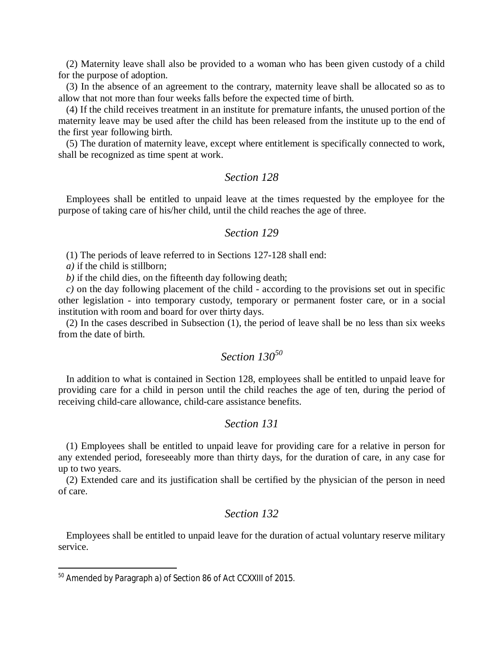(2) Maternity leave shall also be provided to a woman who has been given custody of a child for the purpose of adoption.

(3) In the absence of an agreement to the contrary, maternity leave shall be allocated so as to allow that not more than four weeks falls before the expected time of birth.

(4) If the child receives treatment in an institute for premature infants, the unused portion of the maternity leave may be used after the child has been released from the institute up to the end of the first year following birth.

(5) The duration of maternity leave, except where entitlement is specifically connected to work, shall be recognized as time spent at work.

## *Section 128*

Employees shall be entitled to unpaid leave at the times requested by the employee for the purpose of taking care of his/her child, until the child reaches the age of three.

#### *Section 129*

(1) The periods of leave referred to in Sections 127-128 shall end:

*a)* if the child is stillborn;

*b)* if the child dies, on the fifteenth day following death;

*c)* on the day following placement of the child - according to the provisions set out in specific other legislation - into temporary custody, temporary or permanent foster care, or in a social institution with room and board for over thirty days.

(2) In the cases described in Subsection (1), the period of leave shall be no less than six weeks from the date of birth.

# *Section 130[50](#page-46-0)*

In addition to what is contained in Section 128, employees shall be entitled to unpaid leave for providing care for a child in person until the child reaches the age of ten, during the period of receiving child-care allowance, child-care assistance benefits.

## *Section 131*

(1) Employees shall be entitled to unpaid leave for providing care for a relative in person for any extended period, foreseeably more than thirty days, for the duration of care, in any case for up to two years.

(2) Extended care and its justification shall be certified by the physician of the person in need of care.

## *Section 132*

Employees shall be entitled to unpaid leave for the duration of actual voluntary reserve military service.

<span id="page-46-0"></span><sup>&</sup>lt;sup>50</sup> Amended by Paragraph a) of Section 86 of Act CCXXIII of 2015.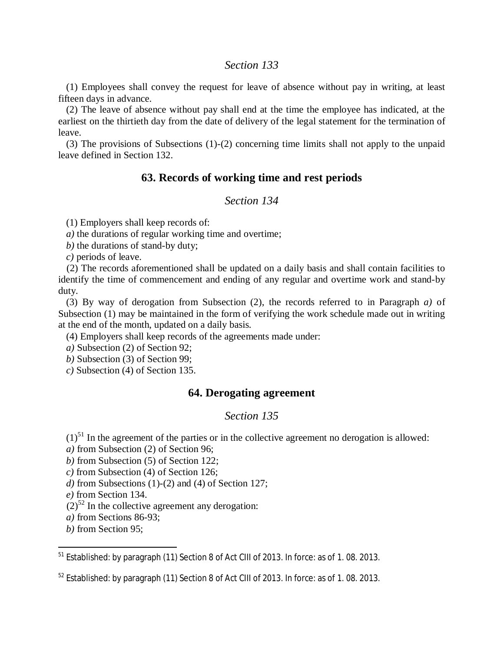## *Section 133*

(1) Employees shall convey the request for leave of absence without pay in writing, at least fifteen days in advance.

(2) The leave of absence without pay shall end at the time the employee has indicated, at the earliest on the thirtieth day from the date of delivery of the legal statement for the termination of leave.

(3) The provisions of Subsections (1)-(2) concerning time limits shall not apply to the unpaid leave defined in Section 132.

# **63. Records of working time and rest periods**

# *Section 134*

(1) Employers shall keep records of:

*a)* the durations of regular working time and overtime;

*b)* the durations of stand-by duty;

*c)* periods of leave.

(2) The records aforementioned shall be updated on a daily basis and shall contain facilities to identify the time of commencement and ending of any regular and overtime work and stand-by duty.

(3) By way of derogation from Subsection (2), the records referred to in Paragraph *a)* of Subsection (1) may be maintained in the form of verifying the work schedule made out in writing at the end of the month, updated on a daily basis.

(4) Employers shall keep records of the agreements made under:

*a)* Subsection (2) of Section 92;

*b)* Subsection (3) of Section 99;

*c)* Subsection (4) of Section 135.

# **64. Derogating agreement**

## *Section 135*

 $(1)<sup>51</sup>$  $(1)<sup>51</sup>$  $(1)<sup>51</sup>$  In the agreement of the parties or in the collective agreement no derogation is allowed:

*a)* from Subsection (2) of Section 96;

*b)* from Subsection (5) of Section 122;

*c)* from Subsection (4) of Section 126;

*d)* from Subsections (1)-(2) and (4) of Section 127;

*e)* from Section 134.

 $(2)^{52}$  $(2)^{52}$  $(2)^{52}$  In the collective agreement any derogation:

*a)* from Sections 86-93;

*b)* from Section 95;

<span id="page-47-0"></span><sup>&</sup>lt;sup>51</sup> Established: by paragraph (11) Section 8 of Act CIII of 2013. In force: as of 1.08. 2013.

<span id="page-47-1"></span> $52$  Established: by paragraph (11) Section 8 of Act CIII of 2013. In force: as of 1.08. 2013.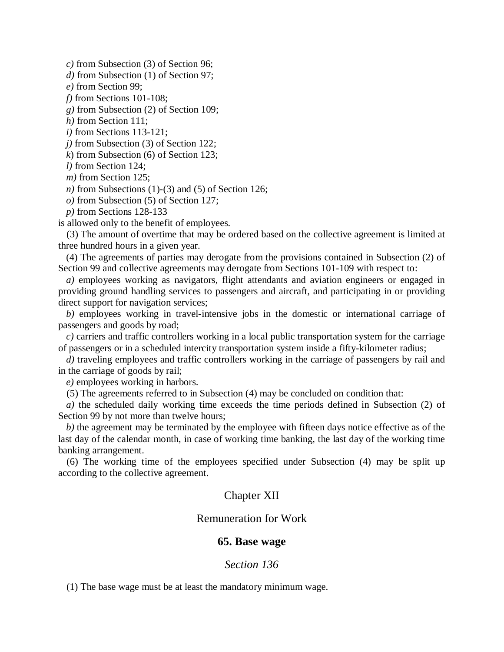*c)* from Subsection (3) of Section 96;

*d)* from Subsection (1) of Section 97;

*e)* from Section 99;

*f)* from Sections 101-108;

*g)* from Subsection (2) of Section 109;

*h)* from Section 111;

*i)* from Sections 113-121;

*j)* from Subsection (3) of Section 122;

*k*) from Subsection (6) of Section 123;

*l)* from Section 124;

*m)* from Section 125;

*n)* from Subsections (1)-(3) and (5) of Section 126;

*o)* from Subsection (5) of Section 127;

*p)* from Sections 128-133

is allowed only to the benefit of employees.

(3) The amount of overtime that may be ordered based on the collective agreement is limited at three hundred hours in a given year.

(4) The agreements of parties may derogate from the provisions contained in Subsection (2) of Section 99 and collective agreements may derogate from Sections 101-109 with respect to:

*a)* employees working as navigators, flight attendants and aviation engineers or engaged in providing ground handling services to passengers and aircraft, and participating in or providing direct support for navigation services;

*b)* employees working in travel-intensive jobs in the domestic or international carriage of passengers and goods by road;

*c)* carriers and traffic controllers working in a local public transportation system for the carriage of passengers or in a scheduled intercity transportation system inside a fifty-kilometer radius;

*d)* traveling employees and traffic controllers working in the carriage of passengers by rail and in the carriage of goods by rail;

*e)* employees working in harbors.

(5) The agreements referred to in Subsection (4) may be concluded on condition that:

*a)* the scheduled daily working time exceeds the time periods defined in Subsection (2) of Section 99 by not more than twelve hours;

*b)* the agreement may be terminated by the employee with fifteen days notice effective as of the last day of the calendar month, in case of working time banking, the last day of the working time banking arrangement.

(6) The working time of the employees specified under Subsection (4) may be split up according to the collective agreement.

## Chapter XII

#### Remuneration for Work

#### **65. Base wage**

#### *Section 136*

(1) The base wage must be at least the mandatory minimum wage.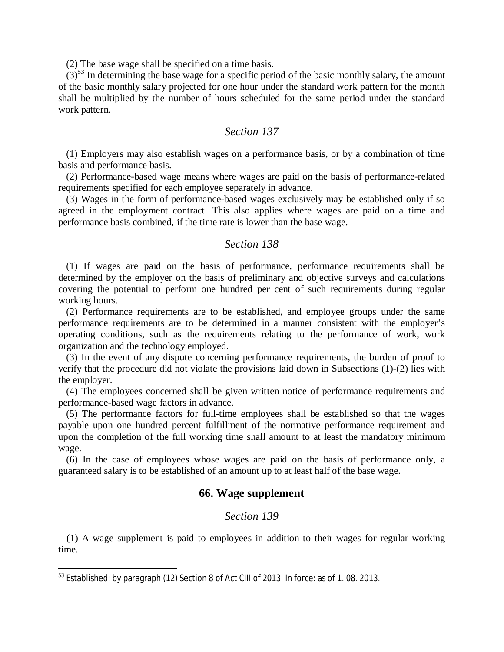(2) The base wage shall be specified on a time basis.

 $(3)$ <sup>[53](#page-49-0)</sup> In determining the base wage for a specific period of the basic monthly salary, the amount of the basic monthly salary projected for one hour under the standard work pattern for the month shall be multiplied by the number of hours scheduled for the same period under the standard work pattern.

## *Section 137*

(1) Employers may also establish wages on a performance basis, or by a combination of time basis and performance basis.

(2) Performance-based wage means where wages are paid on the basis of performance-related requirements specified for each employee separately in advance.

(3) Wages in the form of performance-based wages exclusively may be established only if so agreed in the employment contract. This also applies where wages are paid on a time and performance basis combined, if the time rate is lower than the base wage.

#### *Section 138*

(1) If wages are paid on the basis of performance, performance requirements shall be determined by the employer on the basis of preliminary and objective surveys and calculations covering the potential to perform one hundred per cent of such requirements during regular working hours.

(2) Performance requirements are to be established, and employee groups under the same performance requirements are to be determined in a manner consistent with the employer's operating conditions, such as the requirements relating to the performance of work, work organization and the technology employed.

(3) In the event of any dispute concerning performance requirements, the burden of proof to verify that the procedure did not violate the provisions laid down in Subsections (1)-(2) lies with the employer.

(4) The employees concerned shall be given written notice of performance requirements and performance-based wage factors in advance.

(5) The performance factors for full-time employees shall be established so that the wages payable upon one hundred percent fulfillment of the normative performance requirement and upon the completion of the full working time shall amount to at least the mandatory minimum wage.

(6) In the case of employees whose wages are paid on the basis of performance only, a guaranteed salary is to be established of an amount up to at least half of the base wage.

#### **66. Wage supplement**

#### *Section 139*

(1) A wage supplement is paid to employees in addition to their wages for regular working time.

<span id="page-49-0"></span><sup>&</sup>lt;sup>53</sup> Established: by paragraph (12) Section 8 of Act CIII of 2013. In force: as of 1.08. 2013.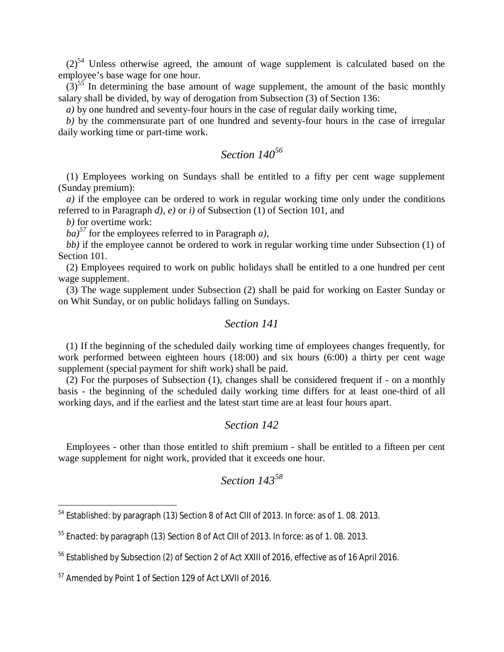$(2)^{54}$  $(2)^{54}$  $(2)^{54}$  Unless otherwise agreed, the amount of wage supplement is calculated based on the employee's base wage for one hour.

 $(3)$ <sup>[55](#page-50-1)</sup> In determining the base amount of wage supplement, the amount of the basic monthly salary shall be divided, by way of derogation from Subsection (3) of Section 136:

*a)* by one hundred and seventy-four hours in the case of regular daily working time,

*b)* by the commensurate part of one hundred and seventy-four hours in the case of irregular daily working time or part-time work.

## *Section 140[56](#page-50-2)*

(1) Employees working on Sundays shall be entitled to a fifty per cent wage supplement (Sunday premium):

*a)* if the employee can be ordered to work in regular working time only under the conditions referred to in Paragraph *d), e)* or *i)* of Subsection (1) of Section 101, and

*b)* for overtime work:

 $b\hat{a}$ <sup>[57](#page-50-3)</sup> for the employees referred to in Paragraph *a*),

*bb)* if the employee cannot be ordered to work in regular working time under Subsection (1) of Section 101.

(2) Employees required to work on public holidays shall be entitled to a one hundred per cent wage supplement.

(3) The wage supplement under Subsection (2) shall be paid for working on Easter Sunday or on Whit Sunday, or on public holidays falling on Sundays.

#### *Section 141*

(1) If the beginning of the scheduled daily working time of employees changes frequently, for work performed between eighteen hours (18:00) and six hours (6:00) a thirty per cent wage supplement (special payment for shift work) shall be paid.

(2) For the purposes of Subsection (1), changes shall be considered frequent if - on a monthly basis - the beginning of the scheduled daily working time differs for at least one-third of all working days, and if the earliest and the latest start time are at least four hours apart.

#### *Section 142*

Employees - other than those entitled to shift premium - shall be entitled to a fifteen per cent wage supplement for night work, provided that it exceeds one hour.

<span id="page-50-0"></span><sup>54</sup> Established: by paragraph (13) Section 8 of Act CIII of 2013. In force: as of 1. 08. 2013.

<span id="page-50-1"></span><sup>&</sup>lt;sup>55</sup> Enacted: by paragraph (13) Section 8 of Act CIII of 2013. In force: as of 1.08. 2013.

<span id="page-50-2"></span><sup>&</sup>lt;sup>56</sup> Established by Subsection (2) of Section 2 of Act XXIII of 2016, effective as of 16 April 2016.

<span id="page-50-3"></span><sup>57</sup> Amended by Point 1 of Section 129 of Act LXVII of 2016.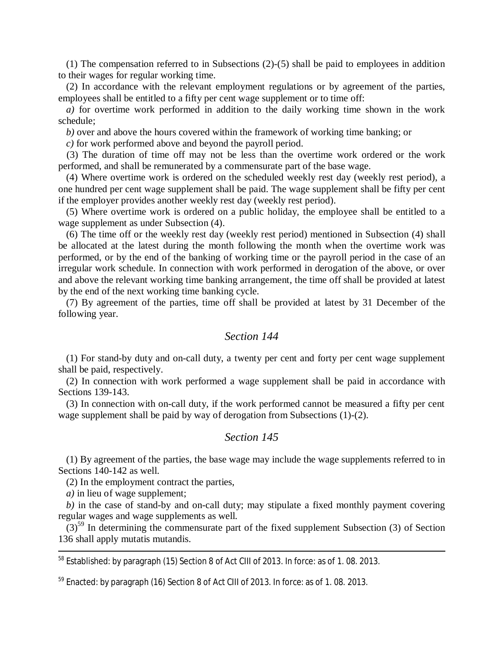(1) The compensation referred to in Subsections (2)-(5) shall be paid to employees in addition to their wages for regular working time.

(2) In accordance with the relevant employment regulations or by agreement of the parties, employees shall be entitled to a fifty per cent wage supplement or to time off:

*a)* for overtime work performed in addition to the daily working time shown in the work schedule;

*b)* over and above the hours covered within the framework of working time banking; or

*c)* for work performed above and beyond the payroll period.

(3) The duration of time off may not be less than the overtime work ordered or the work performed, and shall be remunerated by a commensurate part of the base wage.

(4) Where overtime work is ordered on the scheduled weekly rest day (weekly rest period), a one hundred per cent wage supplement shall be paid. The wage supplement shall be fifty per cent if the employer provides another weekly rest day (weekly rest period).

(5) Where overtime work is ordered on a public holiday, the employee shall be entitled to a wage supplement as under Subsection (4).

(6) The time off or the weekly rest day (weekly rest period) mentioned in Subsection (4) shall be allocated at the latest during the month following the month when the overtime work was performed, or by the end of the banking of working time or the payroll period in the case of an irregular work schedule. In connection with work performed in derogation of the above, or over and above the relevant working time banking arrangement, the time off shall be provided at latest by the end of the next working time banking cycle.

(7) By agreement of the parties, time off shall be provided at latest by 31 December of the following year.

## *Section 144*

(1) For stand-by duty and on-call duty, a twenty per cent and forty per cent wage supplement shall be paid, respectively.

(2) In connection with work performed a wage supplement shall be paid in accordance with Sections 139-143.

(3) In connection with on-call duty, if the work performed cannot be measured a fifty per cent wage supplement shall be paid by way of derogation from Subsections (1)-(2).

#### *Section 145*

(1) By agreement of the parties, the base wage may include the wage supplements referred to in Sections 140-142 as well.

(2) In the employment contract the parties,

*a)* in lieu of wage supplement;

*b)* in the case of stand-by and on-call duty; may stipulate a fixed monthly payment covering regular wages and wage supplements as well.

 $(3)$ <sup>[59](#page-51-0)</sup> In determining the commensurate part of the fixed supplement Subsection (3) of Section 136 shall apply mutatis mutandis.

<sup>58</sup> Established: by paragraph (15) Section 8 of Act CIII of 2013. In force: as of 1.08. 2013.

<span id="page-51-0"></span> $59$  Enacted: by paragraph (16) Section 8 of Act CIII of 2013. In force: as of 1.08. 2013.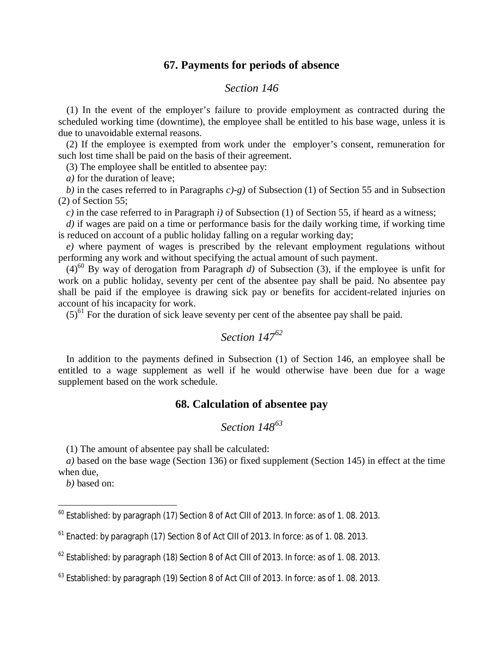# **67. Payments for periods of absence**

## *Section 146*

(1) In the event of the employer's failure to provide employment as contracted during the scheduled working time (downtime), the employee shall be entitled to his base wage, unless it is due to unavoidable external reasons.

(2) If the employee is exempted from work under the employer's consent, remuneration for such lost time shall be paid on the basis of their agreement.

(3) The employee shall be entitled to absentee pay:

*a)* for the duration of leave;

*b)* in the cases referred to in Paragraphs *c)-g)* of Subsection (1) of Section 55 and in Subsection (2) of Section 55;

*c)* in the case referred to in Paragraph *i)* of Subsection (1) of Section 55, if heard as a witness;

*d)* if wages are paid on a time or performance basis for the daily working time, if working time is reduced on account of a public holiday falling on a regular working day;

*e)* where payment of wages is prescribed by the relevant employment regulations without performing any work and without specifying the actual amount of such payment.

 $(4)^{60}$  $(4)^{60}$  $(4)^{60}$  By way of derogation from Paragraph *d*) of Subsection (3), if the employee is unfit for work on a public holiday, seventy per cent of the absentee pay shall be paid. No absentee pay shall be paid if the employee is drawing sick pay or benefits for accident-related injuries on account of his incapacity for work.

 $(5)^{61}$  $(5)^{61}$  $(5)^{61}$  For the duration of sick leave seventy per cent of the absentee pay shall be paid.

# *Section 147[62](#page-52-2)*

In addition to the payments defined in Subsection (1) of Section 146, an employee shall be entitled to a wage supplement as well if he would otherwise have been due for a wage supplement based on the work schedule.

# **68. Calculation of absentee pay**

# *Section 148<sup>63</sup>*

(1) The amount of absentee pay shall be calculated:

*a)* based on the base wage (Section 136) or fixed supplement (Section 145) in effect at the time when due,

*b)* based on:

<span id="page-52-0"></span> $^{60}$  Established: by paragraph (17) Section 8 of Act CIII of 2013. In force: as of 1.08. 2013.

<span id="page-52-1"></span><sup>61</sup> Enacted: by paragraph (17) Section 8 of Act CIII of 2013. In force: as of 1. 08. 2013.

<span id="page-52-2"></span> $^{62}$  Established: by paragraph (18) Section 8 of Act CIII of 2013. In force: as of 1.08. 2013.

 $^{63}$  Established: by paragraph (19) Section 8 of Act CIII of 2013. In force: as of 1.08. 2013.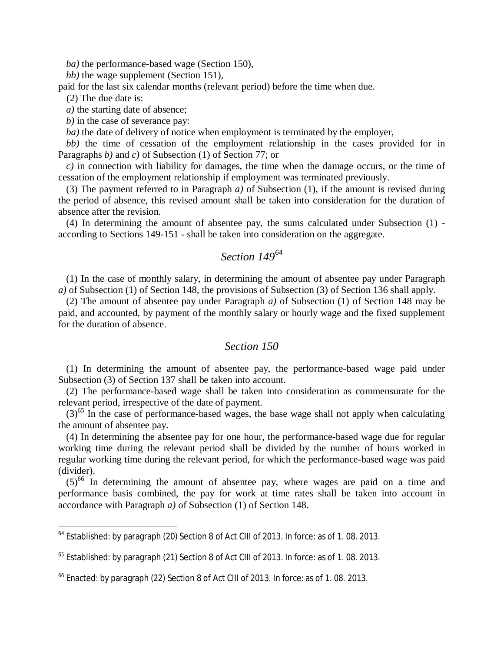*ba)* the performance-based wage (Section 150),

*bb)* the wage supplement (Section 151),

paid for the last six calendar months (relevant period) before the time when due.

(2) The due date is:

*a)* the starting date of absence;

*b)* in the case of severance pay:

*ba)* the date of delivery of notice when employment is terminated by the employer,

*bb)* the time of cessation of the employment relationship in the cases provided for in Paragraphs *b)* and *c)* of Subsection (1) of Section 77; or

*c)* in connection with liability for damages, the time when the damage occurs, or the time of cessation of the employment relationship if employment was terminated previously.

(3) The payment referred to in Paragraph *a)* of Subsection (1), if the amount is revised during the period of absence, this revised amount shall be taken into consideration for the duration of absence after the revision.

(4) In determining the amount of absentee pay, the sums calculated under Subsection (1) according to Sections 149-151 - shall be taken into consideration on the aggregate.

# *Section 149[64](#page-53-0)*

(1) In the case of monthly salary, in determining the amount of absentee pay under Paragraph *a)* of Subsection (1) of Section 148, the provisions of Subsection (3) of Section 136 shall apply.

(2) The amount of absentee pay under Paragraph *a)* of Subsection (1) of Section 148 may be paid, and accounted, by payment of the monthly salary or hourly wage and the fixed supplement for the duration of absence.

#### *Section 150*

(1) In determining the amount of absentee pay, the performance-based wage paid under Subsection (3) of Section 137 shall be taken into account.

(2) The performance-based wage shall be taken into consideration as commensurate for the relevant period, irrespective of the date of payment.

 $(3)^{65}$  $(3)^{65}$  $(3)^{65}$  In the case of performance-based wages, the base wage shall not apply when calculating the amount of absentee pay.

(4) In determining the absentee pay for one hour, the performance-based wage due for regular working time during the relevant period shall be divided by the number of hours worked in regular working time during the relevant period, for which the performance-based wage was paid (divider).

 $(5)^{66}$  $(5)^{66}$  $(5)^{66}$  In determining the amount of absentee pay, where wages are paid on a time and performance basis combined, the pay for work at time rates shall be taken into account in accordance with Paragraph *a)* of Subsection (1) of Section 148.

<span id="page-53-0"></span><sup>&</sup>lt;sup>64</sup> Established: by paragraph (20) Section 8 of Act CIII of 2013. In force: as of 1.08. 2013.

<span id="page-53-1"></span><sup>&</sup>lt;sup>65</sup> Established: by paragraph (21) Section 8 of Act CIII of 2013. In force: as of 1.08. 2013.

<span id="page-53-2"></span><sup>&</sup>lt;sup>66</sup> Enacted: by paragraph (22) Section 8 of Act CIII of 2013. In force: as of 1.08. 2013.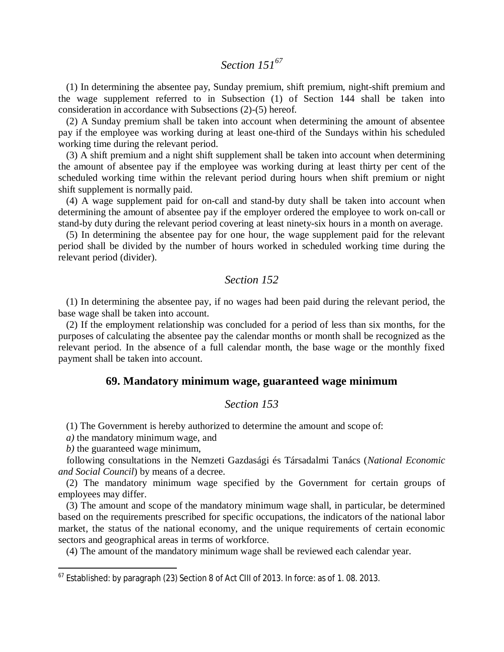# *Section 151[67](#page-54-0)*

(1) In determining the absentee pay, Sunday premium, shift premium, night-shift premium and the wage supplement referred to in Subsection (1) of Section 144 shall be taken into consideration in accordance with Subsections (2)-(5) hereof.

(2) A Sunday premium shall be taken into account when determining the amount of absentee pay if the employee was working during at least one-third of the Sundays within his scheduled working time during the relevant period.

(3) A shift premium and a night shift supplement shall be taken into account when determining the amount of absentee pay if the employee was working during at least thirty per cent of the scheduled working time within the relevant period during hours when shift premium or night shift supplement is normally paid.

(4) A wage supplement paid for on-call and stand-by duty shall be taken into account when determining the amount of absentee pay if the employer ordered the employee to work on-call or stand-by duty during the relevant period covering at least ninety-six hours in a month on average.

(5) In determining the absentee pay for one hour, the wage supplement paid for the relevant period shall be divided by the number of hours worked in scheduled working time during the relevant period (divider).

#### *Section 152*

(1) In determining the absentee pay, if no wages had been paid during the relevant period, the base wage shall be taken into account.

(2) If the employment relationship was concluded for a period of less than six months, for the purposes of calculating the absentee pay the calendar months or month shall be recognized as the relevant period. In the absence of a full calendar month, the base wage or the monthly fixed payment shall be taken into account.

#### **69. Mandatory minimum wage, guaranteed wage minimum**

#### *Section 153*

(1) The Government is hereby authorized to determine the amount and scope of:

*a)* the mandatory minimum wage, and

*b)* the guaranteed wage minimum,

following consultations in the Nemzeti Gazdasági és Társadalmi Tanács (*National Economic and Social Council*) by means of a decree.

(2) The mandatory minimum wage specified by the Government for certain groups of employees may differ.

(3) The amount and scope of the mandatory minimum wage shall, in particular, be determined based on the requirements prescribed for specific occupations, the indicators of the national labor market, the status of the national economy, and the unique requirements of certain economic sectors and geographical areas in terms of workforce.

(4) The amount of the mandatory minimum wage shall be reviewed each calendar year.

<span id="page-54-0"></span> $67$  Established: by paragraph (23) Section 8 of Act CIII of 2013. In force: as of 1.08. 2013.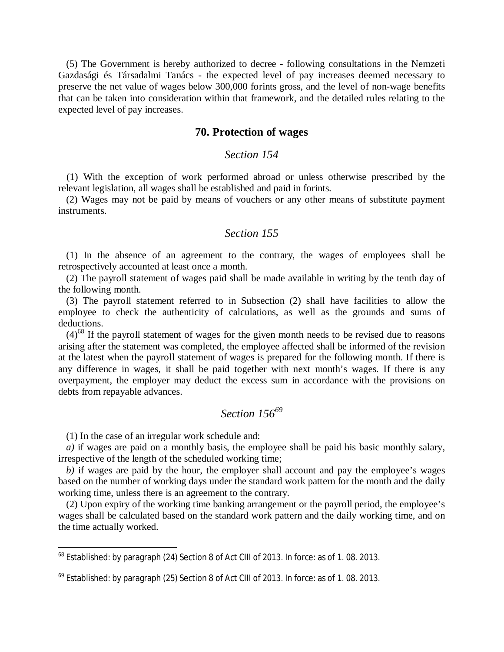(5) The Government is hereby authorized to decree - following consultations in the Nemzeti Gazdasági és Társadalmi Tanács - the expected level of pay increases deemed necessary to preserve the net value of wages below 300,000 forints gross, and the level of non-wage benefits that can be taken into consideration within that framework, and the detailed rules relating to the expected level of pay increases.

## **70. Protection of wages**

## *Section 154*

(1) With the exception of work performed abroad or unless otherwise prescribed by the relevant legislation, all wages shall be established and paid in forints.

(2) Wages may not be paid by means of vouchers or any other means of substitute payment instruments.

#### *Section 155*

(1) In the absence of an agreement to the contrary, the wages of employees shall be retrospectively accounted at least once a month.

(2) The payroll statement of wages paid shall be made available in writing by the tenth day of the following month.

(3) The payroll statement referred to in Subsection (2) shall have facilities to allow the employee to check the authenticity of calculations, as well as the grounds and sums of deductions.

 $(4)^{68}$  $(4)^{68}$  $(4)^{68}$  If the payroll statement of wages for the given month needs to be revised due to reasons arising after the statement was completed, the employee affected shall be informed of the revision at the latest when the payroll statement of wages is prepared for the following month. If there is any difference in wages, it shall be paid together with next month's wages. If there is any overpayment, the employer may deduct the excess sum in accordance with the provisions on debts from repayable advances.

## *Section 156[69](#page-55-1)*

(1) In the case of an irregular work schedule and:

*a)* if wages are paid on a monthly basis, the employee shall be paid his basic monthly salary, irrespective of the length of the scheduled working time;

*b)* if wages are paid by the hour, the employer shall account and pay the employee's wages based on the number of working days under the standard work pattern for the month and the daily working time, unless there is an agreement to the contrary.

(2) Upon expiry of the working time banking arrangement or the payroll period, the employee's wages shall be calculated based on the standard work pattern and the daily working time, and on the time actually worked.

<span id="page-55-0"></span><sup>&</sup>lt;sup>68</sup> Established: by paragraph (24) Section 8 of Act CIII of 2013. In force: as of 1.08. 2013.

<span id="page-55-1"></span> $^{69}$  Established: by paragraph (25) Section 8 of Act CIII of 2013. In force: as of 1.08. 2013.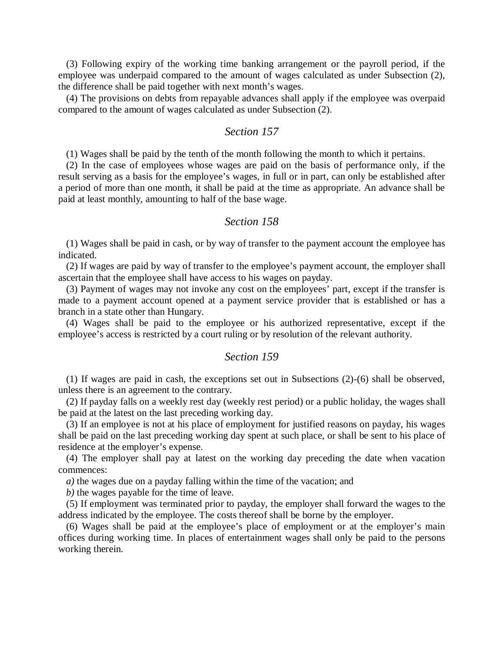(3) Following expiry of the working time banking arrangement or the payroll period, if the employee was underpaid compared to the amount of wages calculated as under Subsection (2), the difference shall be paid together with next month's wages.

(4) The provisions on debts from repayable advances shall apply if the employee was overpaid compared to the amount of wages calculated as under Subsection (2).

### *Section 157*

(1) Wages shall be paid by the tenth of the month following the month to which it pertains.

(2) In the case of employees whose wages are paid on the basis of performance only, if the result serving as a basis for the employee's wages, in full or in part, can only be established after a period of more than one month, it shall be paid at the time as appropriate. An advance shall be paid at least monthly, amounting to half of the base wage.

#### *Section 158*

(1) Wages shall be paid in cash, or by way of transfer to the payment account the employee has indicated.

(2) If wages are paid by way of transfer to the employee's payment account, the employer shall ascertain that the employee shall have access to his wages on payday.

(3) Payment of wages may not invoke any cost on the employees' part, except if the transfer is made to a payment account opened at a payment service provider that is established or has a branch in a state other than Hungary.

(4) Wages shall be paid to the employee or his authorized representative, except if the employee's access is restricted by a court ruling or by resolution of the relevant authority.

#### *Section 159*

(1) If wages are paid in cash, the exceptions set out in Subsections (2)-(6) shall be observed, unless there is an agreement to the contrary.

(2) If payday falls on a weekly rest day (weekly rest period) or a public holiday, the wages shall be paid at the latest on the last preceding working day.

(3) If an employee is not at his place of employment for justified reasons on payday, his wages shall be paid on the last preceding working day spent at such place, or shall be sent to his place of residence at the employer's expense.

(4) The employer shall pay at latest on the working day preceding the date when vacation commences:

*a)* the wages due on a payday falling within the time of the vacation; and

*b)* the wages payable for the time of leave.

(5) If employment was terminated prior to payday, the employer shall forward the wages to the address indicated by the employee. The costs thereof shall be borne by the employer.

(6) Wages shall be paid at the employee's place of employment or at the employer's main offices during working time. In places of entertainment wages shall only be paid to the persons working therein.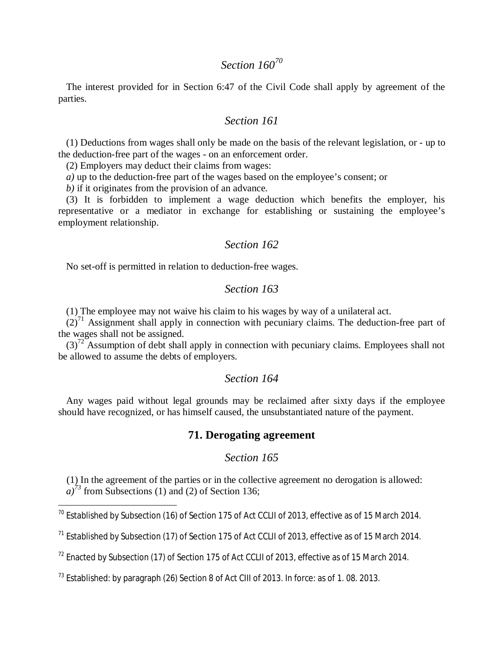# *Section 160[70](#page-57-0)*

The interest provided for in Section 6:47 of the Civil Code shall apply by agreement of the parties.

#### *Section 161*

(1) Deductions from wages shall only be made on the basis of the relevant legislation, or - up to the deduction-free part of the wages - on an enforcement order.

(2) Employers may deduct their claims from wages:

*a)* up to the deduction-free part of the wages based on the employee's consent; or

*b)* if it originates from the provision of an advance.

(3) It is forbidden to implement a wage deduction which benefits the employer, his representative or a mediator in exchange for establishing or sustaining the employee's employment relationship.

#### *Section 162*

No set-off is permitted in relation to deduction-free wages.

## *Section 163*

(1) The employee may not waive his claim to his wages by way of a unilateral act.

 $(2)^{71}$  $(2)^{71}$  $(2)^{71}$  Assignment shall apply in connection with pecuniary claims. The deduction-free part of the wages shall not be assigned.

 $(3)^{72}$  $(3)^{72}$  $(3)^{72}$  Assumption of debt shall apply in connection with pecuniary claims. Employees shall not be allowed to assume the debts of employers.

### *Section 164*

Any wages paid without legal grounds may be reclaimed after sixty days if the employee should have recognized, or has himself caused, the unsubstantiated nature of the payment.

# **71. Derogating agreement**

## *Section 165*

(1) In the agreement of the parties or in the collective agreement no derogation is allowed:  $a^{3}$ <sup>73</sup> from Subsections (1[\)](#page-57-3) and (2) of Section 136;

<span id="page-57-0"></span><sup>&</sup>lt;sup>70</sup> Established by Subsection (16) of Section 175 of Act CCLII of 2013, effective as of 15 March 2014.

<span id="page-57-1"></span> $<sup>71</sup>$  Established by Subsection (17) of Section 175 of Act CCLII of 2013, effective as of 15 March 2014.</sup>

<span id="page-57-2"></span> $72$  Enacted by Subsection (17) of Section 175 of Act CCLII of 2013, effective as of 15 March 2014.

<span id="page-57-3"></span> $^{73}$  Established: by paragraph (26) Section 8 of Act CIII of 2013. In force: as of 1.08. 2013.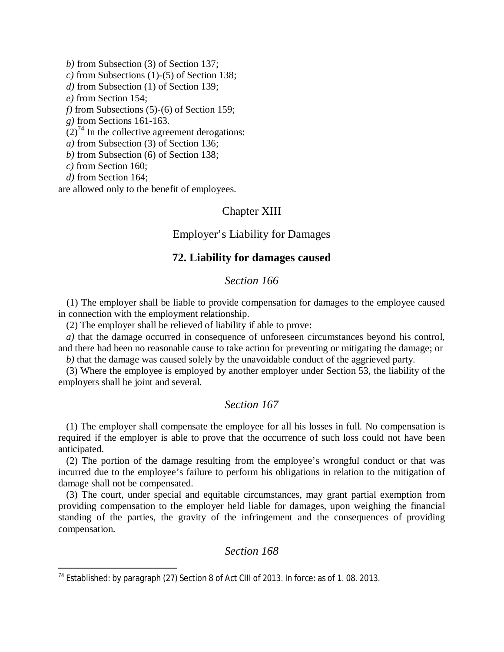*b)* from Subsection (3) of Section 137;

*c)* from Subsections (1)-(5) of Section 138;

- *d)* from Subsection (1) of Section 139;
- *e)* from Section 154;

*f)* from Subsections (5)-(6) of Section 159;

*g)* from Sections 161-163.

 $(2)^{74}$  $(2)^{74}$  $(2)^{74}$  In the collective agreement derogations:

*a)* from Subsection (3) of Section 136;

*b)* from Subsection (6) of Section 138;

*c)* from Section 160;

*d)* from Section 164;

are allowed only to the benefit of employees.

## Chapter XIII

## Employer's Liability for Damages

#### **72. Liability for damages caused**

## *Section 166*

(1) The employer shall be liable to provide compensation for damages to the employee caused in connection with the employment relationship.

(2) The employer shall be relieved of liability if able to prove:

*a*) that the damage occurred in consequence of unforeseen circumstances beyond his control, and there had been no reasonable cause to take action for preventing or mitigating the damage; or

*b)* that the damage was caused solely by the unavoidable conduct of the aggrieved party.

(3) Where the employee is employed by another employer under Section 53, the liability of the employers shall be joint and several.

## *Section 167*

(1) The employer shall compensate the employee for all his losses in full. No compensation is required if the employer is able to prove that the occurrence of such loss could not have been anticipated.

(2) The portion of the damage resulting from the employee's wrongful conduct or that was incurred due to the employee's failure to perform his obligations in relation to the mitigation of damage shall not be compensated.

(3) The court, under special and equitable circumstances, may grant partial exemption from providing compensation to the employer held liable for damages, upon weighing the financial standing of the parties, the gravity of the infringement and the consequences of providing compensation.

<span id="page-58-0"></span><sup>74</sup> Established: by paragraph (27) Section 8 of Act CIII of 2013. In force: as of 1. 08. 2013.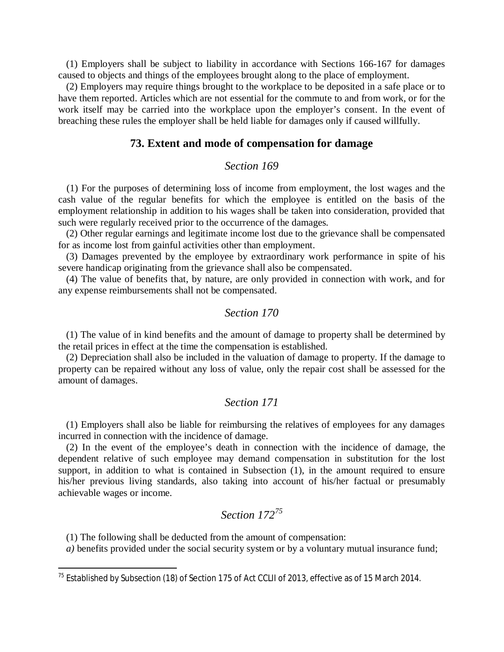(1) Employers shall be subject to liability in accordance with Sections 166-167 for damages caused to objects and things of the employees brought along to the place of employment.

(2) Employers may require things brought to the workplace to be deposited in a safe place or to have them reported. Articles which are not essential for the commute to and from work, or for the work itself may be carried into the workplace upon the employer's consent. In the event of breaching these rules the employer shall be held liable for damages only if caused willfully.

#### **73. Extent and mode of compensation for damage**

# *Section 169*

(1) For the purposes of determining loss of income from employment, the lost wages and the cash value of the regular benefits for which the employee is entitled on the basis of the employment relationship in addition to his wages shall be taken into consideration, provided that such were regularly received prior to the occurrence of the damages.

(2) Other regular earnings and legitimate income lost due to the grievance shall be compensated for as income lost from gainful activities other than employment.

(3) Damages prevented by the employee by extraordinary work performance in spite of his severe handicap originating from the grievance shall also be compensated.

(4) The value of benefits that, by nature, are only provided in connection with work, and for any expense reimbursements shall not be compensated.

#### *Section 170*

(1) The value of in kind benefits and the amount of damage to property shall be determined by the retail prices in effect at the time the compensation is established.

(2) Depreciation shall also be included in the valuation of damage to property. If the damage to property can be repaired without any loss of value, only the repair cost shall be assessed for the amount of damages.

#### *Section 171*

(1) Employers shall also be liable for reimbursing the relatives of employees for any damages incurred in connection with the incidence of damage.

(2) In the event of the employee's death in connection with the incidence of damage, the dependent relative of such employee may demand compensation in substitution for the lost support, in addition to what is contained in Subsection (1), in the amount required to ensure his/her previous living standards, also taking into account of his/her factual or presumably achievable wages or income.

# *Section 172[75](#page-59-0)*

(1) The following shall be deducted from the amount of compensation:

*a)* benefits provided under the social security system or by a voluntary mutual insurance fund;

<span id="page-59-0"></span> $75$  Established by Subsection (18) of Section 175 of Act CCLII of 2013, effective as of 15 March 2014.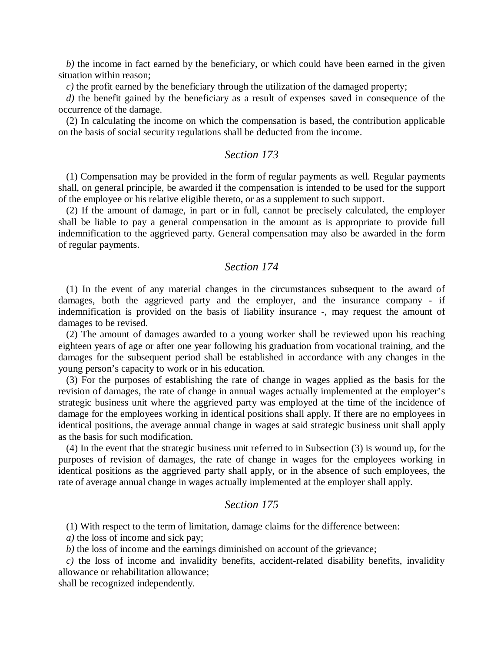*b)* the income in fact earned by the beneficiary, or which could have been earned in the given situation within reason;

*c)* the profit earned by the beneficiary through the utilization of the damaged property;

*d)* the benefit gained by the beneficiary as a result of expenses saved in consequence of the occurrence of the damage.

(2) In calculating the income on which the compensation is based, the contribution applicable on the basis of social security regulations shall be deducted from the income.

#### *Section 173*

(1) Compensation may be provided in the form of regular payments as well. Regular payments shall, on general principle, be awarded if the compensation is intended to be used for the support of the employee or his relative eligible thereto, or as a supplement to such support.

(2) If the amount of damage, in part or in full, cannot be precisely calculated, the employer shall be liable to pay a general compensation in the amount as is appropriate to provide full indemnification to the aggrieved party. General compensation may also be awarded in the form of regular payments.

#### *Section 174*

(1) In the event of any material changes in the circumstances subsequent to the award of damages, both the aggrieved party and the employer, and the insurance company - if indemnification is provided on the basis of liability insurance -, may request the amount of damages to be revised.

(2) The amount of damages awarded to a young worker shall be reviewed upon his reaching eighteen years of age or after one year following his graduation from vocational training, and the damages for the subsequent period shall be established in accordance with any changes in the young person's capacity to work or in his education.

(3) For the purposes of establishing the rate of change in wages applied as the basis for the revision of damages, the rate of change in annual wages actually implemented at the employer's strategic business unit where the aggrieved party was employed at the time of the incidence of damage for the employees working in identical positions shall apply. If there are no employees in identical positions, the average annual change in wages at said strategic business unit shall apply as the basis for such modification.

(4) In the event that the strategic business unit referred to in Subsection (3) is wound up, for the purposes of revision of damages, the rate of change in wages for the employees working in identical positions as the aggrieved party shall apply, or in the absence of such employees, the rate of average annual change in wages actually implemented at the employer shall apply.

## *Section 175*

(1) With respect to the term of limitation, damage claims for the difference between:

*a)* the loss of income and sick pay;

*b)* the loss of income and the earnings diminished on account of the grievance;

*c)* the loss of income and invalidity benefits, accident-related disability benefits, invalidity allowance or rehabilitation allowance;

shall be recognized independently.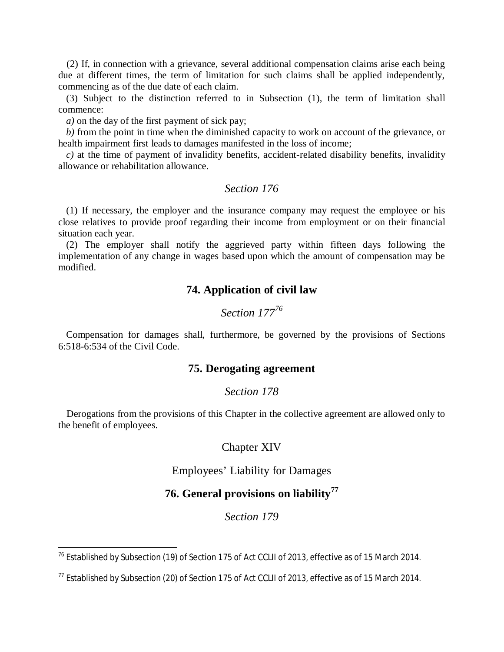(2) If, in connection with a grievance, several additional compensation claims arise each being due at different times, the term of limitation for such claims shall be applied independently, commencing as of the due date of each claim.

(3) Subject to the distinction referred to in Subsection (1), the term of limitation shall commence:

*a)* on the day of the first payment of sick pay;

*b)* from the point in time when the diminished capacity to work on account of the grievance, or health impairment first leads to damages manifested in the loss of income;

*c)* at the time of payment of invalidity benefits, accident-related disability benefits, invalidity allowance or rehabilitation allowance.

#### *Section 176*

(1) If necessary, the employer and the insurance company may request the employee or his close relatives to provide proof regarding their income from employment or on their financial situation each year.

(2) The employer shall notify the aggrieved party within fifteen days following the implementation of any change in wages based upon which the amount of compensation may be modified.

## **74. Application of civil law**

# *Section 177<sup>76</sup>*

Compensation for damages shall, furthermore, be [go](#page-61-0)verned by the provisions of Sections 6:518-6:534 of the Civil Code.

## **75. Derogating agreement**

#### *Section 178*

Derogations from the provisions of this Chapter in the collective agreement are allowed only to the benefit of employees.

#### Chapter XIV

Employees' Liability for Damages

# **76. General provisions on liability<sup>77</sup>**

<span id="page-61-0"></span><sup>&</sup>lt;sup>76</sup> Established by Subsection (19) of Section 175 of Act CCLII of 2013, effective as of 15 March 2014.

 $^{77}$  Established by Subsection (20) of Section 175 of Act CCLII of 2013, effective as of 15 March 2014.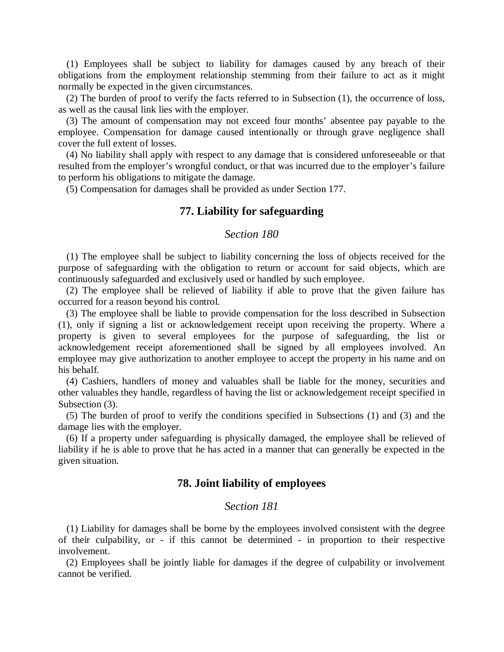(1) Employees shall be subject to liability for damages caused by any breach of their obligations from the employment relationship stemming from their failure to act as it might normally be expected in the given circumstances.

(2) The burden of proof to verify the facts referred to in Subsection (1), the occurrence of loss, as well as the causal link lies with the employer.

(3) The amount of compensation may not exceed four months' absentee pay payable to the employee. Compensation for damage caused intentionally or through grave negligence shall cover the full extent of losses.

(4) No liability shall apply with respect to any damage that is considered unforeseeable or that resulted from the employer's wrongful conduct, or that was incurred due to the employer's failure to perform his obligations to mitigate the damage.

(5) Compensation for damages shall be provided as under Section 177.

## **77. Liability for safeguarding**

## *Section 180*

(1) The employee shall be subject to liability concerning the loss of objects received for the purpose of safeguarding with the obligation to return or account for said objects, which are continuously safeguarded and exclusively used or handled by such employee.

(2) The employee shall be relieved of liability if able to prove that the given failure has occurred for a reason beyond his control.

(3) The employee shall be liable to provide compensation for the loss described in Subsection (1), only if signing a list or acknowledgement receipt upon receiving the property. Where a property is given to several employees for the purpose of safeguarding, the list or acknowledgement receipt aforementioned shall be signed by all employees involved. An employee may give authorization to another employee to accept the property in his name and on his behalf.

(4) Cashiers, handlers of money and valuables shall be liable for the money, securities and other valuables they handle, regardless of having the list or acknowledgement receipt specified in Subsection (3).

(5) The burden of proof to verify the conditions specified in Subsections (1) and (3) and the damage lies with the employer.

(6) If a property under safeguarding is physically damaged, the employee shall be relieved of liability if he is able to prove that he has acted in a manner that can generally be expected in the given situation.

#### **78. Joint liability of employees**

#### *Section 181*

(1) Liability for damages shall be borne by the employees involved consistent with the degree of their culpability, or - if this cannot be determined - in proportion to their respective involvement.

(2) Employees shall be jointly liable for damages if the degree of culpability or involvement cannot be verified.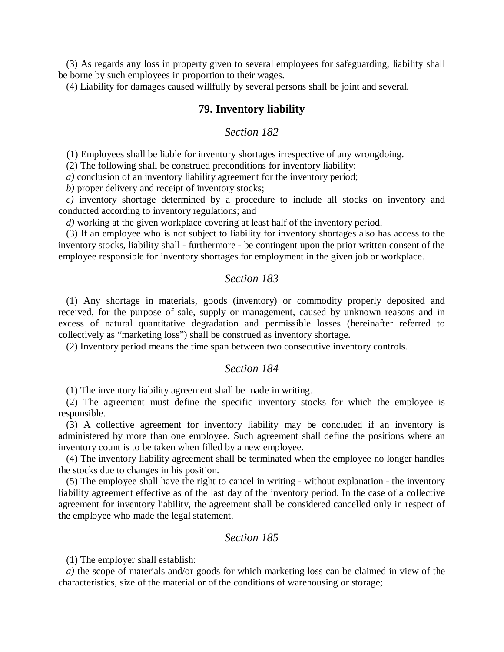(3) As regards any loss in property given to several employees for safeguarding, liability shall be borne by such employees in proportion to their wages.

(4) Liability for damages caused willfully by several persons shall be joint and several.

## **79. Inventory liability**

## *Section 182*

(1) Employees shall be liable for inventory shortages irrespective of any wrongdoing.

(2) The following shall be construed preconditions for inventory liability:

*a)* conclusion of an inventory liability agreement for the inventory period;

*b)* proper delivery and receipt of inventory stocks;

*c)* inventory shortage determined by a procedure to include all stocks on inventory and conducted according to inventory regulations; and

*d)* working at the given workplace covering at least half of the inventory period.

(3) If an employee who is not subject to liability for inventory shortages also has access to the inventory stocks, liability shall - furthermore - be contingent upon the prior written consent of the employee responsible for inventory shortages for employment in the given job or workplace.

#### *Section 183*

(1) Any shortage in materials, goods (inventory) or commodity properly deposited and received, for the purpose of sale, supply or management, caused by unknown reasons and in excess of natural quantitative degradation and permissible losses (hereinafter referred to collectively as "marketing loss") shall be construed as inventory shortage.

(2) Inventory period means the time span between two consecutive inventory controls.

#### *Section 184*

(1) The inventory liability agreement shall be made in writing.

(2) The agreement must define the specific inventory stocks for which the employee is responsible.

(3) A collective agreement for inventory liability may be concluded if an inventory is administered by more than one employee. Such agreement shall define the positions where an inventory count is to be taken when filled by a new employee.

(4) The inventory liability agreement shall be terminated when the employee no longer handles the stocks due to changes in his position.

(5) The employee shall have the right to cancel in writing - without explanation - the inventory liability agreement effective as of the last day of the inventory period. In the case of a collective agreement for inventory liability, the agreement shall be considered cancelled only in respect of the employee who made the legal statement.

#### *Section 185*

(1) The employer shall establish:

*a)* the scope of materials and/or goods for which marketing loss can be claimed in view of the characteristics, size of the material or of the conditions of warehousing or storage;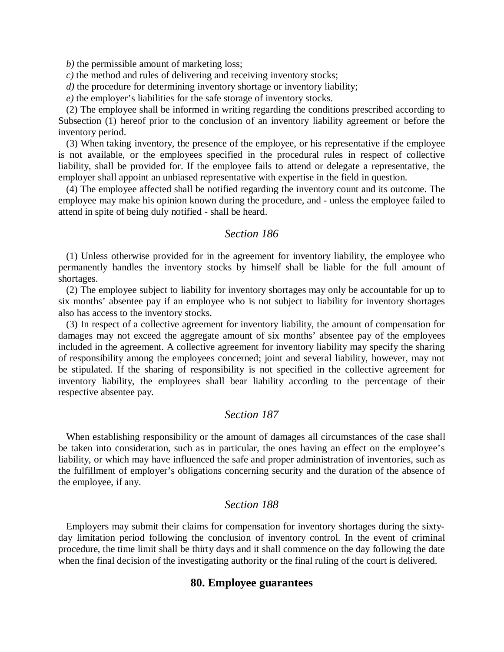*b)* the permissible amount of marketing loss;

*c)* the method and rules of delivering and receiving inventory stocks;

*d)* the procedure for determining inventory shortage or inventory liability;

*e)* the employer's liabilities for the safe storage of inventory stocks.

(2) The employee shall be informed in writing regarding the conditions prescribed according to Subsection (1) hereof prior to the conclusion of an inventory liability agreement or before the inventory period.

(3) When taking inventory, the presence of the employee, or his representative if the employee is not available, or the employees specified in the procedural rules in respect of collective liability, shall be provided for. If the employee fails to attend or delegate a representative, the employer shall appoint an unbiased representative with expertise in the field in question.

(4) The employee affected shall be notified regarding the inventory count and its outcome. The employee may make his opinion known during the procedure, and - unless the employee failed to attend in spite of being duly notified - shall be heard.

#### *Section 186*

(1) Unless otherwise provided for in the agreement for inventory liability, the employee who permanently handles the inventory stocks by himself shall be liable for the full amount of shortages.

(2) The employee subject to liability for inventory shortages may only be accountable for up to six months' absentee pay if an employee who is not subject to liability for inventory shortages also has access to the inventory stocks.

(3) In respect of a collective agreement for inventory liability, the amount of compensation for damages may not exceed the aggregate amount of six months' absentee pay of the employees included in the agreement. A collective agreement for inventory liability may specify the sharing of responsibility among the employees concerned; joint and several liability, however, may not be stipulated. If the sharing of responsibility is not specified in the collective agreement for inventory liability, the employees shall bear liability according to the percentage of their respective absentee pay.

## *Section 187*

When establishing responsibility or the amount of damages all circumstances of the case shall be taken into consideration, such as in particular, the ones having an effect on the employee's liability, or which may have influenced the safe and proper administration of inventories, such as the fulfillment of employer's obligations concerning security and the duration of the absence of the employee, if any.

## *Section 188*

Employers may submit their claims for compensation for inventory shortages during the sixtyday limitation period following the conclusion of inventory control. In the event of criminal procedure, the time limit shall be thirty days and it shall commence on the day following the date when the final decision of the investigating authority or the final ruling of the court is delivered.

#### **80. Employee guarantees**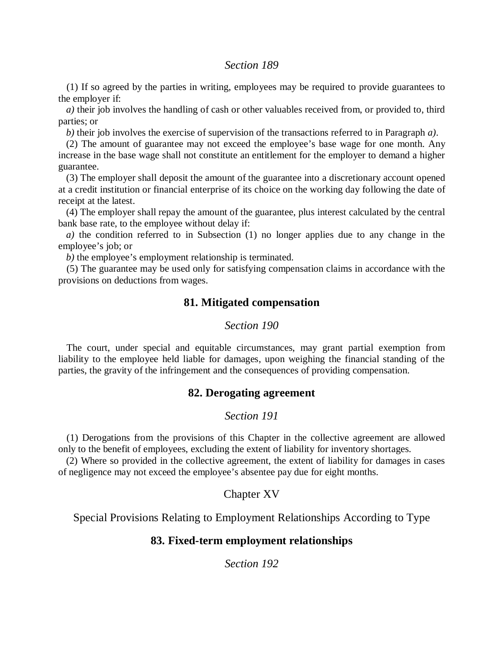## *Section 189*

(1) If so agreed by the parties in writing, employees may be required to provide guarantees to the employer if:

*a)* their job involves the handling of cash or other valuables received from, or provided to, third parties; or

*b)* their job involves the exercise of supervision of the transactions referred to in Paragraph *a)*.

(2) The amount of guarantee may not exceed the employee's base wage for one month. Any increase in the base wage shall not constitute an entitlement for the employer to demand a higher guarantee.

(3) The employer shall deposit the amount of the guarantee into a discretionary account opened at a credit institution or financial enterprise of its choice on the working day following the date of receipt at the latest.

(4) The employer shall repay the amount of the guarantee, plus interest calculated by the central bank base rate, to the employee without delay if:

*a)* the condition referred to in Subsection (1) no longer applies due to any change in the employee's job; or

*b*) the employee's employment relationship is terminated.

(5) The guarantee may be used only for satisfying compensation claims in accordance with the provisions on deductions from wages.

## **81. Mitigated compensation**

#### *Section 190*

The court, under special and equitable circumstances, may grant partial exemption from liability to the employee held liable for damages, upon weighing the financial standing of the parties, the gravity of the infringement and the consequences of providing compensation.

## **82. Derogating agreement**

## *Section 191*

(1) Derogations from the provisions of this Chapter in the collective agreement are allowed only to the benefit of employees, excluding the extent of liability for inventory shortages.

(2) Where so provided in the collective agreement, the extent of liability for damages in cases of negligence may not exceed the employee's absentee pay due for eight months.

## Chapter XV

Special Provisions Relating to Employment Relationships According to Type

#### **83. Fixed-term employment relationships**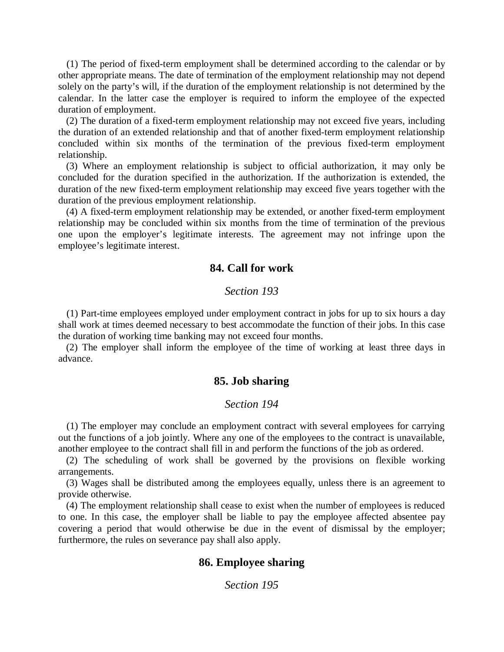(1) The period of fixed-term employment shall be determined according to the calendar or by other appropriate means. The date of termination of the employment relationship may not depend solely on the party's will, if the duration of the employment relationship is not determined by the calendar. In the latter case the employer is required to inform the employee of the expected duration of employment.

(2) The duration of a fixed-term employment relationship may not exceed five years, including the duration of an extended relationship and that of another fixed-term employment relationship concluded within six months of the termination of the previous fixed-term employment relationship.

(3) Where an employment relationship is subject to official authorization, it may only be concluded for the duration specified in the authorization. If the authorization is extended, the duration of the new fixed-term employment relationship may exceed five years together with the duration of the previous employment relationship.

(4) A fixed-term employment relationship may be extended, or another fixed-term employment relationship may be concluded within six months from the time of termination of the previous one upon the employer's legitimate interests. The agreement may not infringe upon the employee's legitimate interest.

## **84. Call for work**

## *Section 193*

(1) Part-time employees employed under employment contract in jobs for up to six hours a day shall work at times deemed necessary to best accommodate the function of their jobs. In this case the duration of working time banking may not exceed four months.

(2) The employer shall inform the employee of the time of working at least three days in advance.

#### **85. Job sharing**

#### *Section 194*

(1) The employer may conclude an employment contract with several employees for carrying out the functions of a job jointly. Where any one of the employees to the contract is unavailable, another employee to the contract shall fill in and perform the functions of the job as ordered.

(2) The scheduling of work shall be governed by the provisions on flexible working arrangements.

(3) Wages shall be distributed among the employees equally, unless there is an agreement to provide otherwise.

(4) The employment relationship shall cease to exist when the number of employees is reduced to one. In this case, the employer shall be liable to pay the employee affected absentee pay covering a period that would otherwise be due in the event of dismissal by the employer; furthermore, the rules on severance pay shall also apply.

#### **86. Employee sharing**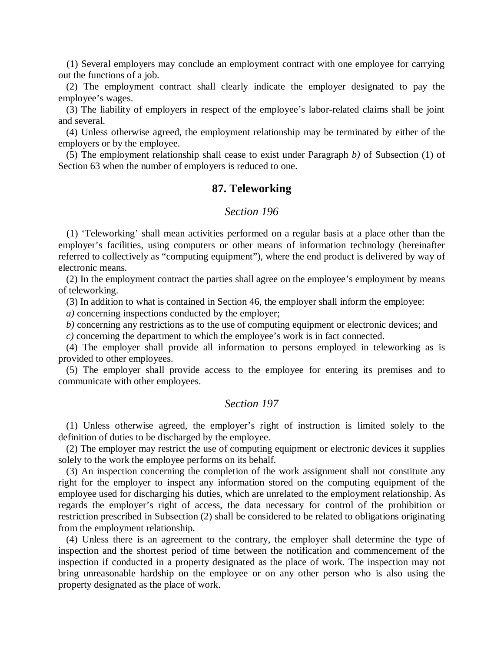(1) Several employers may conclude an employment contract with one employee for carrying out the functions of a job.

(2) The employment contract shall clearly indicate the employer designated to pay the employee's wages.

(3) The liability of employers in respect of the employee's labor-related claims shall be joint and several.

(4) Unless otherwise agreed, the employment relationship may be terminated by either of the employers or by the employee.

(5) The employment relationship shall cease to exist under Paragraph *b)* of Subsection (1) of Section 63 when the number of employers is reduced to one.

#### **87. Teleworking**

#### *Section 196*

(1) 'Teleworking' shall mean activities performed on a regular basis at a place other than the employer's facilities, using computers or other means of information technology (hereinafter referred to collectively as "computing equipment"), where the end product is delivered by way of electronic means.

(2) In the employment contract the parties shall agree on the employee's employment by means of teleworking.

(3) In addition to what is contained in Section 46, the employer shall inform the employee:

*a)* concerning inspections conducted by the employer;

*b)* concerning any restrictions as to the use of computing equipment or electronic devices; and

*c)* concerning the department to which the employee's work is in fact connected.

(4) The employer shall provide all information to persons employed in teleworking as is provided to other employees.

(5) The employer shall provide access to the employee for entering its premises and to communicate with other employees.

## *Section 197*

(1) Unless otherwise agreed, the employer's right of instruction is limited solely to the definition of duties to be discharged by the employee.

(2) The employer may restrict the use of computing equipment or electronic devices it supplies solely to the work the employee performs on its behalf.

(3) An inspection concerning the completion of the work assignment shall not constitute any right for the employer to inspect any information stored on the computing equipment of the employee used for discharging his duties, which are unrelated to the employment relationship. As regards the employer's right of access, the data necessary for control of the prohibition or restriction prescribed in Subsection (2) shall be considered to be related to obligations originating from the employment relationship.

(4) Unless there is an agreement to the contrary, the employer shall determine the type of inspection and the shortest period of time between the notification and commencement of the inspection if conducted in a property designated as the place of work. The inspection may not bring unreasonable hardship on the employee or on any other person who is also using the property designated as the place of work.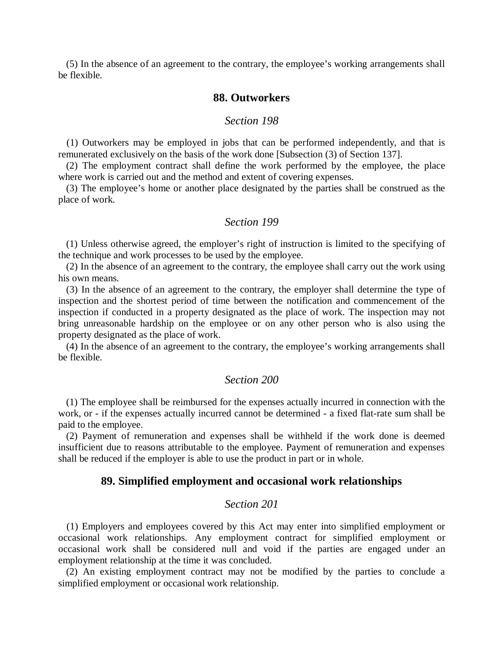(5) In the absence of an agreement to the contrary, the employee's working arrangements shall be flexible.

### **88. Outworkers**

#### *Section 198*

(1) Outworkers may be employed in jobs that can be performed independently, and that is remunerated exclusively on the basis of the work done [Subsection (3) of Section 137].

(2) The employment contract shall define the work performed by the employee, the place where work is carried out and the method and extent of covering expenses.

(3) The employee's home or another place designated by the parties shall be construed as the place of work.

#### *Section 199*

(1) Unless otherwise agreed, the employer's right of instruction is limited to the specifying of the technique and work processes to be used by the employee.

(2) In the absence of an agreement to the contrary, the employee shall carry out the work using his own means.

(3) In the absence of an agreement to the contrary, the employer shall determine the type of inspection and the shortest period of time between the notification and commencement of the inspection if conducted in a property designated as the place of work. The inspection may not bring unreasonable hardship on the employee or on any other person who is also using the property designated as the place of work.

(4) In the absence of an agreement to the contrary, the employee's working arrangements shall be flexible.

### *Section 200*

(1) The employee shall be reimbursed for the expenses actually incurred in connection with the work, or - if the expenses actually incurred cannot be determined - a fixed flat-rate sum shall be paid to the employee.

(2) Payment of remuneration and expenses shall be withheld if the work done is deemed insufficient due to reasons attributable to the employee. Payment of remuneration and expenses shall be reduced if the employer is able to use the product in part or in whole.

### **89. Simplified employment and occasional work relationships**

## *Section 201*

(1) Employers and employees covered by this Act may enter into simplified employment or occasional work relationships. Any employment contract for simplified employment or occasional work shall be considered null and void if the parties are engaged under an employment relationship at the time it was concluded.

(2) An existing employment contract may not be modified by the parties to conclude a simplified employment or occasional work relationship.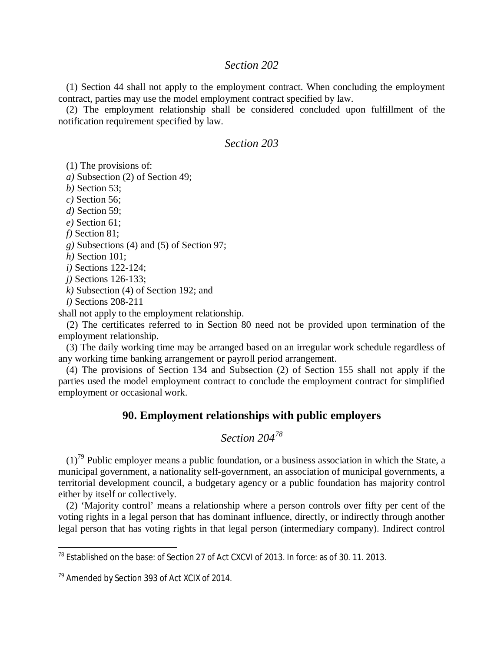## *Section 202*

(1) Section 44 shall not apply to the employment contract. When concluding the employment contract, parties may use the model employment contract specified by law.

(2) The employment relationship shall be considered concluded upon fulfillment of the notification requirement specified by law.

## *Section 203*

(1) The provisions of:

*a)* Subsection (2) of Section 49;

*b)* Section 53;

*c)* Section 56;

*d)* Section 59;

*e)* Section 61;

*f)* Section 81;

*g)* Subsections (4) and (5) of Section 97;

*h)* Section 101;

*i)* Sections 122-124;

*j)* Sections 126-133;

*k)* Subsection (4) of Section 192; and

*l)* Sections 208-211

shall not apply to the employment relationship.

(2) The certificates referred to in Section 80 need not be provided upon termination of the employment relationship.

(3) The daily working time may be arranged based on an irregular work schedule regardless of any working time banking arrangement or payroll period arrangement.

(4) The provisions of Section 134 and Subsection (2) of Section 155 shall not apply if the parties used the model employment contract to conclude the employment contract for simplified employment or occasional work.

## **90. Employment relationships with public employers**

# *Section 204<sup>78</sup>*

 $(1)<sup>79</sup>$  $(1)<sup>79</sup>$  $(1)<sup>79</sup>$  Public employer means a public foundation, or a business association in which the State, a municipal government, a nationality self-government, an association of municipal governments, a territorial development council, a budgetary agency or a public foundation has majority control either by itself or collectively.

(2) 'Majority control' means a relationship where a person controls over fifty per cent of the voting rights in a legal person that has dominant influence, directly, or indirectly through another legal person that has voting rights in that legal person (intermediary company). Indirect control

<sup>&</sup>lt;sup>78</sup> Established on the base: of Section 27 of Act CXCVI of 2013. In force: as of 30. 11. 2013.

<span id="page-69-0"></span><sup>&</sup>lt;sup>79</sup> Amended by Section 393 of Act XCIX of 2014.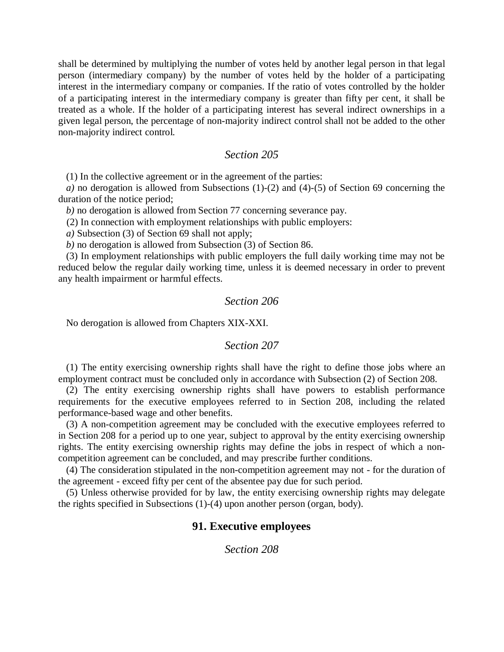shall be determined by multiplying the number of votes held by another legal person in that legal person (intermediary company) by the number of votes held by the holder of a participating interest in the intermediary company or companies. If the ratio of votes controlled by the holder of a participating interest in the intermediary company is greater than fifty per cent, it shall be treated as a whole. If the holder of a participating interest has several indirect ownerships in a given legal person, the percentage of non-majority indirect control shall not be added to the other non-majority indirect control.

#### *Section 205*

(1) In the collective agreement or in the agreement of the parties:

*a)* no derogation is allowed from Subsections (1)-(2) and (4)-(5) of Section 69 concerning the duration of the notice period;

*b)* no derogation is allowed from Section 77 concerning severance pay.

(2) In connection with employment relationships with public employers:

*a)* Subsection (3) of Section 69 shall not apply;

*b)* no derogation is allowed from Subsection (3) of Section 86.

(3) In employment relationships with public employers the full daily working time may not be reduced below the regular daily working time, unless it is deemed necessary in order to prevent any health impairment or harmful effects.

## *Section 206*

No derogation is allowed from Chapters XIX-XXI.

#### *Section 207*

(1) The entity exercising ownership rights shall have the right to define those jobs where an employment contract must be concluded only in accordance with Subsection (2) of Section 208.

(2) The entity exercising ownership rights shall have powers to establish performance requirements for the executive employees referred to in Section 208, including the related performance-based wage and other benefits.

(3) A non-competition agreement may be concluded with the executive employees referred to in Section 208 for a period up to one year, subject to approval by the entity exercising ownership rights. The entity exercising ownership rights may define the jobs in respect of which a noncompetition agreement can be concluded, and may prescribe further conditions.

(4) The consideration stipulated in the non-competition agreement may not - for the duration of the agreement - exceed fifty per cent of the absentee pay due for such period.

(5) Unless otherwise provided for by law, the entity exercising ownership rights may delegate the rights specified in Subsections (1)-(4) upon another person (organ, body).

#### **91. Executive employees**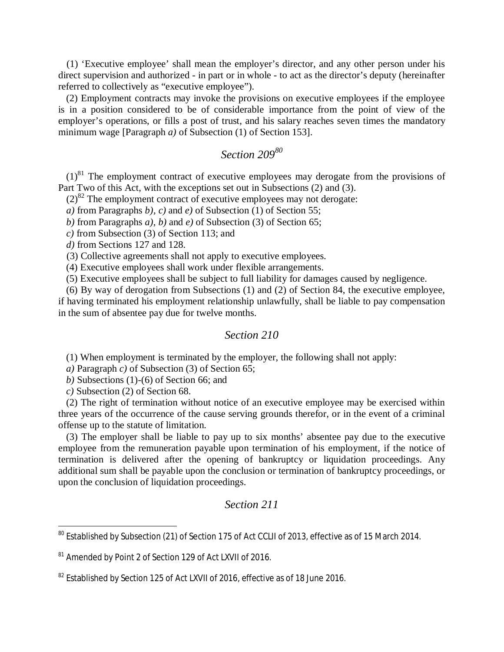(1) 'Executive employee' shall mean the employer's director, and any other person under his direct supervision and authorized - in part or in whole - to act as the director's deputy (hereinafter referred to collectively as "executive employee").

(2) Employment contracts may invoke the provisions on executive employees if the employee is in a position considered to be of considerable importance from the point of view of the employer's operations, or fills a post of trust, and his salary reaches seven times the mandatory minimum wage [Paragraph *a)* of Subsection (1) of Section 153].

# *Section 209[80](#page-71-0)*

 $(1)^{81}$  $(1)^{81}$  $(1)^{81}$  The employment contract of executive employees may derogate from the provisions of Part Two of this Act, with the exceptions set out in Subsections (2) and (3).

 $(2)^{82}$  $(2)^{82}$  $(2)^{82}$  The employment contract of executive employees may not derogate:

*a)* from Paragraphs *b), c)* and *e)* of Subsection (1) of Section 55;

*b)* from Paragraphs *a), b)* and *e)* of Subsection (3) of Section 65;

*c)* from Subsection (3) of Section 113; and

*d)* from Sections 127 and 128.

(3) Collective agreements shall not apply to executive employees.

(4) Executive employees shall work under flexible arrangements.

(5) Executive employees shall be subject to full liability for damages caused by negligence.

(6) By way of derogation from Subsections (1) and (2) of Section 84, the executive employee, if having terminated his employment relationship unlawfully, shall be liable to pay compensation in the sum of absentee pay due for twelve months.

## *Section 210*

(1) When employment is terminated by the employer, the following shall not apply:

*a)* Paragraph *c)* of Subsection (3) of Section 65;

*b)* Subsections (1)-(6) of Section 66; and

*c)* Subsection (2) of Section 68.

(2) The right of termination without notice of an executive employee may be exercised within three years of the occurrence of the cause serving grounds therefor, or in the event of a criminal offense up to the statute of limitation.

(3) The employer shall be liable to pay up to six months' absentee pay due to the executive employee from the remuneration payable upon termination of his employment, if the notice of termination is delivered after the opening of bankruptcy or liquidation proceedings. Any additional sum shall be payable upon the conclusion or termination of bankruptcy proceedings, or upon the conclusion of liquidation proceedings.

<span id="page-71-0"></span><sup>&</sup>lt;sup>80</sup> Established by Subsection (21) of Section 175 of Act CCLII of 2013, effective as of 15 March 2014.

<span id="page-71-1"></span><sup>81</sup> Amended by Point 2 of Section 129 of Act LXVII of 2016.

<span id="page-71-2"></span> $82$  Established by Section 125 of Act LXVII of 2016, effective as of 18 June 2016.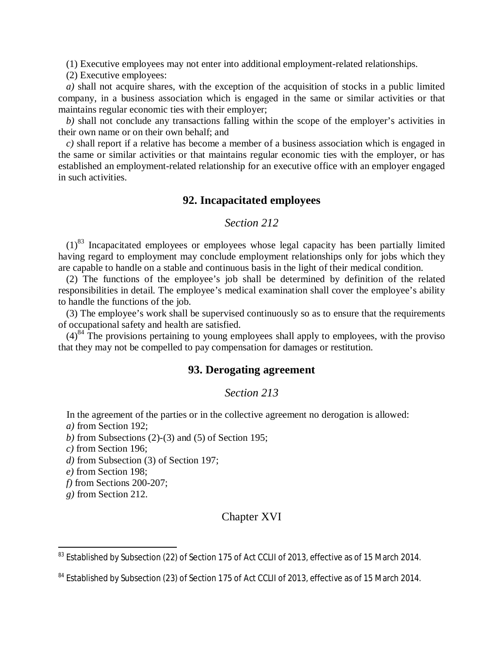(1) Executive employees may not enter into additional employment-related relationships.

(2) Executive employees:

*a)* shall not acquire shares, with the exception of the acquisition of stocks in a public limited company, in a business association which is engaged in the same or similar activities or that maintains regular economic ties with their employer;

*b)* shall not conclude any transactions falling within the scope of the employer's activities in their own name or on their own behalf; and

*c)* shall report if a relative has become a member of a business association which is engaged in the same or similar activities or that maintains regular economic ties with the employer, or has established an employment-related relationship for an executive office with an employer engaged in such activities.

# **92. Incapacitated employees**

# *Section 212*

 $(1)^{83}$  $(1)^{83}$  $(1)^{83}$  Incapacitated employees or employees whose legal capacity has been partially limited having regard to employment may conclude employment relationships only for jobs which they are capable to handle on a stable and continuous basis in the light of their medical condition.

(2) The functions of the employee's job shall be determined by definition of the related responsibilities in detail. The employee's medical examination shall cover the employee's ability to handle the functions of the job.

(3) The employee's work shall be supervised continuously so as to ensure that the requirements of occupational safety and health are satisfied.

 $(4)^{84}$  $(4)^{84}$  $(4)^{84}$  The provisions pertaining to young employees shall apply to employees, with the proviso that they may not be compelled to pay compensation for damages or restitution.

#### **93. Derogating agreement**

### *Section 213*

In the agreement of the parties or in the collective agreement no derogation is allowed:

*a)* from Section 192;

*b)* from Subsections (2)-(3) and (5) of Section 195;

*c)* from Section 196;

*d)* from Subsection (3) of Section 197;

*e)* from Section 198;

*f)* from Sections 200-207;

*g)* from Section 212.

# Chapter XVI

<span id="page-72-0"></span><sup>&</sup>lt;sup>83</sup> Established by Subsection (22) of Section 175 of Act CCLII of 2013, effective as of 15 March 2014.

<span id="page-72-1"></span><sup>&</sup>lt;sup>84</sup> Established by Subsection (23) of Section 175 of Act CCLII of 2013, effective as of 15 March 2014.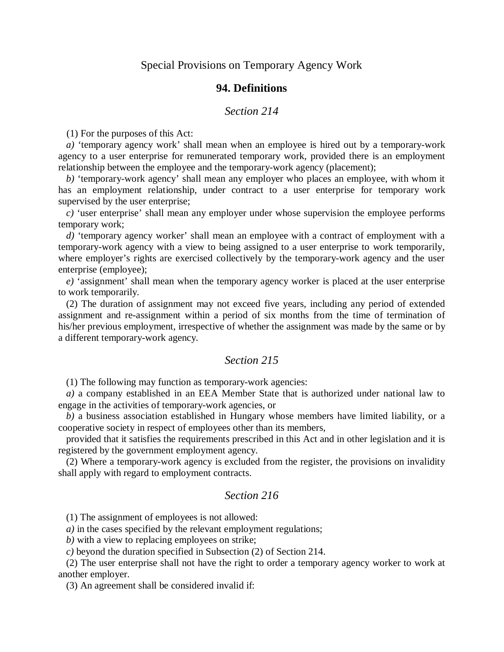# **94. Definitions**

#### *Section 214*

(1) For the purposes of this Act:

*a)* 'temporary agency work' shall mean when an employee is hired out by a temporary-work agency to a user enterprise for remunerated temporary work, provided there is an employment relationship between the employee and the temporary-work agency (placement);

*b)* 'temporary-work agency' shall mean any employer who places an employee, with whom it has an employment relationship, under contract to a user enterprise for temporary work supervised by the user enterprise;

*c)* 'user enterprise' shall mean any employer under whose supervision the employee performs temporary work;

*d)* 'temporary agency worker' shall mean an employee with a contract of employment with a temporary-work agency with a view to being assigned to a user enterprise to work temporarily, where employer's rights are exercised collectively by the temporary-work agency and the user enterprise (employee);

*e)* 'assignment' shall mean when the temporary agency worker is placed at the user enterprise to work temporarily.

(2) The duration of assignment may not exceed five years, including any period of extended assignment and re-assignment within a period of six months from the time of termination of his/her previous employment, irrespective of whether the assignment was made by the same or by a different temporary-work agency.

# *Section 215*

(1) The following may function as temporary-work agencies:

*a)* a company established in an EEA Member State that is authorized under national law to engage in the activities of temporary-work agencies, or

*b)* a business association established in Hungary whose members have limited liability, or a cooperative society in respect of employees other than its members,

provided that it satisfies the requirements prescribed in this Act and in other legislation and it is registered by the government employment agency.

(2) Where a temporary-work agency is excluded from the register, the provisions on invalidity shall apply with regard to employment contracts.

# *Section 216*

(1) The assignment of employees is not allowed:

*a)* in the cases specified by the relevant employment regulations;

*b)* with a view to replacing employees on strike;

*c)* beyond the duration specified in Subsection (2) of Section 214.

(2) The user enterprise shall not have the right to order a temporary agency worker to work at another employer.

(3) An agreement shall be considered invalid if: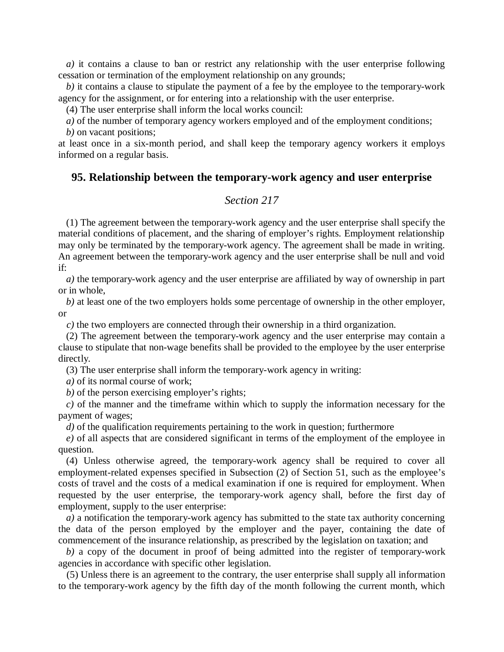*a)* it contains a clause to ban or restrict any relationship with the user enterprise following cessation or termination of the employment relationship on any grounds;

*b)* it contains a clause to stipulate the payment of a fee by the employee to the temporary-work agency for the assignment, or for entering into a relationship with the user enterprise.

(4) The user enterprise shall inform the local works council:

*a*) of the number of temporary agency workers employed and of the employment conditions;

*b)* on vacant positions;

at least once in a six-month period, and shall keep the temporary agency workers it employs informed on a regular basis.

# **95. Relationship between the temporary-work agency and user enterprise**

# *Section 217*

(1) The agreement between the temporary-work agency and the user enterprise shall specify the material conditions of placement, and the sharing of employer's rights. Employment relationship may only be terminated by the temporary-work agency. The agreement shall be made in writing. An agreement between the temporary-work agency and the user enterprise shall be null and void if:

*a)* the temporary-work agency and the user enterprise are affiliated by way of ownership in part or in whole,

*b)* at least one of the two employers holds some percentage of ownership in the other employer, or

*c)* the two employers are connected through their ownership in a third organization.

(2) The agreement between the temporary-work agency and the user enterprise may contain a clause to stipulate that non-wage benefits shall be provided to the employee by the user enterprise directly.

(3) The user enterprise shall inform the temporary-work agency in writing:

*a)* of its normal course of work;

*b)* of the person exercising employer's rights;

*c)* of the manner and the timeframe within which to supply the information necessary for the payment of wages;

*d)* of the qualification requirements pertaining to the work in question; furthermore

*e)* of all aspects that are considered significant in terms of the employment of the employee in question.

(4) Unless otherwise agreed, the temporary-work agency shall be required to cover all employment-related expenses specified in Subsection (2) of Section 51, such as the employee's costs of travel and the costs of a medical examination if one is required for employment. When requested by the user enterprise, the temporary-work agency shall, before the first day of employment, supply to the user enterprise:

*a)* a notification the temporary-work agency has submitted to the state tax authority concerning the data of the person employed by the employer and the payer, containing the date of commencement of the insurance relationship, as prescribed by the legislation on taxation; and

*b)* a copy of the document in proof of being admitted into the register of temporary-work agencies in accordance with specific other legislation.

(5) Unless there is an agreement to the contrary, the user enterprise shall supply all information to the temporary-work agency by the fifth day of the month following the current month, which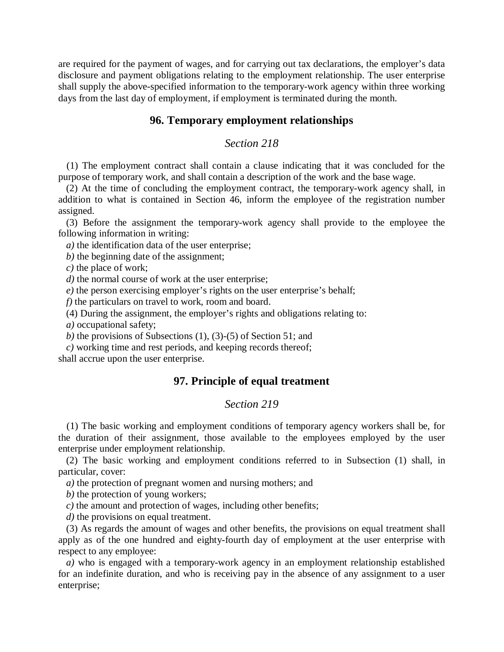are required for the payment of wages, and for carrying out tax declarations, the employer's data disclosure and payment obligations relating to the employment relationship. The user enterprise shall supply the above-specified information to the temporary-work agency within three working days from the last day of employment, if employment is terminated during the month.

# **96. Temporary employment relationships**

# *Section 218*

(1) The employment contract shall contain a clause indicating that it was concluded for the purpose of temporary work, and shall contain a description of the work and the base wage.

(2) At the time of concluding the employment contract, the temporary-work agency shall, in addition to what is contained in Section 46, inform the employee of the registration number assigned.

(3) Before the assignment the temporary-work agency shall provide to the employee the following information in writing:

*a)* the identification data of the user enterprise;

*b)* the beginning date of the assignment;

*c)* the place of work;

*d)* the normal course of work at the user enterprise;

*e)* the person exercising employer's rights on the user enterprise's behalf;

*f)* the particulars on travel to work, room and board.

(4) During the assignment, the employer's rights and obligations relating to:

*a)* occupational safety;

*b)* the provisions of Subsections (1), (3)-(5) of Section 51; and

*c)* working time and rest periods, and keeping records thereof; shall accrue upon the user enterprise.

# **97. Principle of equal treatment**

#### *Section 219*

(1) The basic working and employment conditions of temporary agency workers shall be, for the duration of their assignment, those available to the employees employed by the user enterprise under employment relationship.

(2) The basic working and employment conditions referred to in Subsection (1) shall, in particular, cover:

*a)* the protection of pregnant women and nursing mothers; and

*b)* the protection of young workers;

*c)* the amount and protection of wages, including other benefits;

*d)* the provisions on equal treatment.

(3) As regards the amount of wages and other benefits, the provisions on equal treatment shall apply as of the one hundred and eighty-fourth day of employment at the user enterprise with respect to any employee:

*a)* who is engaged with a temporary-work agency in an employment relationship established for an indefinite duration, and who is receiving pay in the absence of any assignment to a user enterprise;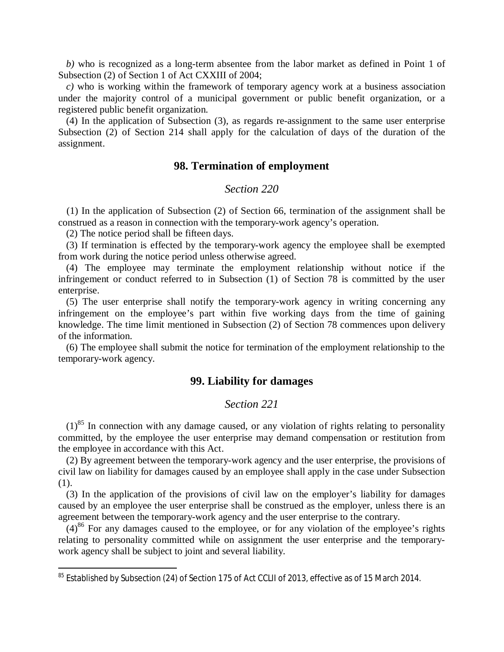*b)* who is recognized as a long-term absentee from the labor market as defined in Point 1 of Subsection (2) of Section 1 of Act CXXIII of 2004;

*c)* who is working within the framework of temporary agency work at a business association under the majority control of a municipal government or public benefit organization, or a registered public benefit organization.

(4) In the application of Subsection (3), as regards re-assignment to the same user enterprise Subsection (2) of Section 214 shall apply for the calculation of days of the duration of the assignment.

#### **98. Termination of employment**

#### *Section 220*

(1) In the application of Subsection (2) of Section 66, termination of the assignment shall be construed as a reason in connection with the temporary-work agency's operation.

(2) The notice period shall be fifteen days.

(3) If termination is effected by the temporary-work agency the employee shall be exempted from work during the notice period unless otherwise agreed.

(4) The employee may terminate the employment relationship without notice if the infringement or conduct referred to in Subsection (1) of Section 78 is committed by the user enterprise.

(5) The user enterprise shall notify the temporary-work agency in writing concerning any infringement on the employee's part within five working days from the time of gaining knowledge. The time limit mentioned in Subsection (2) of Section 78 commences upon delivery of the information.

(6) The employee shall submit the notice for termination of the employment relationship to the temporary-work agency.

# **99. Liability for damages**

### *Section 221*

 $(1)^{85}$  $(1)^{85}$  $(1)^{85}$  In connection with any damage caused, or any violation of rights relating to personality committed, by the employee the user enterprise may demand compensation or restitution from the employee in accordance with this Act.

(2) By agreement between the temporary-work agency and the user enterprise, the provisions of civil law on liability for damages caused by an employee shall apply in the case under Subsection (1).

<span id="page-76-1"></span>(3) In the application of the provisions of civil law on the employer's liability for damages caused by an employee the user enterprise shall be construed as the employer, unless there is an agreement between the temporary-work agency and the user enterprise to the contrary.

 $(4)^{86}$  $(4)^{86}$  $(4)^{86}$  For any damages caused to the employee, or for any violation of the employee's rights relating to personality committed while on assignment the user enterprise and the temporarywork agency shall be subject to joint and several liability.

<span id="page-76-0"></span><sup>85</sup> Established by Subsection (24) of Section 175 of Act CCLII of 2013, effective as of 15 March 2014.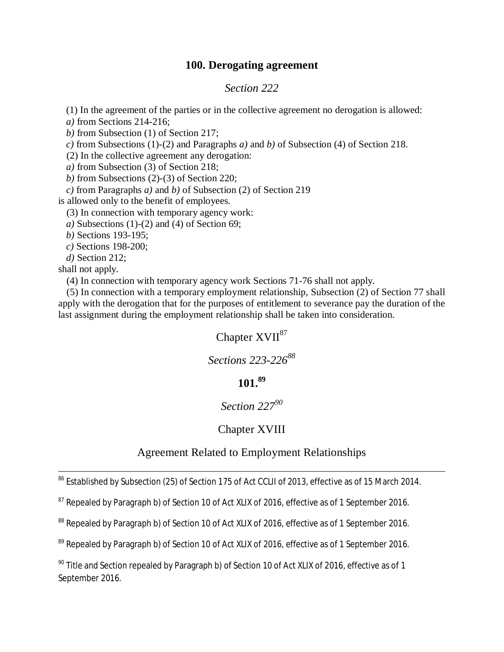# **100. Derogating agreement**

# *Section 222*

(1) In the agreement of the parties or in the collective agreement no derogation is allowed:

*a)* from Sections 214-216;

*b)* from Subsection (1) of Section 217;

*c)* from Subsections (1)-(2) and Paragraphs *a)* and *b)* of Subsection (4) of Section 218.

(2) In the collective agreement any derogation:

*a)* from Subsection (3) of Section 218;

*b)* from Subsections (2)-(3) of Section 220;

*c)* from Paragraphs *a)* and *b)* of Subsection (2) of Section 219

is allowed only to the benefit of employees.

(3) In connection with temporary agency work:

*a)* Subsections (1)-(2) and (4) of Section 69;

*b)* Sections 193-195;

*c)* Sections 198-200;

*d)* Section 212;

shall not apply.

(4) In connection with temporary agency work Sections 71-76 shall not apply.

(5) In connection with a temporary employment relationship, Subsection (2) of Section 77 shall apply with the derogation that for the purposes of entitlement to severance pay the duration of the last assignment during the employment relationship shall be taken into consideration.

# Chapter  $XVII^{87}$  $XVII^{87}$  $XVII^{87}$

*Sections 223-226<sup>88</sup>*

# **101.<sup>89</sup>**

# *Section [22](#page-77-1)7<sup>90</sup>*

# Chapter XV[III](#page-77-2)

# Agreement Related to Employment Relationships

<sup>86</sup> Established by Subsection (25) of Section 175 of Act CCLII of 2013, effective as of 15 March 2014.

<span id="page-77-0"></span> $87$  Repealed by Paragraph b) of Section 10 of Act XLIX of 2016, effective as of 1 September 2016.

<sup>88</sup> Repealed by Paragraph b) of Section 10 of Act XLIX of 2016, effective as of 1 September 2016.

<span id="page-77-1"></span><sup>89</sup> Repealed by Paragraph b) of Section 10 of Act XLIX of 2016, effective as of 1 September 2016.

<span id="page-77-2"></span> $90$  Title and Section repealed by Paragraph b) of Section 10 of Act XLIX of 2016, effective as of 1 September 2016.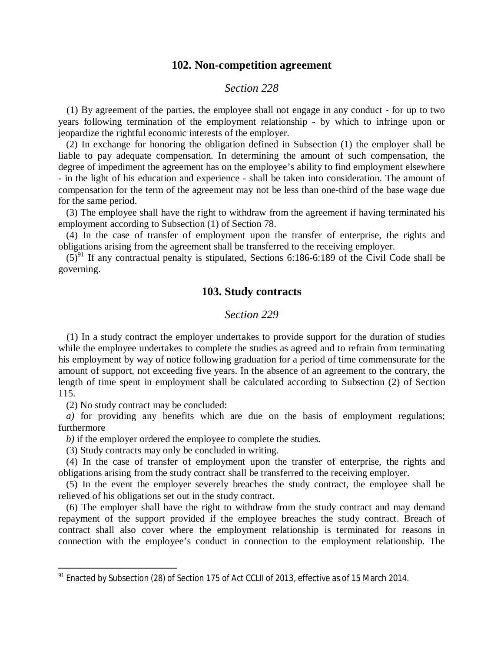#### **102. Non-competition agreement**

#### *Section 228*

(1) By agreement of the parties, the employee shall not engage in any conduct - for up to two years following termination of the employment relationship - by which to infringe upon or jeopardize the rightful economic interests of the employer.

(2) In exchange for honoring the obligation defined in Subsection (1) the employer shall be liable to pay adequate compensation. In determining the amount of such compensation, the degree of impediment the agreement has on the employee's ability to find employment elsewhere - in the light of his education and experience - shall be taken into consideration. The amount of compensation for the term of the agreement may not be less than one-third of the base wage due for the same period.

(3) The employee shall have the right to withdraw from the agreement if having terminated his employment according to Subsection (1) of Section 78.

(4) In the case of transfer of employment upon the transfer of enterprise, the rights and obligations arising from the agreement shall be transferred to the receiving employer.

 $(5)^{91}$  $(5)^{91}$  $(5)^{91}$  If any contractual penalty is stipulated, Sections 6:186-6:189 of the Civil Code shall be governing.

# **103. Study contracts**

### *Section 229*

(1) In a study contract the employer undertakes to provide support for the duration of studies while the employee undertakes to complete the studies as agreed and to refrain from terminating his employment by way of notice following graduation for a period of time commensurate for the amount of support, not exceeding five years. In the absence of an agreement to the contrary, the length of time spent in employment shall be calculated according to Subsection (2) of Section 115.

(2) No study contract may be concluded:

*a)* for providing any benefits which are due on the basis of employment regulations; furthermore

*b)* if the employer ordered the employee to complete the studies.

(3) Study contracts may only be concluded in writing.

(4) In the case of transfer of employment upon the transfer of enterprise, the rights and obligations arising from the study contract shall be transferred to the receiving employer.

(5) In the event the employer severely breaches the study contract, the employee shall be relieved of his obligations set out in the study contract.

(6) The employer shall have the right to withdraw from the study contract and may demand repayment of the support provided if the employee breaches the study contract. Breach of contract shall also cover where the employment relationship is terminated for reasons in connection with the employee's conduct in connection to the employment relationship. The

<span id="page-78-0"></span><sup>&</sup>lt;sup>91</sup> Enacted by Subsection (28) of Section 175 of Act CCLII of 2013, effective as of 15 March 2014.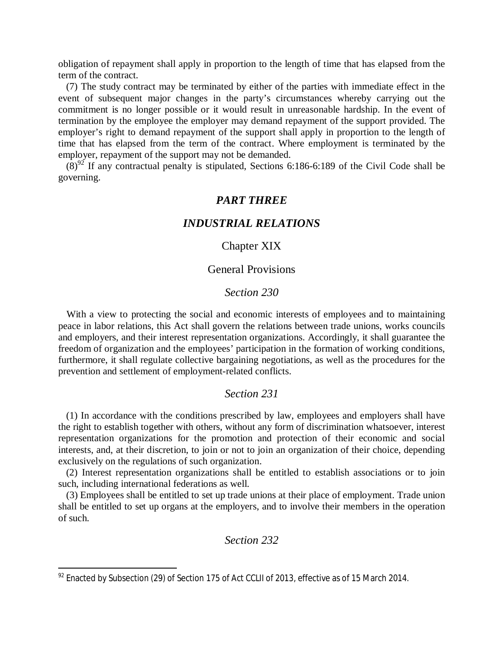obligation of repayment shall apply in proportion to the length of time that has elapsed from the term of the contract.

(7) The study contract may be terminated by either of the parties with immediate effect in the event of subsequent major changes in the party's circumstances whereby carrying out the commitment is no longer possible or it would result in unreasonable hardship. In the event of termination by the employee the employer may demand repayment of the support provided. The employer's right to demand repayment of the support shall apply in proportion to the length of time that has elapsed from the term of the contract. Where employment is terminated by the employer, repayment of the support may not be demanded.

 $(8)^{92}$  $(8)^{92}$  $(8)^{92}$  If any contractual penalty is stipulated, Sections 6:186-6:189 of the Civil Code shall be governing.

# *PART THREE*

# *INDUSTRIAL RELATIONS*

# Chapter XIX

#### General Provisions

#### *Section 230*

With a view to protecting the social and economic interests of employees and to maintaining peace in labor relations, this Act shall govern the relations between trade unions, works councils and employers, and their interest representation organizations. Accordingly, it shall guarantee the freedom of organization and the employees' participation in the formation of working conditions, furthermore, it shall regulate collective bargaining negotiations, as well as the procedures for the prevention and settlement of employment-related conflicts.

# *Section 231*

(1) In accordance with the conditions prescribed by law, employees and employers shall have the right to establish together with others, without any form of discrimination whatsoever, interest representation organizations for the promotion and protection of their economic and social interests, and, at their discretion, to join or not to join an organization of their choice, depending exclusively on the regulations of such organization.

(2) Interest representation organizations shall be entitled to establish associations or to join such, including international federations as well.

(3) Employees shall be entitled to set up trade unions at their place of employment. Trade union shall be entitled to set up organs at the employers, and to involve their members in the operation of such.

# *Section 232*

<span id="page-79-0"></span><sup>&</sup>lt;sup>92</sup> Enacted by Subsection (29) of Section 175 of Act CCLII of 2013, effective as of 15 March 2014.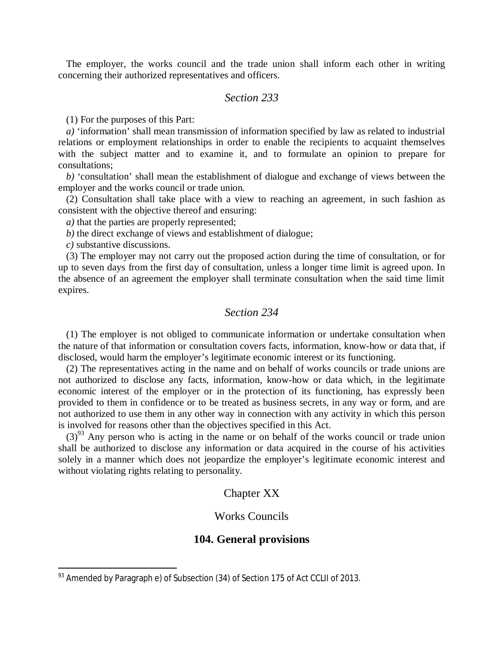The employer, the works council and the trade union shall inform each other in writing concerning their authorized representatives and officers.

# *Section 233*

(1) For the purposes of this Part:

*a)* 'information' shall mean transmission of information specified by law as related to industrial relations or employment relationships in order to enable the recipients to acquaint themselves with the subject matter and to examine it, and to formulate an opinion to prepare for consultations;

*b)* 'consultation' shall mean the establishment of dialogue and exchange of views between the employer and the works council or trade union.

(2) Consultation shall take place with a view to reaching an agreement, in such fashion as consistent with the objective thereof and ensuring:

*a)* that the parties are properly represented;

*b)* the direct exchange of views and establishment of dialogue;

*c)* substantive discussions.

(3) The employer may not carry out the proposed action during the time of consultation, or for up to seven days from the first day of consultation, unless a longer time limit is agreed upon. In the absence of an agreement the employer shall terminate consultation when the said time limit expires.

# *Section 234*

(1) The employer is not obliged to communicate information or undertake consultation when the nature of that information or consultation covers facts, information, know-how or data that, if disclosed, would harm the employer's legitimate economic interest or its functioning.

(2) The representatives acting in the name and on behalf of works councils or trade unions are not authorized to disclose any facts, information, know-how or data which, in the legitimate economic interest of the employer or in the protection of its functioning, has expressly been provided to them in confidence or to be treated as business secrets, in any way or form, and are not authorized to use them in any other way in connection with any activity in which this person is involved for reasons other than the objectives specified in this Act.

 $(3)^{93}$  $(3)^{93}$  $(3)^{93}$  Any person who is acting in the name or on behalf of the works council or trade union shall be authorized to disclose any information or data acquired in the course of his activities solely in a manner which does not jeopardize the employer's legitimate economic interest and without violating rights relating to personality.

#### Chapter XX

# Works Councils

#### **104. General provisions**

<span id="page-80-0"></span><sup>93</sup> Amended by Paragraph e) of Subsection (34) of Section 175 of Act CCLII of 2013.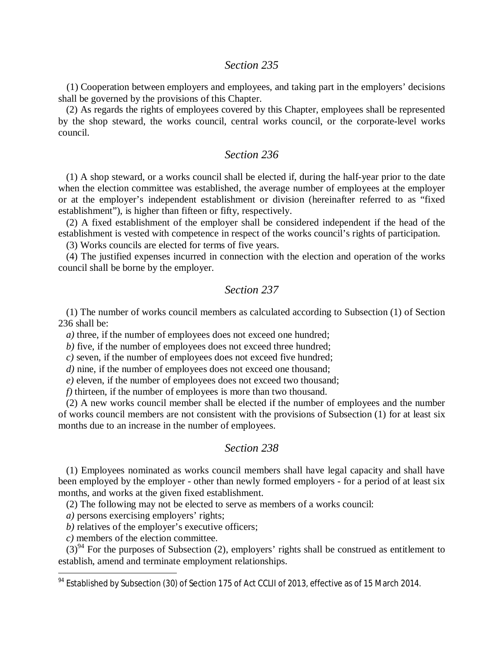# *Section 235*

(1) Cooperation between employers and employees, and taking part in the employers' decisions shall be governed by the provisions of this Chapter.

(2) As regards the rights of employees covered by this Chapter, employees shall be represented by the shop steward, the works council, central works council, or the corporate-level works council.

# *Section 236*

(1) A shop steward, or a works council shall be elected if, during the half-year prior to the date when the election committee was established, the average number of employees at the employer or at the employer's independent establishment or division (hereinafter referred to as "fixed establishment"), is higher than fifteen or fifty, respectively.

(2) A fixed establishment of the employer shall be considered independent if the head of the establishment is vested with competence in respect of the works council's rights of participation.

(3) Works councils are elected for terms of five years.

(4) The justified expenses incurred in connection with the election and operation of the works council shall be borne by the employer.

# *Section 237*

(1) The number of works council members as calculated according to Subsection (1) of Section 236 shall be:

*a*) three, if the number of employees does not exceed one hundred;

*b)* five, if the number of employees does not exceed three hundred;

*c)* seven, if the number of employees does not exceed five hundred;

*d*) nine, if the number of employees does not exceed one thousand;

*e)* eleven, if the number of employees does not exceed two thousand;

*f)* thirteen, if the number of employees is more than two thousand.

(2) A new works council member shall be elected if the number of employees and the number of works council members are not consistent with the provisions of Subsection (1) for at least six months due to an increase in the number of employees.

#### *Section 238*

(1) Employees nominated as works council members shall have legal capacity and shall have been employed by the employer - other than newly formed employers - for a period of at least six months, and works at the given fixed establishment.

(2) The following may not be elected to serve as members of a works council:

*a)* persons exercising employers' rights;

*b*) relatives of the employer's executive officers;

*c)* members of the election committee.

 $(3)^{94}$  $(3)^{94}$  $(3)^{94}$  For the purposes of Subsection (2), employers' rights shall be construed as entitlement to establish, amend and terminate employment relationships.

<span id="page-81-0"></span><sup>&</sup>lt;sup>94</sup> Established by Subsection (30) of Section 175 of Act CCLII of 2013, effective as of 15 March 2014.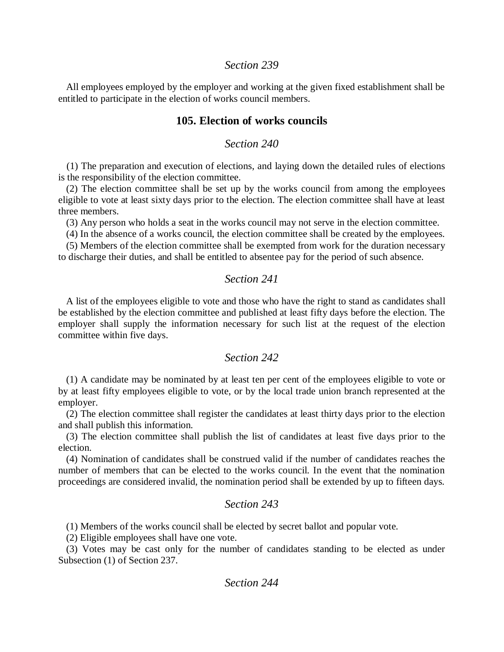### *Section 239*

All employees employed by the employer and working at the given fixed establishment shall be entitled to participate in the election of works council members.

# **105. Election of works councils**

# *Section 240*

(1) The preparation and execution of elections, and laying down the detailed rules of elections is the responsibility of the election committee.

(2) The election committee shall be set up by the works council from among the employees eligible to vote at least sixty days prior to the election. The election committee shall have at least three members.

(3) Any person who holds a seat in the works council may not serve in the election committee.

(4) In the absence of a works council, the election committee shall be created by the employees.

(5) Members of the election committee shall be exempted from work for the duration necessary to discharge their duties, and shall be entitled to absentee pay for the period of such absence.

# *Section 241*

A list of the employees eligible to vote and those who have the right to stand as candidates shall be established by the election committee and published at least fifty days before the election. The employer shall supply the information necessary for such list at the request of the election committee within five days.

#### *Section 242*

(1) A candidate may be nominated by at least ten per cent of the employees eligible to vote or by at least fifty employees eligible to vote, or by the local trade union branch represented at the employer.

(2) The election committee shall register the candidates at least thirty days prior to the election and shall publish this information.

(3) The election committee shall publish the list of candidates at least five days prior to the election.

(4) Nomination of candidates shall be construed valid if the number of candidates reaches the number of members that can be elected to the works council. In the event that the nomination proceedings are considered invalid, the nomination period shall be extended by up to fifteen days.

# *Section 243*

(1) Members of the works council shall be elected by secret ballot and popular vote.

(2) Eligible employees shall have one vote.

(3) Votes may be cast only for the number of candidates standing to be elected as under Subsection (1) of Section 237.

# *Section 244*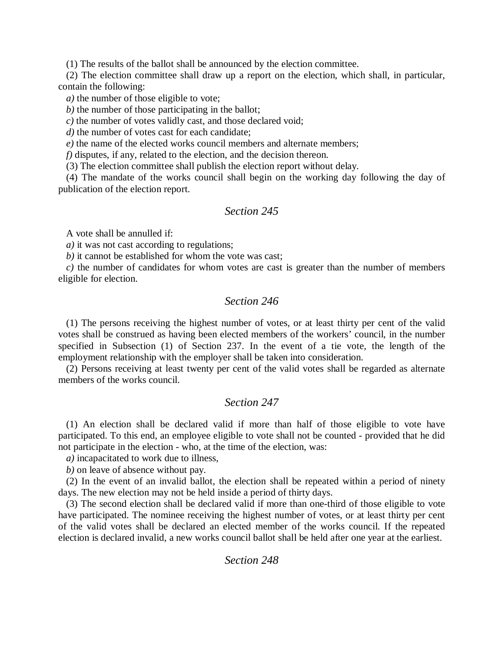(1) The results of the ballot shall be announced by the election committee.

(2) The election committee shall draw up a report on the election, which shall, in particular, contain the following:

*a)* the number of those eligible to vote;

*b)* the number of those participating in the ballot;

*c)* the number of votes validly cast, and those declared void;

*d*) the number of votes cast for each candidate;

*e*) the name of the elected works council members and alternate members;

*f)* disputes, if any, related to the election, and the decision thereon.

(3) The election committee shall publish the election report without delay.

(4) The mandate of the works council shall begin on the working day following the day of publication of the election report.

# *Section 245*

A vote shall be annulled if:

*a)* it was not cast according to regulations;

*b)* it cannot be established for whom the vote was cast;

*c)* the number of candidates for whom votes are cast is greater than the number of members eligible for election.

# *Section 246*

(1) The persons receiving the highest number of votes, or at least thirty per cent of the valid votes shall be construed as having been elected members of the workers' council, in the number specified in Subsection (1) of Section 237. In the event of a tie vote, the length of the employment relationship with the employer shall be taken into consideration.

(2) Persons receiving at least twenty per cent of the valid votes shall be regarded as alternate members of the works council.

# *Section 247*

(1) An election shall be declared valid if more than half of those eligible to vote have participated. To this end, an employee eligible to vote shall not be counted - provided that he did not participate in the election - who, at the time of the election, was:

*a)* incapacitated to work due to illness,

*b)* on leave of absence without pay.

(2) In the event of an invalid ballot, the election shall be repeated within a period of ninety days. The new election may not be held inside a period of thirty days.

(3) The second election shall be declared valid if more than one-third of those eligible to vote have participated. The nominee receiving the highest number of votes, or at least thirty per cent of the valid votes shall be declared an elected member of the works council. If the repeated election is declared invalid, a new works council ballot shall be held after one year at the earliest.

# *Section 248*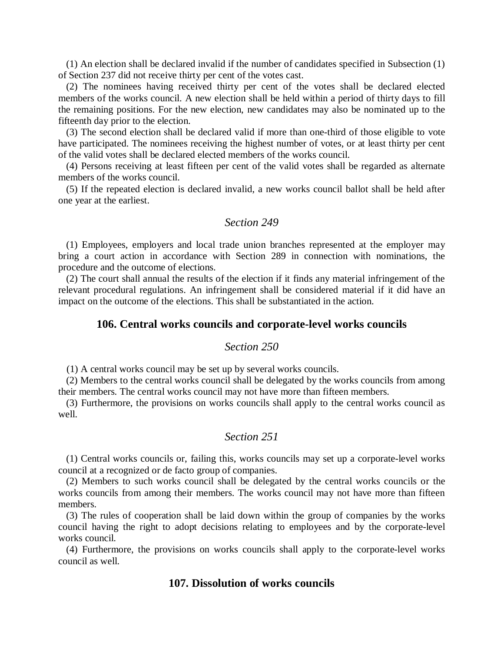(1) An election shall be declared invalid if the number of candidates specified in Subsection (1) of Section 237 did not receive thirty per cent of the votes cast.

(2) The nominees having received thirty per cent of the votes shall be declared elected members of the works council. A new election shall be held within a period of thirty days to fill the remaining positions. For the new election, new candidates may also be nominated up to the fifteenth day prior to the election.

(3) The second election shall be declared valid if more than one-third of those eligible to vote have participated. The nominees receiving the highest number of votes, or at least thirty per cent of the valid votes shall be declared elected members of the works council.

(4) Persons receiving at least fifteen per cent of the valid votes shall be regarded as alternate members of the works council.

(5) If the repeated election is declared invalid, a new works council ballot shall be held after one year at the earliest.

### *Section 249*

(1) Employees, employers and local trade union branches represented at the employer may bring a court action in accordance with Section 289 in connection with nominations, the procedure and the outcome of elections.

(2) The court shall annual the results of the election if it finds any material infringement of the relevant procedural regulations. An infringement shall be considered material if it did have an impact on the outcome of the elections. This shall be substantiated in the action.

#### **106. Central works councils and corporate-level works councils**

#### *Section 250*

(1) A central works council may be set up by several works councils.

(2) Members to the central works council shall be delegated by the works councils from among their members. The central works council may not have more than fifteen members.

(3) Furthermore, the provisions on works councils shall apply to the central works council as well.

# *Section 251*

(1) Central works councils or, failing this, works councils may set up a corporate-level works council at a recognized or de facto group of companies.

(2) Members to such works council shall be delegated by the central works councils or the works councils from among their members. The works council may not have more than fifteen members.

(3) The rules of cooperation shall be laid down within the group of companies by the works council having the right to adopt decisions relating to employees and by the corporate-level works council.

(4) Furthermore, the provisions on works councils shall apply to the corporate-level works council as well.

# **107. Dissolution of works councils**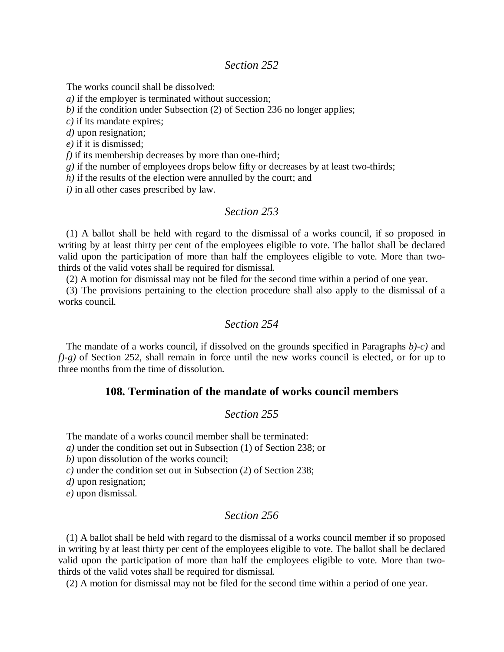# *Section 252*

The works council shall be dissolved:

*a)* if the employer is terminated without succession;

*b)* if the condition under Subsection (2) of Section 236 no longer applies;

*c)* if its mandate expires;

*d)* upon resignation;

*e)* if it is dismissed;

*f)* if its membership decreases by more than one-third;

*g)* if the number of employees drops below fifty or decreases by at least two-thirds;

*h)* if the results of the election were annulled by the court; and

*i)* in all other cases prescribed by law.

#### *Section 253*

(1) A ballot shall be held with regard to the dismissal of a works council, if so proposed in writing by at least thirty per cent of the employees eligible to vote. The ballot shall be declared valid upon the participation of more than half the employees eligible to vote. More than twothirds of the valid votes shall be required for dismissal.

(2) A motion for dismissal may not be filed for the second time within a period of one year.

(3) The provisions pertaining to the election procedure shall also apply to the dismissal of a works council.

#### *Section 254*

The mandate of a works council, if dissolved on the grounds specified in Paragraphs *b)-c)* and *f)-g)* of Section 252, shall remain in force until the new works council is elected, or for up to three months from the time of dissolution.

# **108. Termination of the mandate of works council members**

### *Section 255*

The mandate of a works council member shall be terminated:

*a)* under the condition set out in Subsection (1) of Section 238; or

*b)* upon dissolution of the works council;

*c)* under the condition set out in Subsection (2) of Section 238;

*d)* upon resignation;

*e)* upon dismissal.

#### *Section 256*

(1) A ballot shall be held with regard to the dismissal of a works council member if so proposed in writing by at least thirty per cent of the employees eligible to vote. The ballot shall be declared valid upon the participation of more than half the employees eligible to vote. More than twothirds of the valid votes shall be required for dismissal.

(2) A motion for dismissal may not be filed for the second time within a period of one year.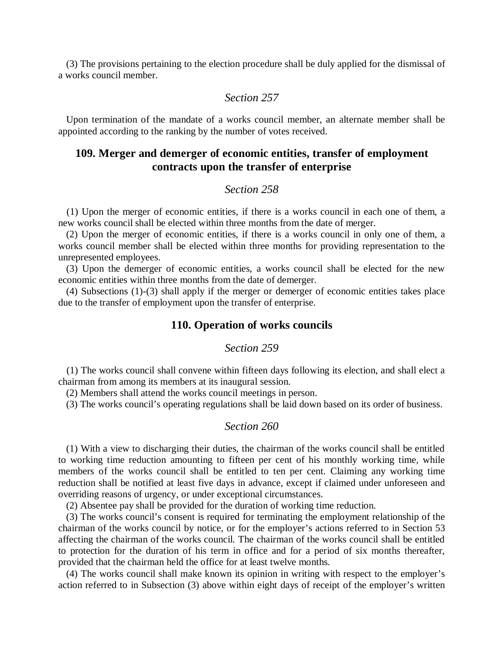(3) The provisions pertaining to the election procedure shall be duly applied for the dismissal of a works council member.

# *Section 257*

Upon termination of the mandate of a works council member, an alternate member shall be appointed according to the ranking by the number of votes received.

# **109. Merger and demerger of economic entities, transfer of employment contracts upon the transfer of enterprise**

### *Section 258*

(1) Upon the merger of economic entities, if there is a works council in each one of them, a new works council shall be elected within three months from the date of merger.

(2) Upon the merger of economic entities, if there is a works council in only one of them, a works council member shall be elected within three months for providing representation to the unrepresented employees.

(3) Upon the demerger of economic entities, a works council shall be elected for the new economic entities within three months from the date of demerger.

(4) Subsections (1)-(3) shall apply if the merger or demerger of economic entities takes place due to the transfer of employment upon the transfer of enterprise.

#### **110. Operation of works councils**

#### *Section 259*

(1) The works council shall convene within fifteen days following its election, and shall elect a chairman from among its members at its inaugural session.

(2) Members shall attend the works council meetings in person.

(3) The works council's operating regulations shall be laid down based on its order of business.

### *Section 260*

(1) With a view to discharging their duties, the chairman of the works council shall be entitled to working time reduction amounting to fifteen per cent of his monthly working time, while members of the works council shall be entitled to ten per cent. Claiming any working time reduction shall be notified at least five days in advance, except if claimed under unforeseen and overriding reasons of urgency, or under exceptional circumstances.

(2) Absentee pay shall be provided for the duration of working time reduction.

(3) The works council's consent is required for terminating the employment relationship of the chairman of the works council by notice, or for the employer's actions referred to in Section 53 affecting the chairman of the works council. The chairman of the works council shall be entitled to protection for the duration of his term in office and for a period of six months thereafter, provided that the chairman held the office for at least twelve months.

(4) The works council shall make known its opinion in writing with respect to the employer's action referred to in Subsection (3) above within eight days of receipt of the employer's written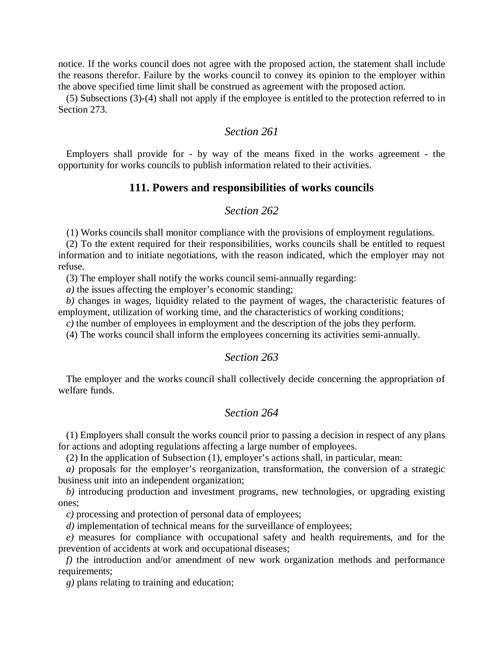notice. If the works council does not agree with the proposed action, the statement shall include the reasons therefor. Failure by the works council to convey its opinion to the employer within the above specified time limit shall be construed as agreement with the proposed action.

(5) Subsections (3)-(4) shall not apply if the employee is entitled to the protection referred to in Section 273.

# *Section 261*

Employers shall provide for - by way of the means fixed in the works agreement - the opportunity for works councils to publish information related to their activities.

#### **111. Powers and responsibilities of works councils**

# *Section 262*

(1) Works councils shall monitor compliance with the provisions of employment regulations.

(2) To the extent required for their responsibilities, works councils shall be entitled to request information and to initiate negotiations, with the reason indicated, which the employer may not refuse.

(3) The employer shall notify the works council semi-annually regarding:

*a)* the issues affecting the employer's economic standing;

*b)* changes in wages, liquidity related to the payment of wages, the characteristic features of employment, utilization of working time, and the characteristics of working conditions;

*c*) the number of employees in employment and the description of the jobs they perform.

(4) The works council shall inform the employees concerning its activities semi-annually.

#### *Section 263*

The employer and the works council shall collectively decide concerning the appropriation of welfare funds.

# *Section 264*

(1) Employers shall consult the works council prior to passing a decision in respect of any plans for actions and adopting regulations affecting a large number of employees.

(2) In the application of Subsection (1), employer's actions shall, in particular, mean:

*a)* proposals for the employer's reorganization, transformation, the conversion of a strategic business unit into an independent organization;

*b)* introducing production and investment programs, new technologies, or upgrading existing ones;

*c)* processing and protection of personal data of employees;

*d*) implementation of technical means for the surveillance of employees;

*e)* measures for compliance with occupational safety and health requirements, and for the prevention of accidents at work and occupational diseases;

*f)* the introduction and/or amendment of new work organization methods and performance requirements;

*g)* plans relating to training and education;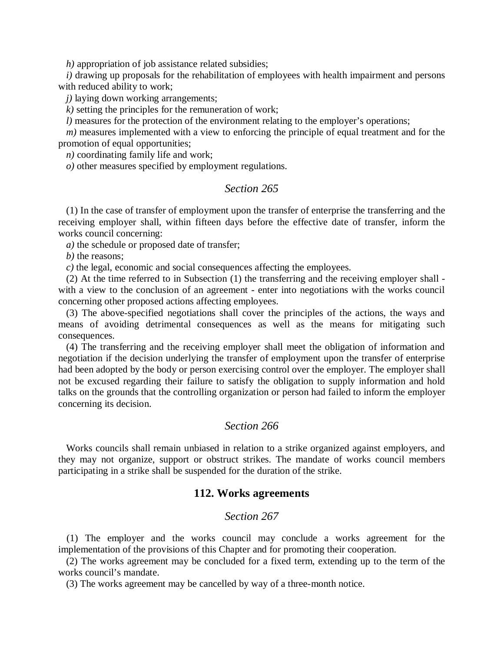*h)* appropriation of job assistance related subsidies;

*i)* drawing up proposals for the rehabilitation of employees with health impairment and persons with reduced ability to work;

*j*) laying down working arrangements;

*k)* setting the principles for the remuneration of work;

*l*) measures for the protection of the environment relating to the employer's operations;

*m*) measures implemented with a view to enforcing the principle of equal treatment and for the promotion of equal opportunities;

*n)* coordinating family life and work;

*o)* other measures specified by employment regulations.

### *Section 265*

(1) In the case of transfer of employment upon the transfer of enterprise the transferring and the receiving employer shall, within fifteen days before the effective date of transfer, inform the works council concerning:

*a)* the schedule or proposed date of transfer;

*b)* the reasons;

*c)* the legal, economic and social consequences affecting the employees.

(2) At the time referred to in Subsection (1) the transferring and the receiving employer shall with a view to the conclusion of an agreement - enter into negotiations with the works council concerning other proposed actions affecting employees.

(3) The above-specified negotiations shall cover the principles of the actions, the ways and means of avoiding detrimental consequences as well as the means for mitigating such consequences.

(4) The transferring and the receiving employer shall meet the obligation of information and negotiation if the decision underlying the transfer of employment upon the transfer of enterprise had been adopted by the body or person exercising control over the employer. The employer shall not be excused regarding their failure to satisfy the obligation to supply information and hold talks on the grounds that the controlling organization or person had failed to inform the employer concerning its decision.

# *Section 266*

Works councils shall remain unbiased in relation to a strike organized against employers, and they may not organize, support or obstruct strikes. The mandate of works council members participating in a strike shall be suspended for the duration of the strike.

#### **112. Works agreements**

#### *Section 267*

(1) The employer and the works council may conclude a works agreement for the implementation of the provisions of this Chapter and for promoting their cooperation.

(2) The works agreement may be concluded for a fixed term, extending up to the term of the works council's mandate.

(3) The works agreement may be cancelled by way of a three-month notice.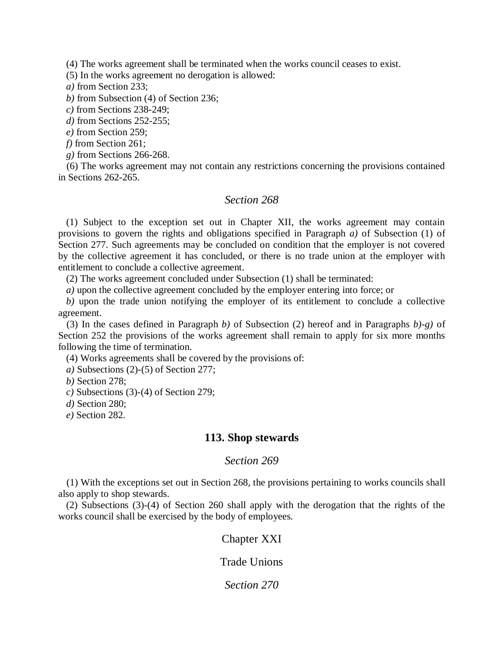(4) The works agreement shall be terminated when the works council ceases to exist.

(5) In the works agreement no derogation is allowed:

*a)* from Section 233;

*b)* from Subsection (4) of Section 236;

*c)* from Sections 238-249;

*d)* from Sections 252-255;

*e)* from Section 259;

*f)* from Section 261;

*g)* from Sections 266-268.

(6) The works agreement may not contain any restrictions concerning the provisions contained in Sections 262-265.

# *Section 268*

(1) Subject to the exception set out in Chapter XII, the works agreement may contain provisions to govern the rights and obligations specified in Paragraph *a)* of Subsection (1) of Section 277. Such agreements may be concluded on condition that the employer is not covered by the collective agreement it has concluded, or there is no trade union at the employer with entitlement to conclude a collective agreement.

(2) The works agreement concluded under Subsection (1) shall be terminated:

*a)* upon the collective agreement concluded by the employer entering into force; or

*b)* upon the trade union notifying the employer of its entitlement to conclude a collective agreement.

(3) In the cases defined in Paragraph *b)* of Subsection (2) hereof and in Paragraphs *b)-g)* of Section 252 the provisions of the works agreement shall remain to apply for six more months following the time of termination.

(4) Works agreements shall be covered by the provisions of:

*a)* Subsections (2)-(5) of Section 277;

*b)* Section 278;

*c)* Subsections (3)-(4) of Section 279;

*d)* Section 280;

*e)* Section 282.

### **113. Shop stewards**

#### *Section 269*

(1) With the exceptions set out in Section 268, the provisions pertaining to works councils shall also apply to shop stewards.

(2) Subsections (3)-(4) of Section 260 shall apply with the derogation that the rights of the works council shall be exercised by the body of employees.

# Chapter XXI

Trade Unions

*Section 270*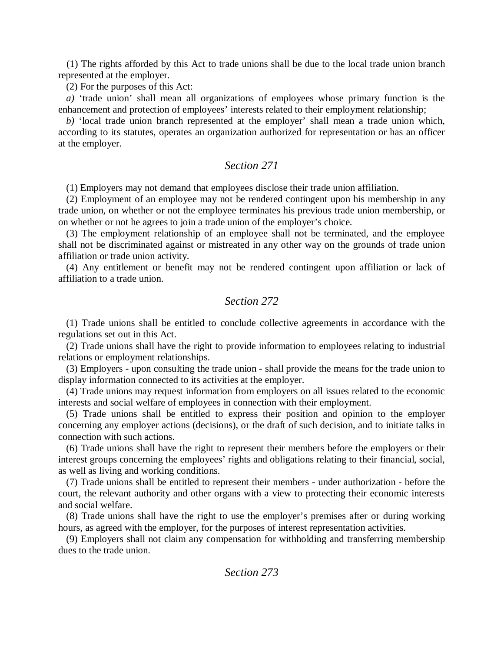(1) The rights afforded by this Act to trade unions shall be due to the local trade union branch represented at the employer.

(2) For the purposes of this Act:

*a)* 'trade union' shall mean all organizations of employees whose primary function is the enhancement and protection of employees' interests related to their employment relationship;

*b)* 'local trade union branch represented at the employer' shall mean a trade union which, according to its statutes, operates an organization authorized for representation or has an officer at the employer.

# *Section 271*

(1) Employers may not demand that employees disclose their trade union affiliation.

(2) Employment of an employee may not be rendered contingent upon his membership in any trade union, on whether or not the employee terminates his previous trade union membership, or on whether or not he agrees to join a trade union of the employer's choice.

(3) The employment relationship of an employee shall not be terminated, and the employee shall not be discriminated against or mistreated in any other way on the grounds of trade union affiliation or trade union activity.

(4) Any entitlement or benefit may not be rendered contingent upon affiliation or lack of affiliation to a trade union.

# *Section 272*

(1) Trade unions shall be entitled to conclude collective agreements in accordance with the regulations set out in this Act.

(2) Trade unions shall have the right to provide information to employees relating to industrial relations or employment relationships.

(3) Employers - upon consulting the trade union - shall provide the means for the trade union to display information connected to its activities at the employer.

(4) Trade unions may request information from employers on all issues related to the economic interests and social welfare of employees in connection with their employment.

(5) Trade unions shall be entitled to express their position and opinion to the employer concerning any employer actions (decisions), or the draft of such decision, and to initiate talks in connection with such actions.

(6) Trade unions shall have the right to represent their members before the employers or their interest groups concerning the employees' rights and obligations relating to their financial, social, as well as living and working conditions.

(7) Trade unions shall be entitled to represent their members - under authorization - before the court, the relevant authority and other organs with a view to protecting their economic interests and social welfare.

(8) Trade unions shall have the right to use the employer's premises after or during working hours, as agreed with the employer, for the purposes of interest representation activities.

(9) Employers shall not claim any compensation for withholding and transferring membership dues to the trade union.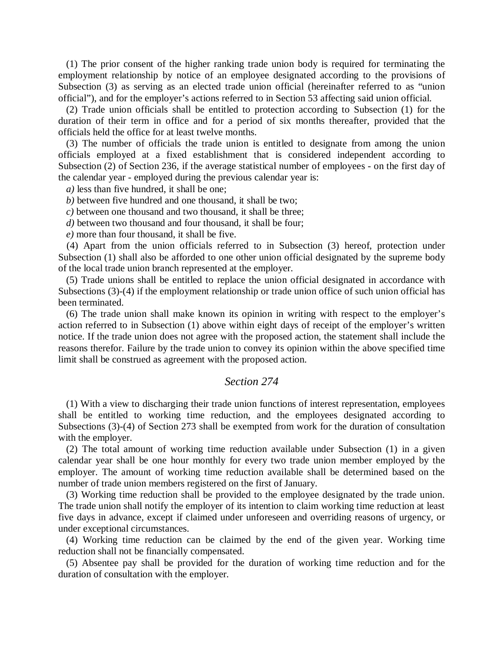(1) The prior consent of the higher ranking trade union body is required for terminating the employment relationship by notice of an employee designated according to the provisions of Subsection (3) as serving as an elected trade union official (hereinafter referred to as "union official"), and for the employer's actions referred to in Section 53 affecting said union official.

(2) Trade union officials shall be entitled to protection according to Subsection (1) for the duration of their term in office and for a period of six months thereafter, provided that the officials held the office for at least twelve months.

(3) The number of officials the trade union is entitled to designate from among the union officials employed at a fixed establishment that is considered independent according to Subsection (2) of Section 236, if the average statistical number of employees - on the first day of the calendar year - employed during the previous calendar year is:

*a)* less than five hundred, it shall be one;

*b)* between five hundred and one thousand, it shall be two;

*c)* between one thousand and two thousand, it shall be three;

*d*) between two thousand and four thousand, it shall be four;

*e)* more than four thousand, it shall be five.

(4) Apart from the union officials referred to in Subsection (3) hereof, protection under Subsection (1) shall also be afforded to one other union official designated by the supreme body of the local trade union branch represented at the employer.

(5) Trade unions shall be entitled to replace the union official designated in accordance with Subsections (3)-(4) if the employment relationship or trade union office of such union official has been terminated.

(6) The trade union shall make known its opinion in writing with respect to the employer's action referred to in Subsection (1) above within eight days of receipt of the employer's written notice. If the trade union does not agree with the proposed action, the statement shall include the reasons therefor. Failure by the trade union to convey its opinion within the above specified time limit shall be construed as agreement with the proposed action.

# *Section 274*

(1) With a view to discharging their trade union functions of interest representation, employees shall be entitled to working time reduction, and the employees designated according to Subsections (3)-(4) of Section 273 shall be exempted from work for the duration of consultation with the employer.

(2) The total amount of working time reduction available under Subsection (1) in a given calendar year shall be one hour monthly for every two trade union member employed by the employer. The amount of working time reduction available shall be determined based on the number of trade union members registered on the first of January.

(3) Working time reduction shall be provided to the employee designated by the trade union. The trade union shall notify the employer of its intention to claim working time reduction at least five days in advance, except if claimed under unforeseen and overriding reasons of urgency, or under exceptional circumstances.

(4) Working time reduction can be claimed by the end of the given year. Working time reduction shall not be financially compensated.

(5) Absentee pay shall be provided for the duration of working time reduction and for the duration of consultation with the employer.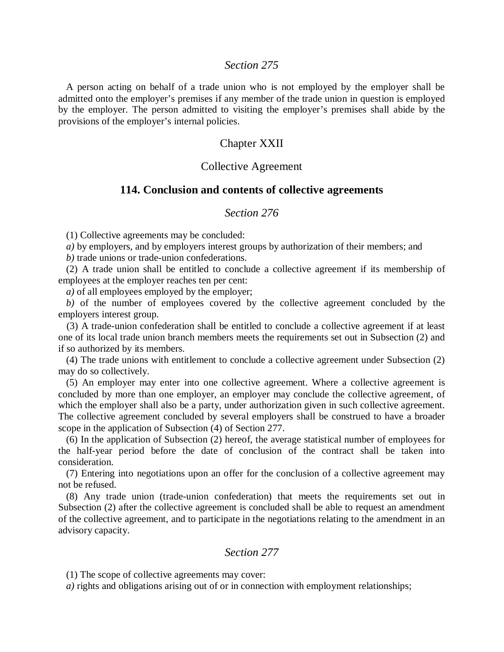## *Section 275*

A person acting on behalf of a trade union who is not employed by the employer shall be admitted onto the employer's premises if any member of the trade union in question is employed by the employer. The person admitted to visiting the employer's premises shall abide by the provisions of the employer's internal policies.

# Chapter XXII

# Collective Agreement

#### **114. Conclusion and contents of collective agreements**

### *Section 276*

(1) Collective agreements may be concluded:

*a)* by employers, and by employers interest groups by authorization of their members; and

*b)* trade unions or trade-union confederations.

(2) A trade union shall be entitled to conclude a collective agreement if its membership of employees at the employer reaches ten per cent:

*a)* of all employees employed by the employer;

*b)* of the number of employees covered by the collective agreement concluded by the employers interest group.

(3) A trade-union confederation shall be entitled to conclude a collective agreement if at least one of its local trade union branch members meets the requirements set out in Subsection (2) and if so authorized by its members.

(4) The trade unions with entitlement to conclude a collective agreement under Subsection (2) may do so collectively.

(5) An employer may enter into one collective agreement. Where a collective agreement is concluded by more than one employer, an employer may conclude the collective agreement, of which the employer shall also be a party, under authorization given in such collective agreement. The collective agreement concluded by several employers shall be construed to have a broader scope in the application of Subsection (4) of Section 277.

(6) In the application of Subsection (2) hereof, the average statistical number of employees for the half-year period before the date of conclusion of the contract shall be taken into consideration.

(7) Entering into negotiations upon an offer for the conclusion of a collective agreement may not be refused.

(8) Any trade union (trade-union confederation) that meets the requirements set out in Subsection (2) after the collective agreement is concluded shall be able to request an amendment of the collective agreement, and to participate in the negotiations relating to the amendment in an advisory capacity.

# *Section 277*

(1) The scope of collective agreements may cover:

*a)* rights and obligations arising out of or in connection with employment relationships;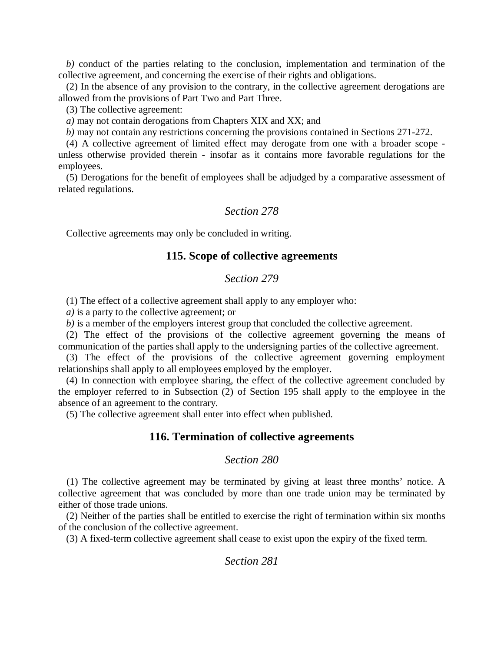*b)* conduct of the parties relating to the conclusion, implementation and termination of the collective agreement, and concerning the exercise of their rights and obligations.

(2) In the absence of any provision to the contrary, in the collective agreement derogations are allowed from the provisions of Part Two and Part Three.

(3) The collective agreement:

*a)* may not contain derogations from Chapters XIX and XX; and

*b)* may not contain any restrictions concerning the provisions contained in Sections 271-272.

(4) A collective agreement of limited effect may derogate from one with a broader scope unless otherwise provided therein - insofar as it contains more favorable regulations for the employees.

(5) Derogations for the benefit of employees shall be adjudged by a comparative assessment of related regulations.

# *Section 278*

Collective agreements may only be concluded in writing.

# **115. Scope of collective agreements**

#### *Section 279*

(1) The effect of a collective agreement shall apply to any employer who:

*a)* is a party to the collective agreement; or

*b)* is a member of the employers interest group that concluded the collective agreement.

(2) The effect of the provisions of the collective agreement governing the means of communication of the parties shall apply to the undersigning parties of the collective agreement.

(3) The effect of the provisions of the collective agreement governing employment relationships shall apply to all employees employed by the employer.

(4) In connection with employee sharing, the effect of the collective agreement concluded by the employer referred to in Subsection (2) of Section 195 shall apply to the employee in the absence of an agreement to the contrary.

(5) The collective agreement shall enter into effect when published.

# **116. Termination of collective agreements**

# *Section 280*

(1) The collective agreement may be terminated by giving at least three months' notice. A collective agreement that was concluded by more than one trade union may be terminated by either of those trade unions.

(2) Neither of the parties shall be entitled to exercise the right of termination within six months of the conclusion of the collective agreement.

(3) A fixed-term collective agreement shall cease to exist upon the expiry of the fixed term.

# *Section 281*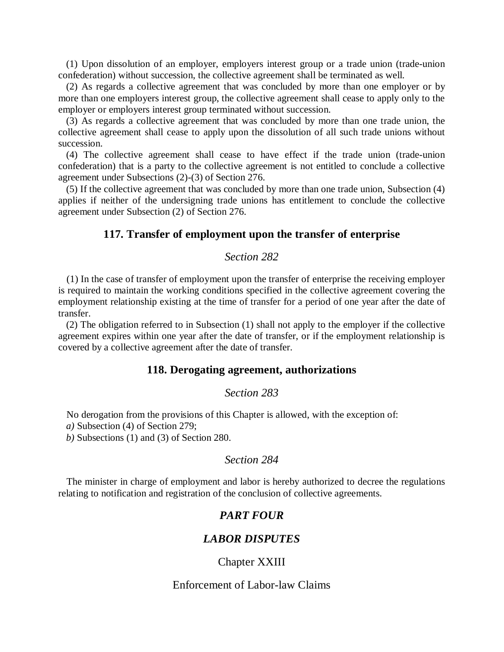(1) Upon dissolution of an employer, employers interest group or a trade union (trade-union confederation) without succession, the collective agreement shall be terminated as well.

(2) As regards a collective agreement that was concluded by more than one employer or by more than one employers interest group, the collective agreement shall cease to apply only to the employer or employers interest group terminated without succession.

(3) As regards a collective agreement that was concluded by more than one trade union, the collective agreement shall cease to apply upon the dissolution of all such trade unions without succession.

(4) The collective agreement shall cease to have effect if the trade union (trade-union confederation) that is a party to the collective agreement is not entitled to conclude a collective agreement under Subsections (2)-(3) of Section 276.

(5) If the collective agreement that was concluded by more than one trade union, Subsection (4) applies if neither of the undersigning trade unions has entitlement to conclude the collective agreement under Subsection (2) of Section 276.

### **117. Transfer of employment upon the transfer of enterprise**

#### *Section 282*

(1) In the case of transfer of employment upon the transfer of enterprise the receiving employer is required to maintain the working conditions specified in the collective agreement covering the employment relationship existing at the time of transfer for a period of one year after the date of transfer.

(2) The obligation referred to in Subsection (1) shall not apply to the employer if the collective agreement expires within one year after the date of transfer, or if the employment relationship is covered by a collective agreement after the date of transfer.

#### **118. Derogating agreement, authorizations**

#### *Section 283*

No derogation from the provisions of this Chapter is allowed, with the exception of:

*a)* Subsection (4) of Section 279;

*b)* Subsections (1) and (3) of Section 280.

#### *Section 284*

The minister in charge of employment and labor is hereby authorized to decree the regulations relating to notification and registration of the conclusion of collective agreements.

# *PART FOUR*

### *LABOR DISPUTES*

Chapter XXIII

# Enforcement of Labor-law Claims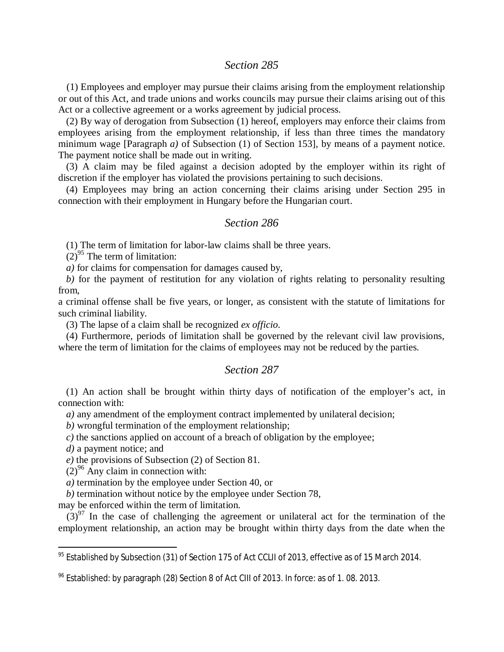# *Section 285*

(1) Employees and employer may pursue their claims arising from the employment relationship or out of this Act, and trade unions and works councils may pursue their claims arising out of this Act or a collective agreement or a works agreement by judicial process.

(2) By way of derogation from Subsection (1) hereof, employers may enforce their claims from employees arising from the employment relationship, if less than three times the mandatory minimum wage [Paragraph *a)* of Subsection (1) of Section 153], by means of a payment notice. The payment notice shall be made out in writing.

(3) A claim may be filed against a decision adopted by the employer within its right of discretion if the employer has violated the provisions pertaining to such decisions.

(4) Employees may bring an action concerning their claims arising under Section 295 in connection with their employment in Hungary before the Hungarian court.

#### *Section 286*

(1) The term of limitation for labor-law claims shall be three years.

 $(2)^{95}$  $(2)^{95}$  $(2)^{95}$  The term of limitation:

*a)* for claims for compensation for damages caused by,

*b)* for the payment of restitution for any violation of rights relating to personality resulting from,

a criminal offense shall be five years, or longer, as consistent with the statute of limitations for such criminal liability.

(3) The lapse of a claim shall be recognized *ex officio*.

(4) Furthermore, periods of limitation shall be governed by the relevant civil law provisions, where the term of limitation for the claims of employees may not be reduced by the parties.

#### *Section 287*

(1) An action shall be brought within thirty days of notification of the employer's act, in connection with:

*a)* any amendment of the employment contract implemented by unilateral decision;

*b)* wrongful termination of the employment relationship;

*c)* the sanctions applied on account of a breach of obligation by the employee;

*d)* a payment notice; and

*e)* the provisions of Subsection (2) of Section 81.

 $(2)^{96}$  $(2)^{96}$  $(2)^{96}$  Any claim in connection with:

*a)* termination by the employee under Section 40, or

*b)* termination without notice by the employee under Section 78,

may be enforced within the term of limitation.

 $(3)^{97}$  $(3)^{97}$  $(3)^{97}$  In the case of challenging the agreement or unilateral act for the termination of the employment relationship, an action may be brought within thirty days from the date when the

<span id="page-95-0"></span> $95$  Established by Subsection (31) of Section 175 of Act CCLII of 2013, effective as of 15 March 2014.

<span id="page-95-1"></span> $96$  Established: by paragraph (28) Section 8 of Act CIII of 2013. In force: as of 1.08. 2013.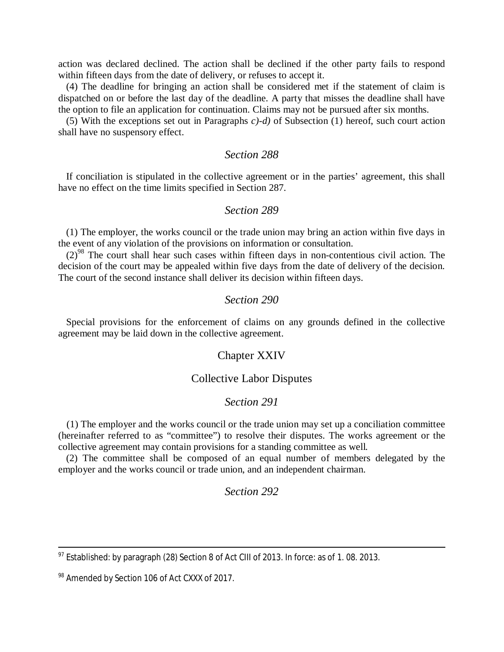action was declared declined. The action shall be declined if the other party fails to respond within fifteen days from the date of delivery, or refuses to accept it.

(4) The deadline for bringing an action shall be considered met if the statement of claim is dispatched on or before the last day of the deadline. A party that misses the deadline shall have the option to file an application for continuation. Claims may not be pursued after six months.

(5) With the exceptions set out in Paragraphs *c)-d)* of Subsection (1) hereof, such court action shall have no suspensory effect.

### *Section 288*

If conciliation is stipulated in the collective agreement or in the parties' agreement, this shall have no effect on the time limits specified in Section 287.

### *Section 289*

(1) The employer, the works council or the trade union may bring an action within five days in the event of any violation of the provisions on information or consultation.

 $(2)^{98}$  $(2)^{98}$  $(2)^{98}$  The court shall hear such cases within fifteen days in non-contentious civil action. The decision of the court may be appealed within five days from the date of delivery of the decision. The court of the second instance shall deliver its decision within fifteen days.

### *Section 290*

Special provisions for the enforcement of claims on any grounds defined in the collective agreement may be laid down in the collective agreement.

#### Chapter XXIV

#### Collective Labor Disputes

#### *Section 291*

(1) The employer and the works council or the trade union may set up a conciliation committee (hereinafter referred to as "committee") to resolve their disputes. The works agreement or the collective agreement may contain provisions for a standing committee as well.

(2) The committee shall be composed of an equal number of members delegated by the employer and the works council or trade union, and an independent chairman.

#### *Section 292*

 $97$  Established: by paragraph (28) Section 8 of Act CIII of 2013. In force: as of 1.08. 2013.

<span id="page-96-0"></span><sup>98</sup> Amended by Section 106 of Act CXXX of 2017.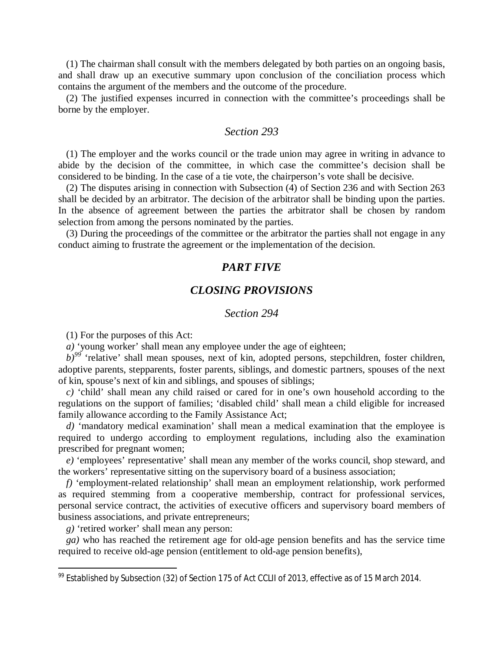(1) The chairman shall consult with the members delegated by both parties on an ongoing basis, and shall draw up an executive summary upon conclusion of the conciliation process which contains the argument of the members and the outcome of the procedure.

(2) The justified expenses incurred in connection with the committee's proceedings shall be borne by the employer.

# *Section 293*

(1) The employer and the works council or the trade union may agree in writing in advance to abide by the decision of the committee, in which case the committee's decision shall be considered to be binding. In the case of a tie vote, the chairperson's vote shall be decisive.

(2) The disputes arising in connection with Subsection (4) of Section 236 and with Section 263 shall be decided by an arbitrator. The decision of the arbitrator shall be binding upon the parties. In the absence of agreement between the parties the arbitrator shall be chosen by random selection from among the persons nominated by the parties.

(3) During the proceedings of the committee or the arbitrator the parties shall not engage in any conduct aiming to frustrate the agreement or the implementation of the decision.

# *PART FIVE*

# *CLOSING PROVISIONS*

### *Section 294*

(1) For the purposes of this Act:

*a)* 'young worker' shall mean any employee under the age of eighteen;

b)<sup>[99](#page-97-0)</sup> 'relative' shall mean spouses, next of kin, adopted persons, stepchildren, foster children, adoptive parents, stepparents, foster parents, siblings, and domestic partners, spouses of the next of kin, spouse's next of kin and siblings, and spouses of siblings;

*c)* 'child' shall mean any child raised or cared for in one's own household according to the regulations on the support of families; 'disabled child' shall mean a child eligible for increased family allowance according to the Family Assistance Act;

*d*) 'mandatory medical examination' shall mean a medical examination that the employee is required to undergo according to employment regulations, including also the examination prescribed for pregnant women;

*e)* 'employees' representative' shall mean any member of the works council, shop steward, and the workers' representative sitting on the supervisory board of a business association;

*f)* 'employment-related relationship' shall mean an employment relationship, work performed as required stemming from a cooperative membership, contract for professional services, personal service contract, the activities of executive officers and supervisory board members of business associations, and private entrepreneurs;

*g)* 'retired worker' shall mean any person:

*ga)* who has reached the retirement age for old-age pension benefits and has the service time required to receive old-age pension (entitlement to old-age pension benefits),

<span id="page-97-0"></span><sup>&</sup>lt;sup>99</sup> Established by Subsection (32) of Section 175 of Act CCLII of 2013, effective as of 15 March 2014.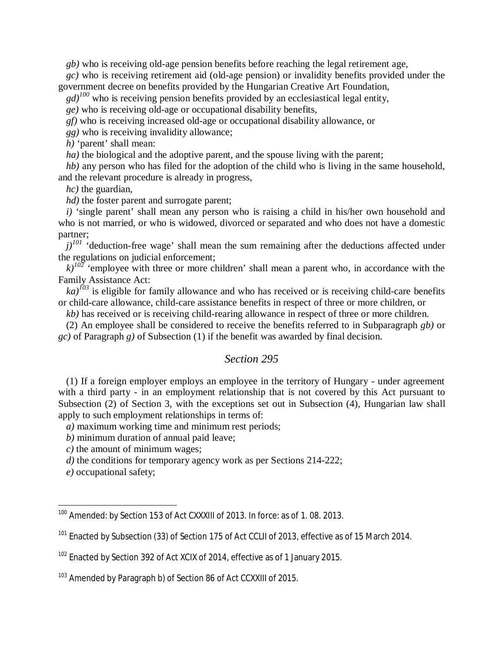*gb)* who is receiving old-age pension benefits before reaching the legal retirement age,

*gc)* who is receiving retirement aid (old-age pension) or invalidity benefits provided under the government decree on benefits provided by the Hungarian Creative Art Foundation,

 $gd$ <sup> $100$ </sup> who is receiving pension benefits provided by an ecclesiastical legal entity,

*ge)* who is receiving old-age or occupational disability benefits,

*gf)* who is receiving increased old-age or occupational disability allowance, or

*gg)* who is receiving invalidity allowance;

*h)* 'parent' shall mean:

*ha*) the biological and the adoptive parent, and the spouse living with the parent;

*hb)* any person who has filed for the adoption of the child who is living in the same household, and the relevant procedure is already in progress,

*hc)* the guardian,

*hd*) the foster parent and surrogate parent;

*i)* 'single parent' shall mean any person who is raising a child in his/her own household and who is not married, or who is widowed, divorced or separated and who does not have a domestic partner;

 $j$ <sup> $101$ </sup> 'deduction-free wage' shall mean the sum remaining after the deductions affected under the regulations on judicial enforcement;

 $k$ <sup> $102$ </sup> 'employee with three or more children' shall mean a parent who, in accordance with the Family Assistance Act:

 $ka$ <sup> $103$ </sup> is eligible for family allowance and who has received or is receiving child-care benefits or child-care allowance, child-care assistance benefits in respect of three or more children, or

*kb)* has received or is receiving child-rearing allowance in respect of three or more children.

(2) An employee shall be considered to receive the benefits referred to in Subparagraph *gb)* or *gc)* of Paragraph *g)* of Subsection (1) if the benefit was awarded by final decision.

# *Section 295*

(1) If a foreign employer employs an employee in the territory of Hungary - under agreement with a third party - in an employment relationship that is not covered by this Act pursuant to Subsection (2) of Section 3, with the exceptions set out in Subsection (4), Hungarian law shall apply to such employment relationships in terms of:

*a)* maximum working time and minimum rest periods;

*b)* minimum duration of annual paid leave;

*c)* the amount of minimum wages;

*d)* the conditions for temporary agency work as per Sections 214-222;

*e)* occupational safety;

<span id="page-98-0"></span><sup>&</sup>lt;sup>100</sup> Amended: by Section 153 of Act CXXXIII of 2013. In force: as of 1.08. 2013.

<span id="page-98-1"></span><sup>&</sup>lt;sup>101</sup> Enacted by Subsection (33) of Section 175 of Act CCLII of 2013, effective as of 15 March 2014.

<span id="page-98-2"></span><sup>&</sup>lt;sup>102</sup> Enacted by Section 392 of Act XCIX of 2014, effective as of 1 January 2015.

<span id="page-98-3"></span><sup>&</sup>lt;sup>103</sup> Amended by Paragraph b) of Section 86 of Act CCXXIII of 2015.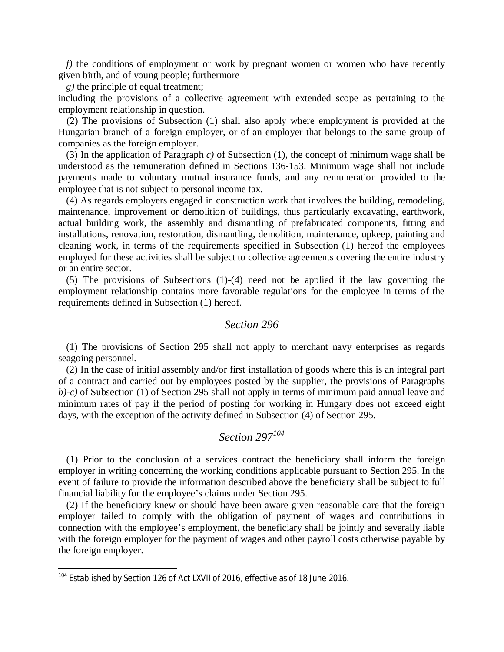*f*) the conditions of employment or work by pregnant women or women who have recently given birth, and of young people; furthermore

*g)* the principle of equal treatment;

including the provisions of a collective agreement with extended scope as pertaining to the employment relationship in question.

(2) The provisions of Subsection (1) shall also apply where employment is provided at the Hungarian branch of a foreign employer, or of an employer that belongs to the same group of companies as the foreign employer.

(3) In the application of Paragraph *c)* of Subsection (1), the concept of minimum wage shall be understood as the remuneration defined in Sections 136-153. Minimum wage shall not include payments made to voluntary mutual insurance funds, and any remuneration provided to the employee that is not subject to personal income tax.

(4) As regards employers engaged in construction work that involves the building, remodeling, maintenance, improvement or demolition of buildings, thus particularly excavating, earthwork, actual building work, the assembly and dismantling of prefabricated components, fitting and installations, renovation, restoration, dismantling, demolition, maintenance, upkeep, painting and cleaning work, in terms of the requirements specified in Subsection (1) hereof the employees employed for these activities shall be subject to collective agreements covering the entire industry or an entire sector.

(5) The provisions of Subsections (1)-(4) need not be applied if the law governing the employment relationship contains more favorable regulations for the employee in terms of the requirements defined in Subsection (1) hereof.

#### *Section 296*

(1) The provisions of Section 295 shall not apply to merchant navy enterprises as regards seagoing personnel.

(2) In the case of initial assembly and/or first installation of goods where this is an integral part of a contract and carried out by employees posted by the supplier, the provisions of Paragraphs *b)-c)* of Subsection (1) of Section 295 shall not apply in terms of minimum paid annual leave and minimum rates of pay if the period of posting for working in Hungary does not exceed eight days, with the exception of the activity defined in Subsection (4) of Section 295.

# *Section 297[104](#page-99-0)*

(1) Prior to the conclusion of a services contract the beneficiary shall inform the foreign employer in writing concerning the working conditions applicable pursuant to Section 295. In the event of failure to provide the information described above the beneficiary shall be subject to full financial liability for the employee's claims under Section 295.

(2) If the beneficiary knew or should have been aware given reasonable care that the foreign employer failed to comply with the obligation of payment of wages and contributions in connection with the employee's employment, the beneficiary shall be jointly and severally liable with the foreign employer for the payment of wages and other payroll costs otherwise payable by the foreign employer.

<span id="page-99-0"></span><sup>&</sup>lt;sup>104</sup> Established by Section 126 of Act LXVII of 2016, effective as of 18 June 2016.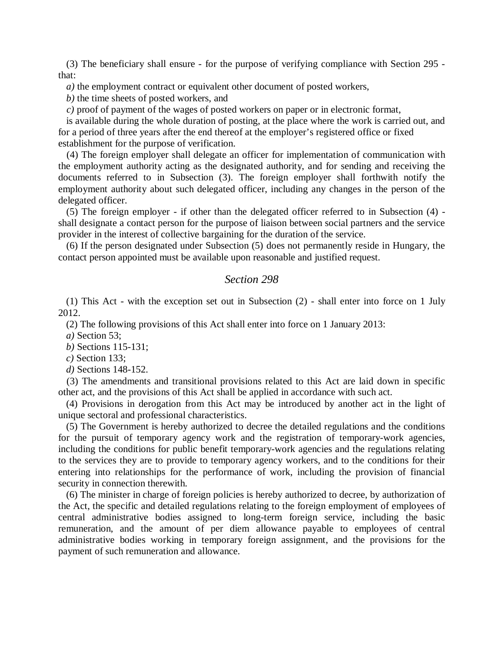(3) The beneficiary shall ensure - for the purpose of verifying compliance with Section 295 that:

*a)* the employment contract or equivalent other document of posted workers,

*b)* the time sheets of posted workers, and

*c)* proof of payment of the wages of posted workers on paper or in electronic format,

is available during the whole duration of posting, at the place where the work is carried out, and for a period of three years after the end thereof at the employer's registered office or fixed establishment for the purpose of verification.

(4) The foreign employer shall delegate an officer for implementation of communication with the employment authority acting as the designated authority, and for sending and receiving the documents referred to in Subsection (3). The foreign employer shall forthwith notify the employment authority about such delegated officer, including any changes in the person of the delegated officer.

(5) The foreign employer - if other than the delegated officer referred to in Subsection (4) shall designate a contact person for the purpose of liaison between social partners and the service provider in the interest of collective bargaining for the duration of the service.

(6) If the person designated under Subsection (5) does not permanently reside in Hungary, the contact person appointed must be available upon reasonable and justified request.

# *Section 298*

(1) This Act - with the exception set out in Subsection (2) - shall enter into force on 1 July 2012.

(2) The following provisions of this Act shall enter into force on 1 January 2013:

*a)* Section 53;

*b)* Sections 115-131;

*c)* Section 133;

*d)* Sections 148-152.

(3) The amendments and transitional provisions related to this Act are laid down in specific other act, and the provisions of this Act shall be applied in accordance with such act.

(4) Provisions in derogation from this Act may be introduced by another act in the light of unique sectoral and professional characteristics.

(5) The Government is hereby authorized to decree the detailed regulations and the conditions for the pursuit of temporary agency work and the registration of temporary-work agencies, including the conditions for public benefit temporary-work agencies and the regulations relating to the services they are to provide to temporary agency workers, and to the conditions for their entering into relationships for the performance of work, including the provision of financial security in connection therewith.

(6) The minister in charge of foreign policies is hereby authorized to decree, by authorization of the Act, the specific and detailed regulations relating to the foreign employment of employees of central administrative bodies assigned to long-term foreign service, including the basic remuneration, and the amount of per diem allowance payable to employees of central administrative bodies working in temporary foreign assignment, and the provisions for the payment of such remuneration and allowance.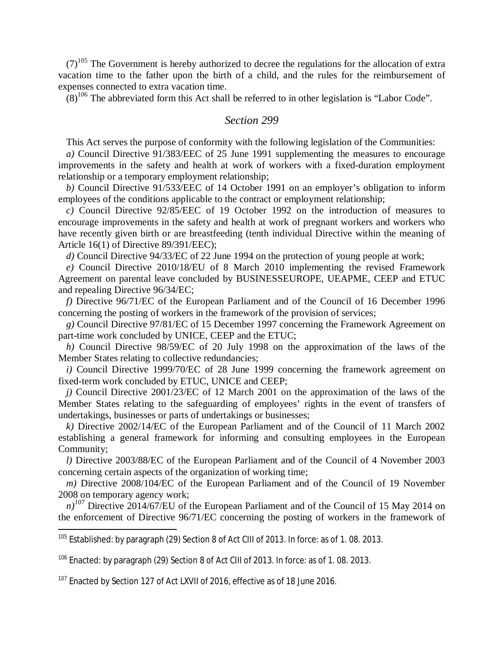$(7)^{105}$  $(7)^{105}$  $(7)^{105}$  The Government is hereby authorized to decree the regulations for the allocation of extra vacation time to the father upon the birth of a child, and the rules for the reimbursement of expenses connected to extra vacation time.

 $(8)^{106}$  $(8)^{106}$  $(8)^{106}$  The abbreviated form this Act shall be referred to in other legislation is "Labor Code".

#### *Section 299*

This Act serves the purpose of conformity with the following legislation of the Communities:

*a)* Council Directive 91/383/EEC of 25 June 1991 supplementing the measures to encourage improvements in the safety and health at work of workers with a fixed-duration employment relationship or a temporary employment relationship;

*b)* Council Directive 91/533/EEC of 14 October 1991 on an employer's obligation to inform employees of the conditions applicable to the contract or employment relationship;

*c)* Council Directive 92/85/EEC of 19 October 1992 on the introduction of measures to encourage improvements in the safety and health at work of pregnant workers and workers who have recently given birth or are breastfeeding (tenth individual Directive within the meaning of Article 16(1) of Directive 89/391/EEC);

*d)* Council Directive 94/33/EC of 22 June 1994 on the protection of young people at work;

*e)* Council Directive 2010/18/EU of 8 March 2010 implementing the revised Framework Agreement on parental leave concluded by BUSINESSEUROPE, UEAPME, CEEP and ETUC and repealing Directive 96/34/EC;

*f)* Directive 96/71/EC of the European Parliament and of the Council of 16 December 1996 concerning the posting of workers in the framework of the provision of services;

*g)* Council Directive 97/81/EC of 15 December 1997 concerning the Framework Agreement on part-time work concluded by UNICE, CEEP and the ETUC;

*h)* Council Directive 98/59/EC of 20 July 1998 on the approximation of the laws of the Member States relating to collective redundancies;

*i)* Council Directive 1999/70/EC of 28 June 1999 concerning the framework agreement on fixed-term work concluded by ETUC, UNICE and CEEP;

*j)* Council Directive 2001/23/EC of 12 March 2001 on the approximation of the laws of the Member States relating to the safeguarding of employees' rights in the event of transfers of undertakings, businesses or parts of undertakings or businesses;

*k)* Directive 2002/14/EC of the European Parliament and of the Council of 11 March 2002 establishing a general framework for informing and consulting employees in the European Community;

*l)* Directive 2003/88/EC of the European Parliament and of the Council of 4 November 2003 concerning certain aspects of the organization of working time;

*m*) Directive 2008/104/EC of the European Parliament and of the Council of 19 November 2008 on temporary agency work;

*n*<sup> $107$ </sup> Directive 2014/67/EU of the European Parliament and of the Council of 15 May 2014 on the enforcement of Directive 96/71/EC concerning the posting of workers in the framework of

<span id="page-101-0"></span> $105$  Established: by paragraph (29) Section 8 of Act CIII of 2013. In force: as of 1.08. 2013.

<span id="page-101-1"></span> $106$  Enacted: by paragraph (29) Section 8 of Act CIII of 2013. In force: as of 1.08. 2013.

<span id="page-101-2"></span><sup>107</sup> Enacted by Section 127 of Act LXVII of 2016, effective as of 18 June 2016.